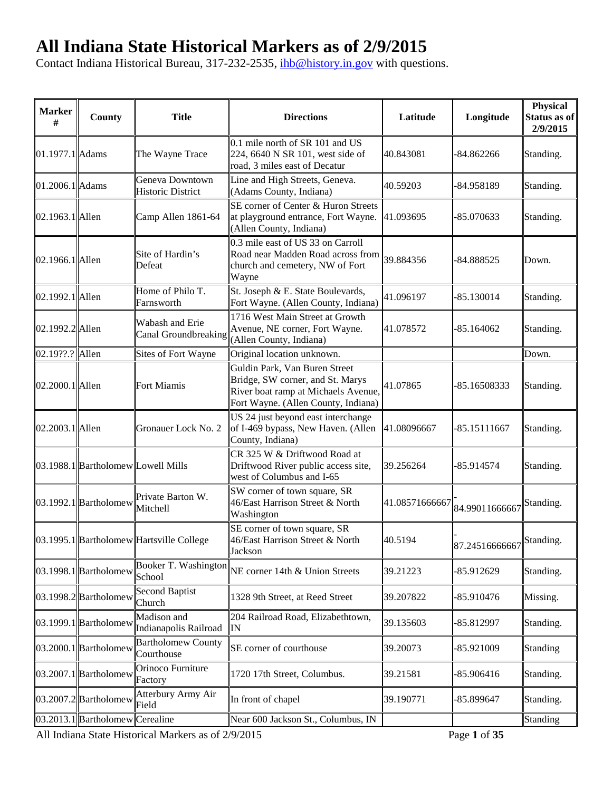## **All Indiana State Historical Markers as of 2/9/2015**

Contact Indiana Historical Bureau, 317-232-2535, [ihb@history.in.gov](mailto:ihb@history.in.gov) with questions.

| <b>Marker</b><br>#  | County                             | <b>Title</b>                                | <b>Directions</b>                                                                                                                               | Latitude       | Longitude                | Physical<br>Status as of<br>2/9/2015 |
|---------------------|------------------------------------|---------------------------------------------|-------------------------------------------------------------------------------------------------------------------------------------------------|----------------|--------------------------|--------------------------------------|
| 01.1977.1 Adams     |                                    | The Wayne Trace                             | 0.1 mile north of SR 101 and US<br>224, 6640 N SR 101, west side of<br>road, 3 miles east of Decatur                                            | 40.843081      | $-84.862266$             | Standing.                            |
| $ 01.2006.1 $ Adams |                                    | Geneva Downtown<br><b>Historic District</b> | Line and High Streets, Geneva.<br>(Adams County, Indiana)                                                                                       | 40.59203       | -84.958189               | Standing.                            |
| $ 02.1963.1 $ Allen |                                    | Camp Allen 1861-64                          | SE corner of Center & Huron Streets<br>at playground entrance, Fort Wayne.<br>(Allen County, Indiana)                                           | 41.093695      | -85.070633               | Standing.                            |
| $ 02.1966.1 $ Allen |                                    | Site of Hardin's<br>Defeat                  | 0.3 mile east of US 33 on Carroll<br>Road near Madden Road across from<br>church and cemetery, NW of Fort<br>Wayne                              | 39.884356      | -84.888525               | Down.                                |
| 02.1992.1 Allen     |                                    | Home of Philo T.<br>Farnsworth              | St. Joseph & E. State Boulevards,<br>Fort Wayne. (Allen County, Indiana)                                                                        | 41.096197      | -85.130014               | Standing.                            |
| 02.1992.2 Allen     |                                    | Wabash and Erie<br>Canal Groundbreaking     | 1716 West Main Street at Growth<br>Avenue, NE corner, Fort Wayne.<br>(Allen County, Indiana)                                                    | 41.078572      | -85.164062               | Standing.                            |
| 02.19??.? Allen     |                                    | Sites of Fort Wayne                         | Original location unknown.                                                                                                                      |                |                          | Down.                                |
| 02.2000.1 Allen     |                                    | Fort Miamis                                 | Guldin Park, Van Buren Street<br>Bridge, SW corner, and St. Marys<br>River boat ramp at Michaels Avenue,<br>Fort Wayne. (Allen County, Indiana) | 41.07865       | -85.16508333             | Standing.                            |
| 02.2003.1 Allen     |                                    | Gronauer Lock No. 2                         | US 24 just beyond east interchange<br>of I-469 bypass, New Haven. (Allen<br>County, Indiana)                                                    | 41.08096667    | -85.15111667             | Standing.                            |
|                     | 03.1988.1 Bartholomew Lowell Mills |                                             | CR 325 W & Driftwood Road at<br>Driftwood River public access site,<br>west of Columbus and I-65                                                | 39.256264      | -85.914574               | Standing.                            |
|                     | $ 03.1992.1 $ Bartholomew          | Private Barton W.<br>Mitchell               | SW corner of town square, SR<br>46/East Harrison Street & North<br>Washington                                                                   | 41.08571666667 | 84.99011666667           | Standing.                            |
|                     |                                    | 03.1995.1 Bartholomew Hartsville College    | SE corner of town square, SR<br>46/East Harrison Street & North<br>Jackson                                                                      | 40.5194        | 87.24516666667 Standing. |                                      |
|                     | $ 03.1998.1 $ Bartholomew          | Booker T. Washington<br>School              | NE corner 14th & Union Streets                                                                                                                  | 39.21223       | -85.912629               | Standing.                            |
|                     | $ 03.1998.2 $ Bartholomew          | <b>Second Baptist</b><br>Church             | 1328 9th Street, at Reed Street                                                                                                                 | 39.207822      | -85.910476               | Missing.                             |
|                     | $ 03.1999.1 $ Bartholomew          | Madison and<br>Indianapolis Railroad        | 204 Railroad Road, Elizabethtown,<br>IN                                                                                                         | 39.135603      | -85.812997               | Standing.                            |
|                     | $ 03.2000.1 $ Bartholomew          | <b>Bartholomew County</b><br>Courthouse     | SE corner of courthouse                                                                                                                         | 39.20073       | -85.921009               | Standing                             |
|                     | $ 03.2007.1 $ Bartholomew          | Orinoco Furniture<br>Factory                | 1720 17th Street, Columbus.                                                                                                                     | 39.21581       | -85.906416               | Standing.                            |
|                     | 03.2007.2 Bartholomew              | Atterbury Army Air<br>Field                 | In front of chapel                                                                                                                              | 39.190771      | -85.899647               | Standing.                            |
|                     | $ 03.2013.1 $ Bartholomew          | Cerealine                                   | Near 600 Jackson St., Columbus, IN                                                                                                              |                |                          | Standing                             |

All Indiana State Historical Markers as of 2/9/2015 Page **1** of **35**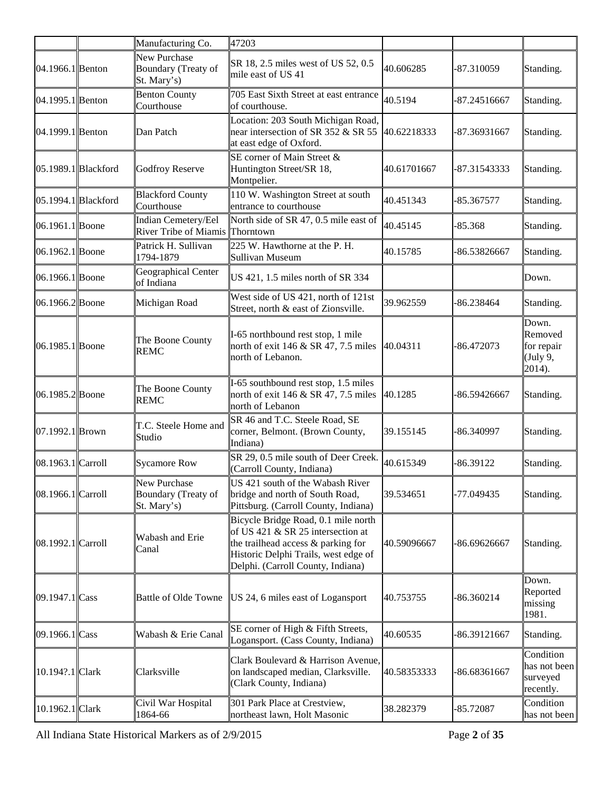|                         |                         | Manufacturing Co.                                         | 47203                                                                                                                                                                                       |             |                |                                                      |
|-------------------------|-------------------------|-----------------------------------------------------------|---------------------------------------------------------------------------------------------------------------------------------------------------------------------------------------------|-------------|----------------|------------------------------------------------------|
| 04.1966.1 Benton        |                         | <b>New Purchase</b><br>Boundary (Treaty of<br>St. Mary's) | SR 18, 2.5 miles west of US 52, 0.5<br>mile east of US 41                                                                                                                                   | 40.606285   | $-87.310059$   | Standing.                                            |
| 04.1995.1 Benton        |                         | <b>Benton County</b><br>Courthouse                        | 705 East Sixth Street at east entrance<br>of courthouse.                                                                                                                                    | 40.5194     | $-87.24516667$ | Standing.                                            |
| 04.1999.1 Benton        |                         | Dan Patch                                                 | Location: 203 South Michigan Road,<br>near intersection of SR 352 & SR 55<br>at east edge of Oxford.                                                                                        | 40.62218333 | -87.36931667   | Standing.                                            |
| $ 05.1989.1 $ Blackford |                         | <b>Godfroy Reserve</b>                                    | SE corner of Main Street &<br>Huntington Street/SR 18,<br>Montpelier.                                                                                                                       | 40.61701667 | -87.31543333   | Standing.                                            |
|                         | $ 05.1994.1 $ Blackford | <b>Blackford County</b><br>Courthouse                     | 110 W. Washington Street at south<br>entrance to courthouse                                                                                                                                 | 40.451343   | -85.367577     | Standing.                                            |
| 06.1961.1 Boone         |                         | Indian Cemetery/Eel<br>River Tribe of Miamis              | North side of SR 47, 0.5 mile east of<br>Thorntown                                                                                                                                          | 40.45145    | $-85.368$      | Standing.                                            |
| $ 06.1962.1 $ Boone     |                         | Patrick H. Sullivan<br>1794-1879                          | 225 W. Hawthorne at the P. H.<br><b>Sullivan Museum</b>                                                                                                                                     | 40.15785    | -86.53826667   | Standing.                                            |
| $ 06.1966.1 $ Boone     |                         | Geographical Center<br>of Indiana                         | US 421, 1.5 miles north of SR 334                                                                                                                                                           |             |                | Down.                                                |
| $ 06.1966.2 $ Boone     |                         | Michigan Road                                             | West side of US 421, north of 121st<br>Street, north & east of Zionsville.                                                                                                                  | 39.962559   | -86.238464     | Standing.                                            |
| $ 06.1985.1 $ Boone     |                         | The Boone County<br><b>REMC</b>                           | I-65 northbound rest stop, 1 mile<br>north of exit 146 & SR 47, 7.5 miles 40.04311<br>north of Lebanon.                                                                                     |             | $-86.472073$   | Down.<br>Removed<br>for repair<br>(July 9,<br>2014). |
| $ 06.1985.2 $ Boone     |                         | The Boone County<br><b>REMC</b>                           | I-65 southbound rest stop, 1.5 miles<br>north of exit 146 & SR 47, 7.5 miles<br>north of Lebanon                                                                                            | 40.1285     | -86.59426667   | Standing.                                            |
| $ 07.1992.1 $ Brown     |                         | T.C. Steele Home and<br>Studio                            | SR 46 and T.C. Steele Road, SE<br>corner, Belmont. (Brown County,<br>Indiana)                                                                                                               | 39.155145   | -86.340997     | Standing.                                            |
| 08.1963.1 Carroll       |                         | <b>Sycamore Row</b>                                       | SR 29, 0.5 mile south of Deer Creek.<br>(Carroll County, Indiana)                                                                                                                           | 40.615349   | $-86.39122$    | Standing.                                            |
| 08.1966.1 Carroll       |                         | New Purchase<br>Boundary (Treaty of<br>St. Mary's)        | US 421 south of the Wabash River<br>bridge and north of South Road,<br>Pittsburg. (Carroll County, Indiana)                                                                                 | 39.534651   | -77.049435     | Standing.                                            |
| 08.1992.1 Carroll       |                         | Wabash and Erie<br>Canal                                  | Bicycle Bridge Road, 0.1 mile north<br>of US 421 & SR 25 intersection at<br>the trailhead access & parking for<br>Historic Delphi Trails, west edge of<br>Delphi. (Carroll County, Indiana) | 40.59096667 | -86.69626667   | Standing.                                            |
| $ 09.1947.1 $ Cass      |                         | <b>Battle of Olde Towne</b>                               | US 24, 6 miles east of Logansport                                                                                                                                                           | 40.753755   | $-86.360214$   | Down.<br>Reported<br>missing<br>1981.                |
| $ 09.1966.1 $ Cass      |                         | Wabash & Erie Canal                                       | SE corner of High & Fifth Streets,<br>Logansport. (Cass County, Indiana)                                                                                                                    | 40.60535    | 86.39121667    | Standing.                                            |
| 10.194?.1 Clark         |                         | Clarksville                                               | Clark Boulevard & Harrison Avenue,<br>on landscaped median, Clarksville.<br>(Clark County, Indiana)                                                                                         | 40.58353333 | -86.68361667   | Condition<br>has not been<br>surveyed<br>recently.   |
| 10.1962.1 Clark         |                         | Civil War Hospital<br>1864-66                             | 301 Park Place at Crestview,<br>northeast lawn, Holt Masonic                                                                                                                                | 38.282379   | -85.72087      | Condition<br>has not been                            |

All Indiana State Historical Markers as of 2/9/2015 Page **2** of **35**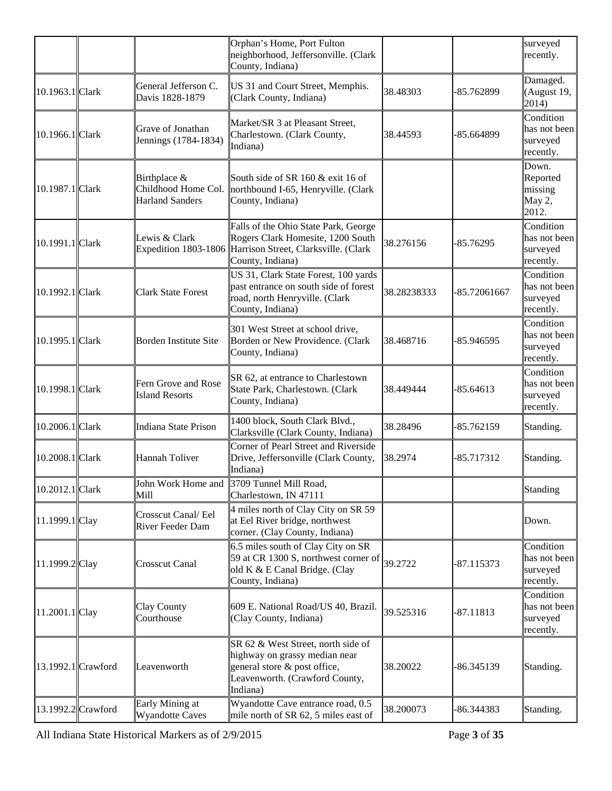|                    |                                                               | Orphan's Home, Port Fulton<br>neighborhood, Jeffersonville. (Clark<br>County, Indiana)                                                                     |             |              | surveyed<br>recently.                              |
|--------------------|---------------------------------------------------------------|------------------------------------------------------------------------------------------------------------------------------------------------------------|-------------|--------------|----------------------------------------------------|
| 10.1963.1 Clark    | General Jefferson C.<br>Davis 1828-1879                       | US 31 and Court Street, Memphis.<br>(Clark County, Indiana)                                                                                                | 38.48303    | -85.762899   | Damaged.<br>(August 19,<br>2014)                   |
| 10.1966.1 Clark    | Grave of Jonathan<br>Jennings (1784-1834)                     | Market/SR 3 at Pleasant Street,<br>Charlestown. (Clark County,<br>Indiana)                                                                                 | 38.44593    | -85.664899   | Condition<br>has not been<br>surveyed<br>recently. |
| 10.1987.1 Clark    | Birthplace &<br>Childhood Home Col.<br><b>Harland Sanders</b> | South side of SR 160 & exit 16 of<br>northbound I-65, Henryville. (Clark<br>County, Indiana)                                                               |             |              | Down.<br>Reported<br>missing<br>May 2,<br>2012.    |
| 10.1991.1 Clark    | Lewis & Clark                                                 | Falls of the Ohio State Park, George<br>Rogers Clark Homesite, 1200 South<br>Expedition 1803-1806 Harrison Street, Clarksville. (Clark<br>County, Indiana) | 38.276156   | $-85.76295$  | Condition<br>has not been<br>surveyed<br>recently. |
| 10.1992.1 Clark    | <b>Clark State Forest</b>                                     | US 31, Clark State Forest, 100 yards<br>past entrance on south side of forest<br>road, north Henryville. (Clark<br>County, Indiana)                        | 38.28238333 | -85.72061667 | Condition<br>has not been<br>surveyed<br>recently. |
| 10.1995.1 Clark    | Borden Institute Site                                         | 301 West Street at school drive,<br>Borden or New Providence. (Clark<br>County, Indiana)                                                                   | 38.468716   | -85.946595   | Condition<br>has not been<br>surveyed<br>recently. |
| 10.1998.1 Clark    | Fern Grove and Rose<br><b>Island Resorts</b>                  | SR 62, at entrance to Charlestown<br>State Park, Charlestown. (Clark<br>County, Indiana)                                                                   | 38.449444   | $-85.64613$  | Condition<br>has not been<br>surveyed<br>recently. |
| 10.2006.1 Clark    | Indiana State Prison                                          | 1400 block, South Clark Blvd.,<br>Clarksville (Clark County, Indiana)                                                                                      | 38.28496    | -85.762159   | Standing.                                          |
| 10.2008.1 Clark    | Hannah Toliver                                                | Corner of Pearl Street and Riverside<br>Drive, Jeffersonville (Clark County,<br>Indiana)                                                                   | 38.2974     | $-85.717312$ | Standing.                                          |
| 10.2012.1 Clark    | John Work Home and<br>Mill                                    | 3709 Tunnel Mill Road,<br>Charlestown, IN 47111                                                                                                            |             |              | Standing                                           |
| 11.1999.1 Clay     | Crosscut Canal/ Eel<br>River Feeder Dam                       | 4 miles north of Clay City on SR 59<br>at Eel River bridge, northwest<br>corner. (Clay County, Indiana)                                                    |             |              | Down.                                              |
| 11.1999.2 Clay     | <b>Crosscut Canal</b>                                         | 6.5 miles south of Clay City on SR<br>59 at CR 1300 S, northwest corner of 39.2722<br>old K & E Canal Bridge. (Clay<br>County, Indiana)                    |             | $-87.115373$ | Condition<br>has not been<br>surveyed<br>recently. |
| 11.2001.1 Clay     | Clay County<br>Courthouse                                     | 609 E. National Road/US 40, Brazil.<br>(Clay County, Indiana)                                                                                              | 39.525316   | $-87.11813$  | Condition<br>has not been<br>surveyed<br>recently. |
| 13.1992.1 Crawford | Leavenworth                                                   | SR 62 & West Street, north side of<br>highway on grassy median near<br>general store & post office,<br>Leavenworth. (Crawford County,<br>Indiana)          | 38.20022    | -86.345139   | Standing.                                          |
| 13.1992.2 Crawford | Early Mining at<br><b>Wyandotte Caves</b>                     | Wyandotte Cave entrance road, 0.5<br>mile north of SR 62, 5 miles east of                                                                                  | 38.200073   | -86.344383   | Standing.                                          |

All Indiana State Historical Markers as of 2/9/2015 Page **3** of **35**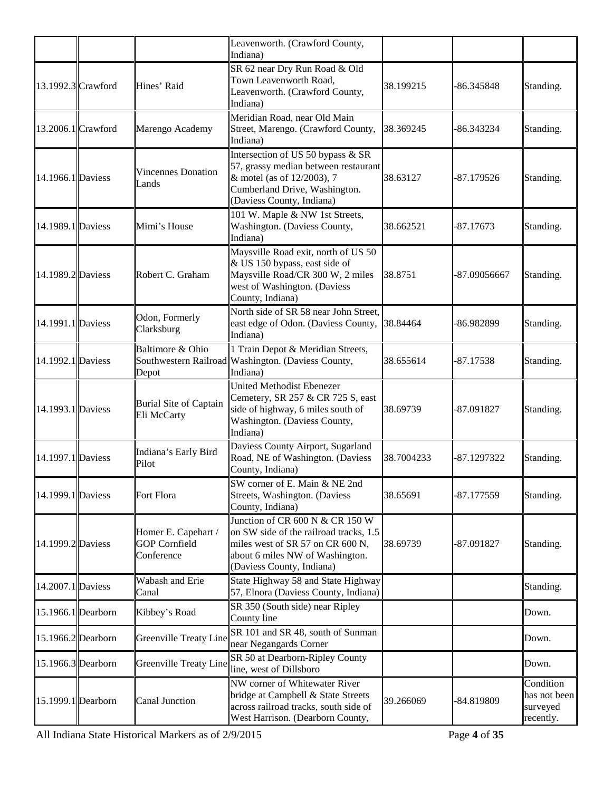|                    |                                                           | Leavenworth. (Crawford County,<br>Indiana)                                                                                                                                    |            |              |                                                    |
|--------------------|-----------------------------------------------------------|-------------------------------------------------------------------------------------------------------------------------------------------------------------------------------|------------|--------------|----------------------------------------------------|
| 13.1992.3 Crawford | Hines' Raid                                               | SR 62 near Dry Run Road & Old<br>Town Leavenworth Road,<br>Leavenworth. (Crawford County,<br>Indiana)                                                                         | 38.199215  | -86.345848   | Standing.                                          |
| 13.2006.1 Crawford | Marengo Academy                                           | Meridian Road, near Old Main<br>Street, Marengo. (Crawford County,<br>Indiana)                                                                                                | 38.369245  | -86.343234   | Standing.                                          |
| 14.1966.1 Daviess  | <b>Vincennes Donation</b><br>Lands                        | Intersection of US 50 bypass & SR<br>57, grassy median between restaurant<br>& motel (as of $12/2003$ ), 7<br>Cumberland Drive, Washington.<br>Daviess County, Indiana)       | 38.63127   | $-87.179526$ | Standing.                                          |
| 14.1989.1 Daviess  | Mimi's House                                              | 101 W. Maple & NW 1st Streets,<br>Washington. (Daviess County,<br>Indiana)                                                                                                    | 38.662521  | $-87.17673$  | Standing.                                          |
| 14.1989.2 Daviess  | Robert C. Graham                                          | Maysville Road exit, north of US 50<br>$\&$ US 150 bypass, east side of<br>Maysville Road/CR 300 W, 2 miles<br>west of Washington. (Daviess<br>County, Indiana)               | 38.8751    | -87.09056667 | Standing.                                          |
| 14.1991.1 Daviess  | Odon, Formerly<br>Clarksburg                              | North side of SR 58 near John Street,<br>east edge of Odon. (Daviess County, 38.84464<br>Indiana)                                                                             |            | -86.982899   | Standing.                                          |
| 14.1992.1 Daviess  | Baltimore & Ohio<br>Depot                                 | 1 Train Depot & Meridian Streets,<br>Southwestern Railroad Washington. (Daviess County,<br>Indiana)                                                                           | 38.655614  | $-87.17538$  | Standing.                                          |
| 14.1993.1 Daviess  | <b>Burial Site of Captain</b><br>Eli McCarty              | <b>United Methodist Ebenezer</b><br>Cemetery, SR 257 & CR 725 S, east<br>side of highway, 6 miles south of<br>Washington. (Daviess County,<br>Indiana)                        | 38.69739   | $-87.091827$ | Standing.                                          |
| 14.1997.1 Daviess  | Indiana's Early Bird<br>Pilot                             | Daviess County Airport, Sugarland<br>Road, NE of Washington. (Daviess<br>County, Indiana)                                                                                     | 38.7004233 | -87.1297322  | Standing.                                          |
| 14.1999.1 Daviess  | Fort Flora                                                | SW corner of E. Main & NE 2nd<br>Streets, Washington. (Daviess<br>County, Indiana)                                                                                            | 38.65691   | -87.177559   | Standing.                                          |
| 14.1999.2 Daviess  | Homer E. Capehart /<br><b>GOP</b> Cornfield<br>Conference | Junction of CR 600 N & CR 150 W<br>on SW side of the railroad tracks, 1.5<br>miles west of SR 57 on CR 600 N,<br>about 6 miles NW of Washington.<br>(Daviess County, Indiana) | 38.69739   | -87.091827   | Standing.                                          |
| 14.2007.1 Daviess  | Wabash and Erie<br>Canal                                  | State Highway 58 and State Highway<br>57, Elnora (Daviess County, Indiana)                                                                                                    |            |              | Standing.                                          |
| 15.1966.1 Dearborn | Kibbey's Road                                             | SR 350 (South side) near Ripley<br>County line                                                                                                                                |            |              | Down.                                              |
| 15.1966.2 Dearborn | Greenville Treaty Line                                    | SR 101 and SR 48, south of Sunman<br>near Negangards Corner                                                                                                                   |            |              | Down.                                              |
| 15.1966.3 Dearborn | Greenville Treaty Line inc. west of Dillsboro             | SR 50 at Dearborn-Ripley County                                                                                                                                               |            |              | Down.                                              |
| 15.1999.1 Dearborn | Canal Junction                                            | NW corner of Whitewater River<br>bridge at Campbell & State Streets<br>across railroad tracks, south side of<br>West Harrison. (Dearborn County,                              | 39.266069  | -84.819809   | Condition<br>has not been<br>surveyed<br>recently. |

All Indiana State Historical Markers as of 2/9/2015 Page **4** of **35**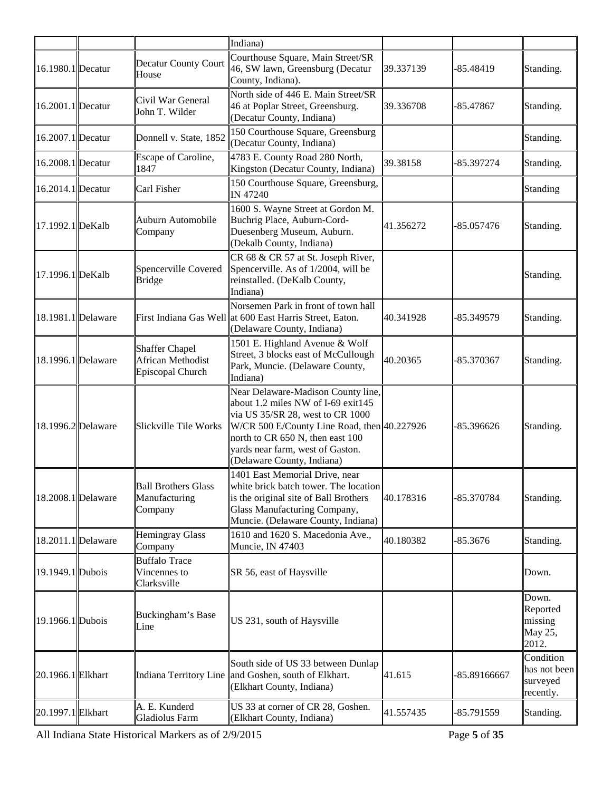|                    |                                                                | Indiana)                                                                                                                                                                                                                                                          |           |              |                                                    |
|--------------------|----------------------------------------------------------------|-------------------------------------------------------------------------------------------------------------------------------------------------------------------------------------------------------------------------------------------------------------------|-----------|--------------|----------------------------------------------------|
| 16.1980.1 Decatur  | <b>Decatur County Court</b><br>House                           | Courthouse Square, Main Street/SR<br>46, SW lawn, Greensburg (Decatur<br>County, Indiana).                                                                                                                                                                        | 39.337139 | $-85.48419$  | Standing.                                          |
| 16.2001.1 Decatur  | Civil War General<br>John T. Wilder                            | North side of 446 E. Main Street/SR<br>46 at Poplar Street, Greensburg.<br>(Decatur County, Indiana)                                                                                                                                                              | 39.336708 | $-85.47867$  | Standing.                                          |
| 16.2007.1 Decatur  | Donnell v. State, 1852                                         | 150 Courthouse Square, Greensburg<br>(Decatur County, Indiana)                                                                                                                                                                                                    |           |              | Standing.                                          |
| 16.2008.1 Decatur  | Escape of Caroline,<br>1847                                    | 4783 E. County Road 280 North,<br>Kingston (Decatur County, Indiana)                                                                                                                                                                                              | 39.38158  | -85.397274   | Standing.                                          |
| 16.2014.1 Decatur  | Carl Fisher                                                    | 150 Courthouse Square, Greensburg,<br><b>IN 47240</b>                                                                                                                                                                                                             |           |              | Standing                                           |
| 17.1992.1 DeKalb   | Auburn Automobile<br>Company                                   | 1600 S. Wayne Street at Gordon M.<br>Buchrig Place, Auburn-Cord-<br>Duesenberg Museum, Auburn.<br>(Dekalb County, Indiana)                                                                                                                                        | 41.356272 | -85.057476   | Standing.                                          |
| 17.1996.1 DeKalb   | Spencerville Covered<br><b>Bridge</b>                          | CR 68 & CR 57 at St. Joseph River,<br>Spencerville. As of 1/2004, will be<br>reinstalled. (DeKalb County,<br>Indiana)                                                                                                                                             |           |              | Standing.                                          |
| 18.1981.1 Delaware |                                                                | Norsemen Park in front of town hall<br>First Indiana Gas Well at 600 East Harris Street, Eaton.<br>(Delaware County, Indiana)                                                                                                                                     | 40.341928 | -85.349579   | Standing.                                          |
| 18.1996.1 Delaware | <b>Shaffer Chapel</b><br>African Methodist<br>Episcopal Church | 1501 E. Highland Avenue & Wolf<br>Street, 3 blocks east of McCullough<br>Park, Muncie. (Delaware County,<br>Indiana)                                                                                                                                              | 40.20365  | -85.370367   | Standing.                                          |
| 18.1996.2 Delaware | Slickville Tile Works                                          | Near Delaware-Madison County line,<br>about 1.2 miles NW of I-69 exit145<br>via US 35/SR 28, west to CR 1000<br>W/CR 500 E/County Line Road, then 40.227926<br>north to CR 650 N, then east 100<br>yards near farm, west of Gaston.<br>(Delaware County, Indiana) |           | -85.396626   | Standing.                                          |
| 18.2008.1 Delaware | <b>Ball Brothers Glass</b><br>Manufacturing<br>Company         | 1401 East Memorial Drive, near<br>white brick batch tower. The location<br>is the original site of Ball Brothers<br>Glass Manufacturing Company,<br>Muncie. (Delaware County, Indiana)                                                                            | 40.178316 | -85.370784   | Standing.                                          |
| 18.2011.1 Delaware | <b>Hemingray Glass</b><br>Company                              | 1610 and 1620 S. Macedonia Ave.,<br>Muncie, IN 47403                                                                                                                                                                                                              | 40.180382 | $-85.3676$   | Standing.                                          |
| 19.1949.1 Dubois   | <b>Buffalo Trace</b><br>Vincennes to<br>Clarksville            | SR 56, east of Haysville                                                                                                                                                                                                                                          |           |              | Down.                                              |
| 19.1966.1 Dubois   | Buckingham's Base<br>Line                                      | US 231, south of Haysville                                                                                                                                                                                                                                        |           |              | Down.<br>Reported<br>missing<br>May 25,<br>2012.   |
| 20.1966.1 Elkhart  |                                                                | South side of US 33 between Dunlap<br>Indiana Territory Line and Goshen, south of Elkhart.<br>(Elkhart County, Indiana)                                                                                                                                           | 41.615    | -85.89166667 | Condition<br>has not been<br>surveyed<br>recently. |
| 20.1997.1 Elkhart  | A. E. Kunderd<br>Gladiolus Farm                                | US 33 at corner of CR 28, Goshen.<br>(Elkhart County, Indiana)                                                                                                                                                                                                    | 41.557435 | -85.791559   | Standing.                                          |

All Indiana State Historical Markers as of 2/9/2015 Page **5** of **35**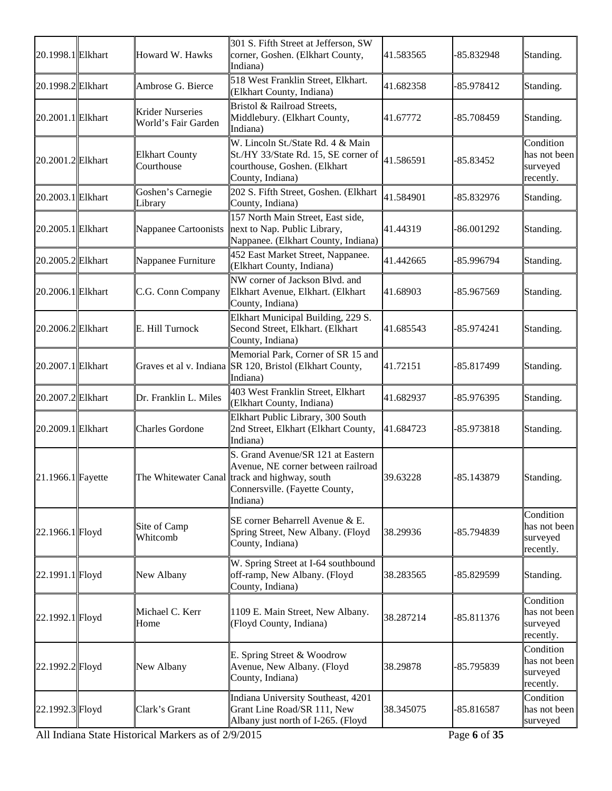| 20.1998.1 Elkhart | Howard W. Hawks                                | 301 S. Fifth Street at Jefferson, SW<br>corner, Goshen. (Elkhart County,<br>Indiana)                                                                                   | 41.583565 | -85.832948   | Standing.                                          |
|-------------------|------------------------------------------------|------------------------------------------------------------------------------------------------------------------------------------------------------------------------|-----------|--------------|----------------------------------------------------|
| 20.1998.2 Elkhart | Ambrose G. Bierce                              | 518 West Franklin Street, Elkhart.<br>(Elkhart County, Indiana)                                                                                                        | 41.682358 | -85.978412   | Standing.                                          |
| 20.2001.1 Elkhart | <b>Krider Nurseries</b><br>World's Fair Garden | Bristol & Railroad Streets,<br>Middlebury. (Elkhart County,<br>Indiana)                                                                                                | 41.67772  | -85.708459   | Standing.                                          |
| 20.2001.2 Elkhart | <b>Elkhart County</b><br>Courthouse            | W. Lincoln St./State Rd. 4 & Main<br>St./HY 33/State Rd. 15, SE corner of<br>courthouse, Goshen. (Elkhart<br>County, Indiana)                                          | 41.586591 | $-85.83452$  | Condition<br>has not been<br>surveyed<br>recently. |
| 20.2003.1 Elkhart | Goshen's Carnegie<br>Library                   | 202 S. Fifth Street, Goshen. (Elkhart<br>County, Indiana)                                                                                                              | 41.584901 | -85.832976   | Standing.                                          |
| 20.2005.1 Elkhart | Nappanee Cartoonists                           | 157 North Main Street, East side,<br>next to Nap. Public Library,<br>Nappanee. (Elkhart County, Indiana)                                                               | 41.44319  | -86.001292   | Standing.                                          |
| 20.2005.2 Elkhart | Nappanee Furniture                             | 452 East Market Street, Nappanee.<br>(Elkhart County, Indiana)                                                                                                         | 41.442665 | -85.996794   | Standing.                                          |
| 20.2006.1 Elkhart | C.G. Conn Company                              | NW corner of Jackson Blvd. and<br>Elkhart Avenue, Elkhart. (Elkhart<br>County, Indiana)                                                                                | 41.68903  | -85.967569   | Standing.                                          |
| 20.2006.2 Elkhart | E. Hill Turnock                                | Elkhart Municipal Building, 229 S.<br>Second Street, Elkhart. (Elkhart<br>County, Indiana)                                                                             | 41.685543 | $-85.974241$ | Standing.                                          |
| 20.2007.1 Elkhart |                                                | Memorial Park, Corner of SR 15 and<br>Graves et al v. Indiana SR 120, Bristol (Elkhart County,<br>Indiana)                                                             | 41.72151  | -85.817499   | Standing.                                          |
| 20.2007.2 Elkhart | Dr. Franklin L. Miles                          | 403 West Franklin Street, Elkhart<br>(Elkhart County, Indiana)                                                                                                         | 41.682937 | -85.976395   | Standing.                                          |
| 20.2009.1 Elkhart | <b>Charles Gordone</b>                         | Elkhart Public Library, 300 South<br>2nd Street, Elkhart (Elkhart County,<br>Indiana)                                                                                  | 41.684723 | -85.973818   | Standing.                                          |
| 21.1966.1 Fayette |                                                | S. Grand Avenue/SR 121 at Eastern<br>Avenue, NE corner between railroad<br>The Whitewater Canal track and highway, south<br>Connersville. (Fayette County,<br>Indiana) | 39.63228  | -85.143879   | Standing.                                          |
| 22.1966.1 Floyd   | Site of Camp<br>Whitcomb                       | SE corner Beharrell Avenue & E.<br>Spring Street, New Albany. (Floyd<br>County, Indiana)                                                                               | 38.29936  | -85.794839   | Condition<br>has not been<br>surveyed<br>recently. |
| 22.1991.1 Floyd   | New Albany                                     | W. Spring Street at I-64 southbound<br>off-ramp, New Albany. (Floyd<br>County, Indiana)                                                                                | 38.283565 | -85.829599   | Standing.                                          |
| 22.1992.1 Floyd   | Michael C. Kerr<br>Home                        | 1109 E. Main Street, New Albany.<br>(Floyd County, Indiana)                                                                                                            | 38.287214 | -85.811376   | Condition<br>has not been<br>surveyed<br>recently. |
| 22.1992.2 Floyd   | New Albany                                     | E. Spring Street & Woodrow<br>Avenue, New Albany. (Floyd<br>County, Indiana)                                                                                           | 38.29878  | -85.795839   | Condition<br>has not been<br>surveyed<br>recently. |
| 22.1992.3 Floyd   | Clark's Grant                                  | Indiana University Southeast, 4201<br>Grant Line Road/SR 111, New<br>Albany just north of I-265. (Floyd                                                                | 38.345075 | -85.816587   | Condition<br>has not been<br>surveyed              |

All Indiana State Historical Markers as of 2/9/2015 Page **6** of **35**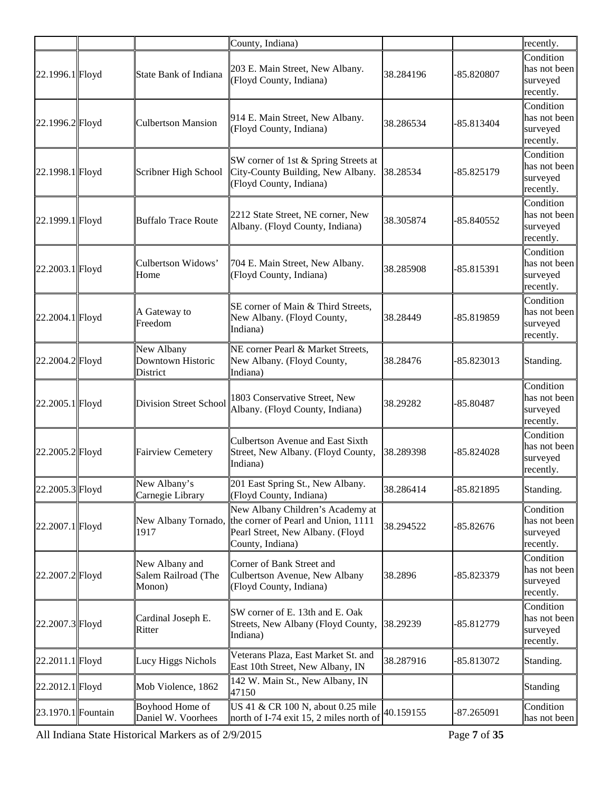|                    |                                                 | County, Indiana)                                                                                                                                    |           |              | recently.                                          |
|--------------------|-------------------------------------------------|-----------------------------------------------------------------------------------------------------------------------------------------------------|-----------|--------------|----------------------------------------------------|
| 22.1996.1 Floyd    | State Bank of Indiana                           | 203 E. Main Street, New Albany.<br>(Floyd County, Indiana)                                                                                          | 38.284196 | -85.820807   | Condition<br>has not been<br>surveyed<br>recently. |
| 22.1996.2Floyd     | <b>Culbertson Mansion</b>                       | 914 E. Main Street, New Albany.<br>(Floyd County, Indiana)                                                                                          | 38.286534 | $-85.813404$ | Condition<br>has not been<br>surveyed<br>recently. |
| 22.1998.1 Floyd    | Scribner High School                            | SW corner of 1st & Spring Streets at<br>City-County Building, New Albany.<br>(Floyd County, Indiana)                                                | 38.28534  | $-85.825179$ | Condition<br>has not been<br>surveyed<br>recently. |
| 22.1999.1 Floyd    | <b>Buffalo Trace Route</b>                      | 2212 State Street, NE corner, New<br>Albany. (Floyd County, Indiana)                                                                                | 38.305874 | -85.840552   | Condition<br>has not been<br>surveyed<br>recently. |
| 22.2003.1 Floyd    | Culbertson Widows'<br>Home                      | 704 E. Main Street, New Albany.<br>(Floyd County, Indiana)                                                                                          | 38.285908 | -85.815391   | Condition<br>has not been<br>surveyed<br>recently. |
| 22.2004.1 Floyd    | A Gateway to<br>Freedom                         | SE corner of Main & Third Streets,<br>New Albany. (Floyd County,<br>Indiana)                                                                        | 38.28449  | -85.819859   | Condition<br>has not been<br>surveyed<br>recently. |
| 22.2004.2 Floyd    | New Albany<br>Downtown Historic<br>District     | NE corner Pearl & Market Streets,<br>New Albany. (Floyd County,<br>Indiana)                                                                         | 38.28476  | -85.823013   | Standing.                                          |
| 22.2005.1 Floyd    | <b>Division Street School</b>                   | 1803 Conservative Street, New<br>Albany. (Floyd County, Indiana)                                                                                    | 38.29282  | $-85.80487$  | Condition<br>has not been<br>surveyed<br>recently. |
| 22.2005.2 Floyd    | <b>Fairview Cemetery</b>                        | <b>Culbertson Avenue and East Sixth</b><br>Street, New Albany. (Floyd County,<br>Indiana)                                                           | 38.289398 | -85.824028   | Condition<br>has not been<br>surveyed<br>recently. |
| 22.2005.3 Floyd    | New Albany's<br>Carnegie Library                | 201 East Spring St., New Albany.<br>(Floyd County, Indiana)                                                                                         | 38.286414 | $-85.821895$ | Standing.                                          |
| 22.2007.1 Floyd    | 1917                                            | New Albany Children's Academy at<br>New Albany Tornado, the corner of Pearl and Union, 1111<br>Pearl Street, New Albany. (Floyd<br>County, Indiana) | 38.294522 | $-85.82676$  | Condition<br>has not been<br>surveyed<br>recently. |
| 22.2007.2 Floyd    | New Albany and<br>Salem Railroad (The<br>Monon) | Corner of Bank Street and<br>Culbertson Avenue, New Albany<br>(Floyd County, Indiana)                                                               | 38.2896   | -85.823379   | Condition<br>has not been<br>surveyed<br>recently. |
| 22.2007.3 Floyd    | Cardinal Joseph E.<br>Ritter                    | SW corner of E. 13th and E. Oak<br>Streets, New Albany (Floyd County,<br>Indiana)                                                                   | 38.29239  | -85.812779   | Condition<br>has not been<br>surveyed<br>recently. |
| 22.2011.1 Floyd    | Lucy Higgs Nichols                              | Veterans Plaza, East Market St. and<br>East 10th Street, New Albany, IN                                                                             | 38.287916 | -85.813072   | Standing.                                          |
| 22.2012.1 Floyd    | Mob Violence, 1862                              | 142 W. Main St., New Albany, IN<br>47150                                                                                                            |           |              | Standing                                           |
| 23.1970.1 Fountain | Boyhood Home of<br>Daniel W. Voorhees           | US 41 & CR 100 N, about 0.25 mile<br>north of I-74 exit 15, 2 miles north of                                                                        | 40.159155 | $-87.265091$ | Condition<br>has not been                          |

All Indiana State Historical Markers as of 2/9/2015 Page **7** of **35**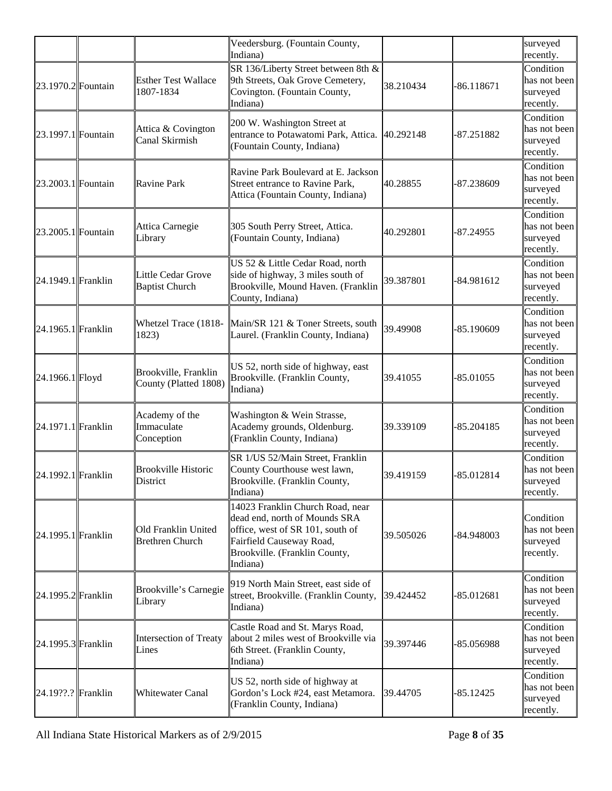|                      |                                               | Veedersburg. (Fountain County,<br>Indiana)                                                                                                                                     |           |              | surveyed<br>recently.                              |
|----------------------|-----------------------------------------------|--------------------------------------------------------------------------------------------------------------------------------------------------------------------------------|-----------|--------------|----------------------------------------------------|
| 23.1970.2 Fountain   | <b>Esther Test Wallace</b><br>1807-1834       | SR 136/Liberty Street between 8th &<br>9th Streets, Oak Grove Cemetery,<br>Covington. (Fountain County,<br>Indiana)                                                            | 38.210434 | $-86.118671$ | Condition<br>has not been<br>surveyed<br>recently. |
| 23.1997.1 Fountain   | Attica & Covington<br>Canal Skirmish          | 200 W. Washington Street at<br>entrance to Potawatomi Park, Attica.<br>(Fountain County, Indiana)                                                                              | 40.292148 | -87.251882   | Condition<br>has not been<br>surveyed<br>recently. |
| 23.2003.1 Fountain   | <b>Ravine Park</b>                            | Ravine Park Boulevard at E. Jackson<br>Street entrance to Ravine Park,<br>Attica (Fountain County, Indiana)                                                                    | 40.28855  | -87.238609   | Condition<br>has not been<br>surveyed<br>recently. |
| 23.2005.1 Fountain   | Attica Carnegie<br>Library                    | 305 South Perry Street, Attica.<br>(Fountain County, Indiana)                                                                                                                  | 40.292801 | -87.24955    | Condition<br>has not been<br>surveyed<br>recently. |
| 24.1949.1 Franklin   | Little Cedar Grove<br><b>Baptist Church</b>   | US 52 & Little Cedar Road, north<br>side of highway, 3 miles south of<br>Brookville, Mound Haven. (Franklin<br>County, Indiana)                                                | 39.387801 | -84.981612   | Condition<br>has not been<br>surveyed<br>recently. |
| 24.1965.1 Franklin   | Whetzel Trace (1818-<br>1823)                 | Main/SR 121 & Toner Streets, south<br>Laurel. (Franklin County, Indiana)                                                                                                       | 39.49908  | $-85.190609$ | Condition<br>has not been<br>surveyed<br>recently. |
| 24.1966.1 Floyd      | Brookville, Franklin<br>County (Platted 1808) | US 52, north side of highway, east<br>Brookville. (Franklin County,<br>Indiana)                                                                                                | 39.41055  | $-85.01055$  | Condition<br>has not been<br>surveyed<br>recently. |
| $24.1971.1$ Franklin | Academy of the<br>Immaculate<br>Conception    | Washington & Wein Strasse,<br>Academy grounds, Oldenburg.<br>(Franklin County, Indiana)                                                                                        | 39.339109 | -85.204185   | Condition<br>has not been<br>surveyed<br>recently. |
| 24.1992.1 Franklin   | <b>Brookville Historic</b><br>District        | SR 1/US 52/Main Street, Franklin<br>County Courthouse west lawn,<br>Brookville. (Franklin County,<br>Indiana)                                                                  | 39.419159 | $-85.012814$ | Condition<br>has not been<br>surveved<br>recently. |
| 24.1995.1 Franklin   | Old Franklin United<br><b>Brethren Church</b> | 14023 Franklin Church Road, near<br>dead end, north of Mounds SRA<br>office, west of SR 101, south of<br>Fairfield Causeway Road,<br>Brookville. (Franklin County,<br>Indiana) | 39.505026 | -84.948003   | Condition<br>has not been<br>surveyed<br>recently. |
| 24.1995.2 Franklin   | Brookville's Carnegie<br>Library              | 919 North Main Street, east side of<br>street, Brookville. (Franklin County,<br>Indiana)                                                                                       | 39.424452 | -85.012681   | Condition<br>has not been<br>surveyed<br>recently. |
| 24.1995.3 Franklin   | <b>Intersection of Treaty</b><br>Lines        | Castle Road and St. Marys Road,<br>about 2 miles west of Brookville via<br>6th Street. (Franklin County,<br>Indiana)                                                           | 39.397446 | -85.056988   | Condition<br>has not been<br>surveyed<br>recently. |
| 24.19??.? Franklin   | <b>Whitewater Canal</b>                       | US 52, north side of highway at<br>Gordon's Lock #24, east Metamora.<br>(Franklin County, Indiana)                                                                             | 39.44705  | $-85.12425$  | Condition<br>has not been<br>surveyed<br>recently. |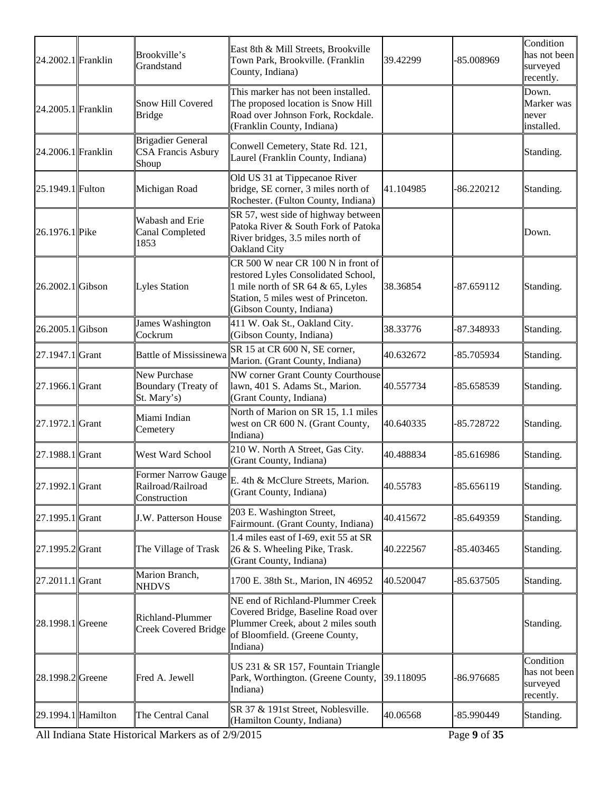| 24.2002.1 Franklin | Brookville's<br>Grandstand                                     | East 8th & Mill Streets, Brookville<br>Town Park, Brookville. (Franklin<br>County, Indiana)                                                                                       | 39.42299  | -85.008969   | Condition<br>has not been<br>surveyed<br>recently. |
|--------------------|----------------------------------------------------------------|-----------------------------------------------------------------------------------------------------------------------------------------------------------------------------------|-----------|--------------|----------------------------------------------------|
| 24.2005.1 Franklin | Snow Hill Covered<br>Bridge                                    | This marker has not been installed.<br>The proposed location is Snow Hill<br>Road over Johnson Fork, Rockdale.<br>(Franklin County, Indiana)                                      |           |              | Down.<br>Marker was<br>never<br>installed.         |
| 24.2006.1 Franklin | <b>Brigadier General</b><br><b>CSA Francis Asbury</b><br>Shoup | Conwell Cemetery, State Rd. 121,<br>Laurel (Franklin County, Indiana)                                                                                                             |           |              | Standing.                                          |
| 25.1949.1 Fulton   | Michigan Road                                                  | Old US 31 at Tippecanoe River<br>bridge, SE corner, 3 miles north of<br>Rochester. (Fulton County, Indiana)                                                                       | 41.104985 | $-86.220212$ | Standing.                                          |
| 26.1976.1 Pike     | Wabash and Erie<br><b>Canal Completed</b><br>1853              | SR 57, west side of highway between<br>Patoka River & South Fork of Patoka<br>River bridges, 3.5 miles north of<br>Oakland City                                                   |           |              | Down.                                              |
| 26.2002.1 Gibson   | Lyles Station                                                  | CR 500 W near CR 100 N in front of<br>restored Lyles Consolidated School,<br>1 mile north of SR 64 & 65, Lyles<br>Station, 5 miles west of Princeton.<br>(Gibson County, Indiana) | 38.36854  | $-87.659112$ | Standing.                                          |
| 26.2005.1 Gibson   | James Washington<br>Cockrum                                    | 411 W. Oak St., Oakland City.<br>(Gibson County, Indiana)                                                                                                                         | 38.33776  | -87.348933   | Standing.                                          |
| 27.1947.1 Grant    | <b>Battle of Mississinewa</b>                                  | SR 15 at CR 600 N, SE corner,<br>Marion. (Grant County, Indiana)                                                                                                                  | 40.632672 | -85.705934   | Standing.                                          |
| 27.1966.1 Grant    | New Purchase<br>Boundary (Treaty of<br>St. Mary's)             | NW corner Grant County Courthouse<br>lawn, 401 S. Adams St., Marion.<br>(Grant County, Indiana)                                                                                   | 40.557734 | -85.658539   | Standing.                                          |
| 27.1972.1 Grant    | Miami Indian<br>Cemetery                                       | North of Marion on SR 15, 1.1 miles<br>west on CR 600 N. (Grant County,<br>Indiana)                                                                                               | 40.640335 | -85.728722   | Standing.                                          |
| 27.1988.1 Grant    | West Ward School                                               | 210 W. North A Street, Gas City.<br>(Grant County, Indiana)                                                                                                                       | 40.488834 | $-85.616986$ | Standing.                                          |
| 27.1992.1 Grant    | Former Narrow Gauge<br>Railroad/Railroad<br>Construction       | E. 4th & McClure Streets, Marion.<br>(Grant County, Indiana)                                                                                                                      | 40.55783  | $-85.656119$ | Standing.                                          |
| 27.1995.1 Grant    | <b>J.W. Patterson House</b>                                    | 203 E. Washington Street,<br>Fairmount. (Grant County, Indiana)                                                                                                                   | 40.415672 | -85.649359   | Standing.                                          |
| 27.1995.2 Grant    | The Village of Trask                                           | 1.4 miles east of I-69, exit 55 at SR<br>26 & S. Wheeling Pike, Trask.<br>(Grant County, Indiana)                                                                                 | 40.222567 | -85.403465   | Standing.                                          |
| 27.2011.1 Grant    | Marion Branch,<br><b>NHDVS</b>                                 | 1700 E. 38th St., Marion, IN 46952                                                                                                                                                | 40.520047 | $-85.637505$ | Standing.                                          |
| 28.1998.1 Greene   | Richland-Plummer<br><b>Creek Covered Bridge</b>                | NE end of Richland-Plummer Creek<br>Covered Bridge, Baseline Road over<br>Plummer Creek, about 2 miles south<br>of Bloomfield. (Greene County,<br>Indiana)                        |           |              | Standing.                                          |
| 28.1998.2 Greene   | Fred A. Jewell                                                 | US 231 & SR 157, Fountain Triangle<br>Park, Worthington. (Greene County,<br>Indiana)                                                                                              | 39.118095 | -86.976685   | Condition<br>has not been<br>surveyed<br>recently. |
| 29.1994.1 Hamilton | The Central Canal                                              | SR 37 & 191st Street, Noblesville.<br>(Hamilton County, Indiana)                                                                                                                  | 40.06568  | -85.990449   | Standing.                                          |
|                    |                                                                |                                                                                                                                                                                   |           |              |                                                    |

All Indiana State Historical Markers as of 2/9/2015 Page **9** of **35**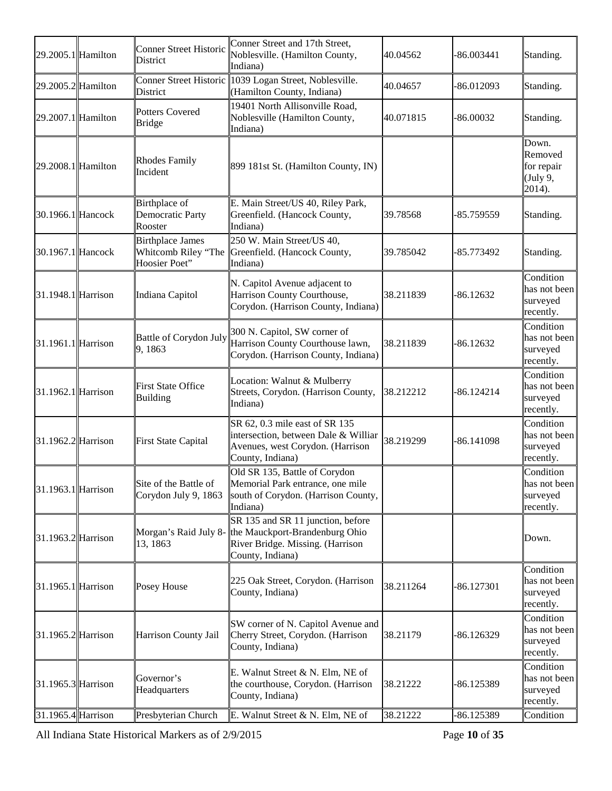| 29.2005.1 Hamilton     | Conner Street Historic<br><b>District</b>                       | Conner Street and 17th Street,<br>Noblesville. (Hamilton County,<br>Indiana)                                                                      | 40.04562  | $-86.003441$ | Standing.                                            |
|------------------------|-----------------------------------------------------------------|---------------------------------------------------------------------------------------------------------------------------------------------------|-----------|--------------|------------------------------------------------------|
| 29.2005.2 Hamilton     | <b>District</b>                                                 | Conner Street Historic 1039 Logan Street, Noblesville.<br>(Hamilton County, Indiana)                                                              | 40.04657  | -86.012093   | Standing.                                            |
| 29.2007.1 Hamilton     | Potters Covered<br><b>Bridge</b>                                | 19401 North Allisonville Road,<br>Noblesville (Hamilton County,<br>Indiana)                                                                       | 40.071815 | $-86.00032$  | Standing.                                            |
| 29.2008.1 Hamilton     | <b>Rhodes Family</b><br>Incident                                | 899 181st St. (Hamilton County, IN)                                                                                                               |           |              | Down.<br>Removed<br>for repair<br>(July 9,<br>2014). |
| 30.1966.1 Hancock      | Birthplace of<br>Democratic Party<br>Rooster                    | E. Main Street/US 40, Riley Park,<br>Greenfield. (Hancock County,<br>Indiana)                                                                     | 39.78568  | -85.759559   | Standing.                                            |
| 30.1967.1 Hancock      | <b>Birthplace James</b><br>Whitcomb Riley "The<br>Hoosier Poet" | 250 W. Main Street/US 40,<br>Greenfield. (Hancock County,<br>Indiana)                                                                             | 39.785042 | -85.773492   | Standing.                                            |
| $31.1948.1$ Harrison   | Indiana Capitol                                                 | N. Capitol Avenue adjacent to<br>Harrison County Courthouse,<br>Corydon. (Harrison County, Indiana)                                               | 38.211839 | $-86.12632$  | Condition<br>has not been<br>surveyed<br>recently.   |
| $31.1961.1$ Harrison   | Battle of Corydon July<br>9,1863                                | 300 N. Capitol, SW corner of<br>Harrison County Courthouse lawn,<br>Corydon. (Harrison County, Indiana)                                           | 38.211839 | $-86.12632$  | Condition<br>has not been<br>surveyed<br>recently.   |
| $31.1962.1$ Harrison   | <b>First State Office</b><br>Building                           | Location: Walnut & Mulberry<br>Streets, Corydon. (Harrison County,<br>Indiana)                                                                    | 38.212212 | -86.124214   | Condition<br>has not been<br>surveyed<br>recently.   |
| 31.1962.2 Harrison     | First State Capital                                             | SR 62, 0.3 mile east of SR 135<br>intersection, between Dale & Williar<br>Avenues, west Corydon. (Harrison<br>County, Indiana)                    | 38.219299 | $-86.141098$ | Condition<br>has not been<br>surveyed<br>recently.   |
| 31.1963.1 Harrison     | Site of the Battle of<br>Corydon July 9, 1863                   | Old SR 135, Battle of Corydon<br>Memorial Park entrance, one mile<br>south of Corydon. (Harrison County,<br>Indiana)                              |           |              | Condition<br>has not been<br>surveyed<br>recently.   |
| 31.1963.2 Harrison     | 13, 1863                                                        | SR 135 and SR 11 junction, before<br>Morgan's Raid July 8- the Mauckport-Brandenburg Ohio<br>River Bridge. Missing. (Harrison<br>County, Indiana) |           |              | Down.                                                |
| 31.1965.1 Harrison     | Posey House                                                     | 225 Oak Street, Corydon. (Harrison<br>County, Indiana)                                                                                            | 38.211264 | $-86.127301$ | Condition<br>has not been<br>surveyed<br>recently.   |
| 31.1965.2 Harrison     | Harrison County Jail                                            | SW corner of N. Capitol Avenue and<br>Cherry Street, Corydon. (Harrison<br>County, Indiana)                                                       | 38.21179  | $-86.126329$ | Condition<br>has not been<br>surveyed<br>recently.   |
| $ 31.1965.3 $ Harrison | Governor's<br>Headquarters                                      | E. Walnut Street & N. Elm, NE of<br>the courthouse, Corydon. (Harrison<br>County, Indiana)                                                        | 38.21222  | -86.125389   | Condition<br>has not been<br>surveyed<br>recently.   |
| 31.1965.4 Harrison     | Presbyterian Church                                             | E. Walnut Street & N. Elm, NE of                                                                                                                  | 38.21222  | -86.125389   | Condition                                            |

All Indiana State Historical Markers as of 2/9/2015 Page **10** of **35**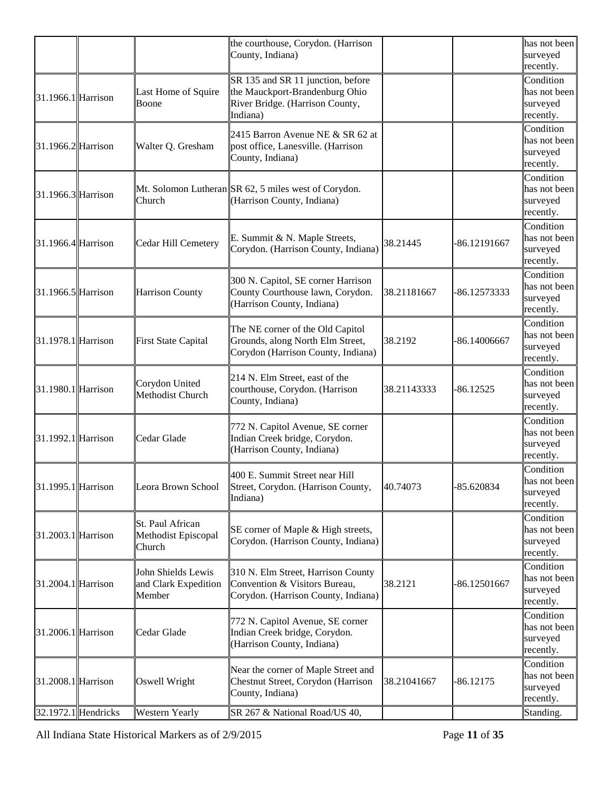|                     |                     |                       | the courthouse, Corydon. (Harrison                                  |             |              | has not been              |
|---------------------|---------------------|-----------------------|---------------------------------------------------------------------|-------------|--------------|---------------------------|
|                     |                     |                       | County, Indiana)                                                    |             |              | surveyed                  |
|                     |                     |                       |                                                                     |             |              | recently.                 |
|                     |                     |                       | SR 135 and SR 11 junction, before                                   |             |              | Condition                 |
| 31.1966.1 Harrison  |                     | Last Home of Squire   | the Mauckport-Brandenburg Ohio                                      |             |              | has not been              |
|                     |                     | Boone                 | River Bridge. (Harrison County,<br>Indiana)                         |             |              | surveyed                  |
|                     |                     |                       |                                                                     |             |              | recently.                 |
|                     |                     |                       | 2415 Barron Avenue NE & SR 62 at                                    |             |              | Condition<br>has not been |
| 31.1966.2 Harrison  |                     | Walter Q. Gresham     | post office, Lanesville. (Harrison                                  |             |              | surveyed                  |
|                     |                     |                       | County, Indiana)                                                    |             |              | recently.                 |
|                     |                     |                       |                                                                     |             |              | Condition                 |
|                     |                     |                       | Mt. Solomon Lutheran SR 62, 5 miles west of Corydon.                |             |              | has not been              |
| 31.1966.3 Harrison  |                     | Church                | (Harrison County, Indiana)                                          |             |              | surveyed                  |
|                     |                     |                       |                                                                     |             |              | recently.                 |
|                     |                     |                       |                                                                     |             |              | Condition                 |
| 31.1966.4 Harrison  |                     | Cedar Hill Cemetery   | E. Summit & N. Maple Streets,                                       | 38.21445    | -86.12191667 | has not been              |
|                     |                     |                       | Corydon. (Harrison County, Indiana)                                 |             |              | surveyed                  |
|                     |                     |                       |                                                                     |             |              | recently.                 |
|                     |                     |                       | 300 N. Capitol, SE corner Harrison                                  |             |              | Condition                 |
| 31.1966.5 Harrison  |                     | Harrison County       | County Courthouse lawn, Corydon.                                    | 38.21181667 | -86.12573333 | has not been              |
|                     |                     |                       | (Harrison County, Indiana)                                          |             |              | surveyed<br>recently.     |
|                     |                     |                       |                                                                     |             |              | Condition                 |
|                     |                     |                       | The NE corner of the Old Capitol                                    |             |              | has not been              |
| 31.1978.1 Harrison  |                     | First State Capital   | Grounds, along North Elm Street,                                    | 38.2192     | -86.14006667 | surveyed                  |
|                     |                     |                       | Corydon (Harrison County, Indiana)                                  |             |              | recently.                 |
|                     |                     |                       |                                                                     |             |              | Condition                 |
|                     |                     | Corydon United        | 214 N. Elm Street, east of the                                      |             |              | has not been              |
| 31.1980.1 Harrison  |                     | Methodist Church      | courthouse, Corydon. (Harrison<br>County, Indiana)                  | 38.21143333 | -86.12525    | surveyed                  |
|                     |                     |                       |                                                                     |             |              | recently.                 |
|                     |                     |                       | 772 N. Capitol Avenue, SE corner                                    |             |              | Condition                 |
| 31.1992.1 Harrison  |                     | Cedar Glade           | Indian Creek bridge, Corydon.                                       |             |              | has not been              |
|                     |                     |                       | (Harrison County, Indiana)                                          |             |              | surveyed                  |
|                     |                     |                       |                                                                     |             |              | recently.                 |
|                     |                     |                       | 400 E. Summit Street near Hill                                      |             |              | Condition                 |
| 31.1995.1  Harrison |                     | Leora Brown School    | Street, Corydon. (Harrison County,                                  | 40.74073    | -85.620834   | has not been<br>surveyed  |
|                     |                     |                       | Indiana)                                                            |             |              | recently.                 |
|                     |                     |                       |                                                                     |             |              | Condition                 |
|                     |                     | St. Paul African      | SE corner of Maple & High streets,                                  |             |              | has not been              |
| 31.2003.1 Harrison  |                     | Methodist Episcopal   | Corydon. (Harrison County, Indiana)                                 |             |              | surveyed                  |
|                     |                     | Church                |                                                                     |             |              | recently.                 |
|                     |                     | John Shields Lewis    |                                                                     |             |              | Condition                 |
| 31.2004.1 Harrison  |                     | and Clark Expedition  | 310 N. Elm Street, Harrison County<br>Convention & Visitors Bureau, | 38.2121     | -86.12501667 | has not been              |
|                     |                     | Member                | Corydon. (Harrison County, Indiana)                                 |             |              | surveyed                  |
|                     |                     |                       |                                                                     |             |              | recently.                 |
|                     |                     |                       | 772 N. Capitol Avenue, SE corner                                    |             |              | Condition                 |
| 31.2006.1 Harrison  |                     | Cedar Glade           | Indian Creek bridge, Corydon.                                       |             |              | has not been              |
|                     |                     |                       | (Harrison County, Indiana)                                          |             |              | surveyed                  |
|                     |                     |                       |                                                                     |             |              | recently.                 |
|                     |                     |                       | Near the corner of Maple Street and                                 |             |              | Condition                 |
| 31.2008.1 Harrison  |                     | Oswell Wright         | Chestnut Street, Corydon (Harrison                                  | 38.21041667 | $-86.12175$  | has not been<br>surveyed  |
|                     |                     |                       | County, Indiana)                                                    |             |              | recently.                 |
|                     | 32.1972.1 Hendricks | <b>Western Yearly</b> | SR 267 & National Road/US 40,                                       |             |              | Standing.                 |
|                     |                     |                       |                                                                     |             |              |                           |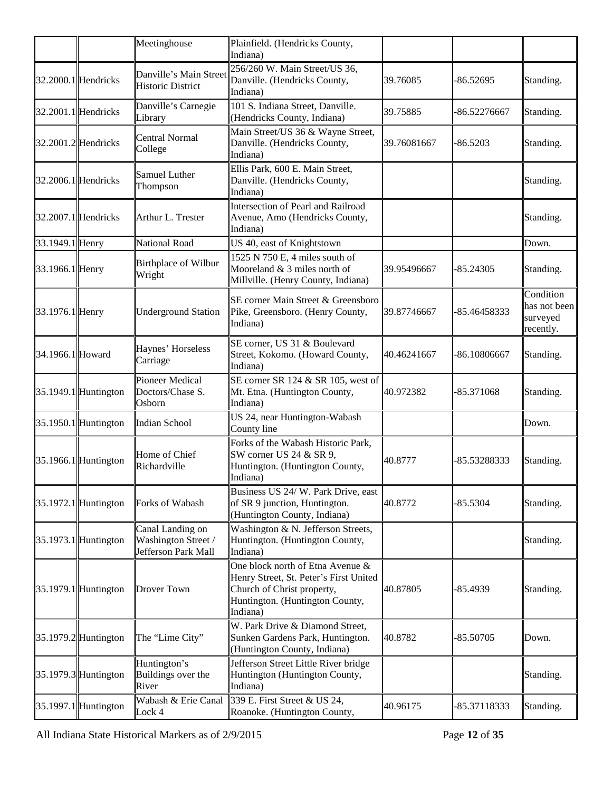|                  |                        | Meetinghouse                                                   | Plainfield. (Hendricks County,<br>Indiana)                                                                                                              |             |              |                                                    |
|------------------|------------------------|----------------------------------------------------------------|---------------------------------------------------------------------------------------------------------------------------------------------------------|-------------|--------------|----------------------------------------------------|
|                  | $32.2000.1$ Hendricks  | Danville's Main Street<br><b>Historic District</b>             | 256/260 W. Main Street/US 36,<br>Danville. (Hendricks County,<br>Indiana)                                                                               | 39.76085    | -86.52695    | Standing.                                          |
|                  | $32.2001.1$ Hendricks  | Danville's Carnegie<br>Library                                 | 101 S. Indiana Street, Danville.<br>(Hendricks County, Indiana)                                                                                         | 39.75885    | -86.52276667 | Standing.                                          |
|                  | 32.2001.2 Hendricks    | <b>Central Normal</b><br>College                               | Main Street/US 36 & Wayne Street,<br>Danville. (Hendricks County,<br>Indiana)                                                                           | 39.76081667 | $-86.5203$   | Standing.                                          |
|                  | $32.2006.1$ Hendricks  | Samuel Luther<br>Thompson                                      | Ellis Park, 600 E. Main Street,<br>Danville. (Hendricks County,<br>Indiana)                                                                             |             |              | Standing.                                          |
|                  | $32.2007.1$ Hendricks  | Arthur L. Trester                                              | Intersection of Pearl and Railroad<br>Avenue, Amo (Hendricks County,<br>Indiana)                                                                        |             |              | Standing.                                          |
| 33.1949.1 Henry  |                        | National Road                                                  | US 40, east of Knightstown                                                                                                                              |             |              | Down.                                              |
| 33.1966.1 Henry  |                        | Birthplace of Wilbur<br>Wright                                 | 1525 N 750 E, 4 miles south of<br>Mooreland $& 3$ miles north of<br>Millville. (Henry County, Indiana)                                                  | 39.95496667 | -85.24305    | Standing.                                          |
| 33.1976.1 Henry  |                        | <b>Underground Station</b>                                     | SE corner Main Street & Greensboro<br>Pike, Greensboro. (Henry County,<br>Indiana)                                                                      | 39.87746667 | -85.46458333 | Condition<br>has not been<br>surveyed<br>recently. |
| 34.1966.1 Howard |                        | Haynes' Horseless<br>Carriage                                  | SE corner, US 31 & Boulevard<br>Street, Kokomo. (Howard County,<br>Indiana)                                                                             | 40.46241667 | -86.10806667 | Standing.                                          |
|                  | $35.1949.1$ Huntington | <b>Pioneer Medical</b><br>Doctors/Chase S.<br>Osborn           | SE corner SR 124 & SR 105, west of<br>Mt. Etna. (Huntington County,<br>Indiana)                                                                         | 40.972382   | $-85.371068$ | Standing.                                          |
|                  | $35.1950.1$ Huntington | <b>Indian School</b>                                           | US 24, near Huntington-Wabash<br>County line                                                                                                            |             |              | Down.                                              |
|                  | $35.1966.1$ Huntington | Home of Chief<br>Richardville                                  | Forks of the Wabash Historic Park,<br>SW corner US 24 & SR 9,<br>Huntington. (Huntington County,<br>Indiana)                                            | 40.8777     | -85.53288333 | Standing.                                          |
|                  | $35.1972.1$ Huntington | Forks of Wabash                                                | Business US 24/ W. Park Drive, east<br>of SR 9 junction, Huntington.<br>(Huntington County, Indiana)                                                    | 40.8772     | $-85.5304$   | Standing.                                          |
|                  | $35.1973.1$ Huntington | Canal Landing on<br>Washington Street /<br>Jefferson Park Mall | Washington & N. Jefferson Streets,<br>Huntington. (Huntington County,<br>Indiana)                                                                       |             |              | Standing.                                          |
|                  | $35.1979.1$ Huntington | <b>Drover Town</b>                                             | One block north of Etna Avenue &<br>Henry Street, St. Peter's First United<br>Church of Christ property,<br>Huntington. (Huntington County,<br>Indiana) | 40.87805    | $-85.4939$   | Standing.                                          |
|                  | $35.1979.2$ Huntington | The "Lime City"                                                | W. Park Drive & Diamond Street,<br>Sunken Gardens Park, Huntington.<br>(Huntington County, Indiana)                                                     | 40.8782     | -85.50705    | Down.                                              |
|                  | $35.1979.3$ Huntington | Huntington's<br>Buildings over the<br>River                    | Jefferson Street Little River bridge<br>Huntington (Huntington County,<br>Indiana)                                                                      |             |              | Standing.                                          |
|                  | $35.1997.1$ Huntington | Wabash & Erie Canal<br>Lock 4                                  | 339 E. First Street & US 24,<br>Roanoke. (Huntington County,                                                                                            | 40.96175    | -85.37118333 | Standing.                                          |

All Indiana State Historical Markers as of 2/9/2015 Page **12** of **35**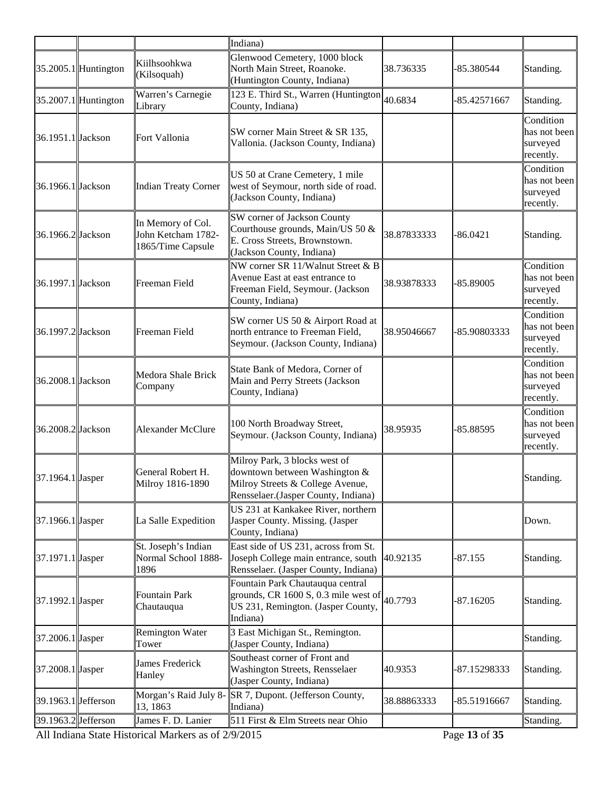|                     |                        |                                                              | Indiana)                                                                                                                                  |             |                   |                                                    |
|---------------------|------------------------|--------------------------------------------------------------|-------------------------------------------------------------------------------------------------------------------------------------------|-------------|-------------------|----------------------------------------------------|
|                     | $35.2005.1$ Huntington | Kiilhsoohkwa<br>(Kilsoquah)                                  | Glenwood Cemetery, 1000 block<br>North Main Street, Roanoke.<br>(Huntington County, Indiana)                                              | 38.736335   | -85.380544        | Standing.                                          |
|                     | $35.2007.1$ Huntington | Warren's Carnegie<br>Library                                 | 123 E. Third St., Warren (Huntington<br>County, Indiana)                                                                                  | 40.6834     | -85.42571667      | Standing.                                          |
| 36.1951.1 Jackson   |                        | Fort Vallonia                                                | SW corner Main Street & SR 135,<br>Vallonia. (Jackson County, Indiana)                                                                    |             |                   | Condition<br>has not been<br>surveyed<br>recently. |
| 36.1966.1 Jackson   |                        | <b>Indian Treaty Corner</b>                                  | US 50 at Crane Cemetery, 1 mile<br>west of Seymour, north side of road.<br>(Jackson County, Indiana)                                      |             |                   | Condition<br>has not been<br>surveyed<br>recently. |
| 36.1966.2 Jackson   |                        | In Memory of Col.<br>John Ketcham 1782-<br>1865/Time Capsule | SW corner of Jackson County<br>Courthouse grounds, Main/US 50 &<br>E. Cross Streets, Brownstown.<br>(Jackson County, Indiana)             | 38.87833333 | $-86.0421$        | Standing.                                          |
| 36.1997.1 Jackson   |                        | Freeman Field                                                | NW corner SR 11/Walnut Street & B<br>Avenue East at east entrance to<br>Freeman Field, Seymour. (Jackson<br>County, Indiana)              | 38.93878333 | $-85.89005$       | Condition<br>has not been<br>surveyed<br>recently. |
| 36.1997.2 Jackson   |                        | Freeman Field                                                | SW corner US 50 & Airport Road at<br>north entrance to Freeman Field,<br>Seymour. (Jackson County, Indiana)                               | 38.95046667 | -85.90803333      | Condition<br>has not been<br>surveyed<br>recently. |
| 36.2008.1 Jackson   |                        | Medora Shale Brick<br>Company                                | State Bank of Medora, Corner of<br>Main and Perry Streets (Jackson<br>County, Indiana)                                                    |             |                   | Condition<br>has not been<br>surveyed<br>recently. |
| 36.2008.2 Jackson   |                        | Alexander McClure                                            | 100 North Broadway Street,<br>Seymour. (Jackson County, Indiana)                                                                          | 38.95935    | -85.88595         | Condition<br>has not been<br>surveyed<br>recently. |
| 37.1964.1 Jasper    |                        | General Robert H.<br>Milroy 1816-1890                        | Milroy Park, 3 blocks west of<br>downtown between Washington &<br>Milroy Streets & College Avenue,<br>Rensselaer.(Jasper County, Indiana) |             |                   | Standing.                                          |
| 37.1966.1 Jasper    |                        | La Salle Expedition                                          | US 231 at Kankakee River, northern<br>Jasper County. Missing. (Jasper<br>County, Indiana)                                                 |             |                   | Down.                                              |
| 37.1971.1 Jasper    |                        | St. Joseph's Indian<br>Normal School 1888-<br>1896           | East side of US 231, across from St.<br>Joseph College main entrance, south<br>Rensselaer. (Jasper County, Indiana)                       | 40.92135    | $-87.155$         | Standing.                                          |
| 37.1992.1 Jasper    |                        | <b>Fountain Park</b><br>Chautauqua                           | Fountain Park Chautauqua central<br>grounds, CR $1600 S$ , 0.3 mile west of<br>US 231, Remington. (Jasper County,<br>Indiana)             | 40.7793     | $-87.16205$       | Standing.                                          |
| 37.2006.1 Jasper    |                        | <b>Remington Water</b><br>Tower                              | 3 East Michigan St., Remington.<br>(Jasper County, Indiana)                                                                               |             |                   | Standing.                                          |
| 37.2008.1 Jasper    |                        | James Frederick<br>Hanley                                    | Southeast corner of Front and<br>Washington Streets, Rensselaer<br>(Jasper County, Indiana)                                               | 40.9353     | -87.15298333      | Standing.                                          |
| 39.1963.1 Jefferson |                        | Morgan's Raid July 8-<br>13, 1863                            | SR 7, Dupont. (Jefferson County,<br>Indiana)                                                                                              | 38.88863333 | -85.51916667      | Standing.                                          |
| 39.1963.2 Jefferson |                        | James F. D. Lanier                                           | 511 First & Elm Streets near Ohio                                                                                                         |             | $c \rightarrow r$ | Standing.                                          |

All Indiana State Historical Markers as of  $2/9/2015$  Page 13 of 35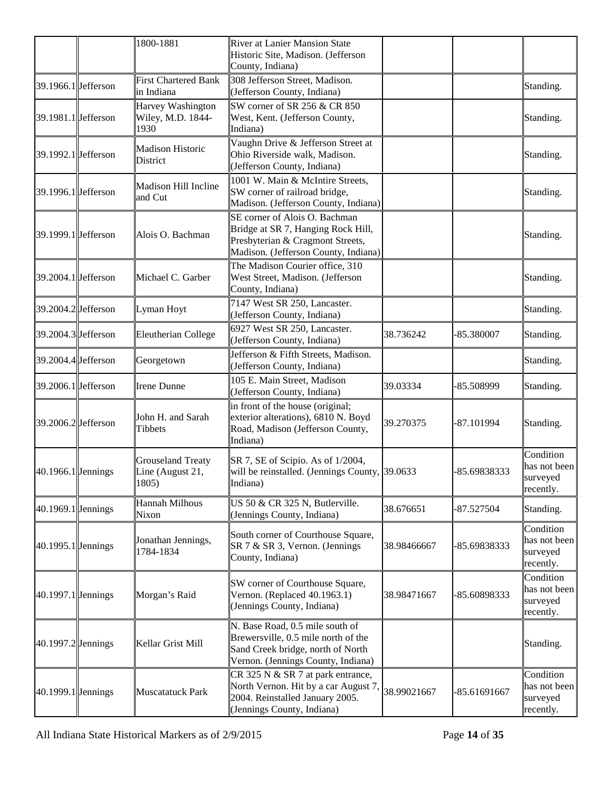|                       | 1800-1881                                             | <b>River at Lanier Mansion State</b><br>Historic Site, Madison. (Jefferson<br>County, Indiana)                                                    |             |              |                                                    |
|-----------------------|-------------------------------------------------------|---------------------------------------------------------------------------------------------------------------------------------------------------|-------------|--------------|----------------------------------------------------|
| $39.1966.1$ Jefferson | <b>First Chartered Bank</b><br>in Indiana             | 308 Jefferson Street, Madison.<br>(Jefferson County, Indiana)                                                                                     |             |              | Standing.                                          |
| 39.1981.1 Jefferson   | Harvey Washington<br>Wiley, M.D. 1844-<br>1930        | SW corner of SR 256 $&$ CR 850<br>West, Kent. (Jefferson County,<br>Indiana)                                                                      |             |              | Standing.                                          |
| 39.1992.1 Jefferson   | <b>Madison Historic</b><br>District                   | Vaughn Drive & Jefferson Street at<br>Ohio Riverside walk, Madison.<br>(Jefferson County, Indiana)                                                |             |              | Standing.                                          |
| 39.1996.1 Jefferson   | Madison Hill Incline<br>and Cut                       | 1001 W. Main & McIntire Streets,<br>SW corner of railroad bridge,<br>Madison. (Jefferson County, Indiana)                                         |             |              | Standing.                                          |
| 39.1999.1 Jefferson   | Alois O. Bachman                                      | SE corner of Alois O. Bachman<br>Bridge at SR 7, Hanging Rock Hill,<br>Presbyterian & Cragmont Streets,<br>Madison. (Jefferson County, Indiana)   |             |              | Standing.                                          |
| 39.2004.1 Jefferson   | Michael C. Garber                                     | The Madison Courier office, 310<br>West Street, Madison. (Jefferson<br>County, Indiana)                                                           |             |              | Standing.                                          |
| 39.2004.2 Jefferson   | Lyman Hoyt                                            | 7147 West SR 250, Lancaster.<br>(Jefferson County, Indiana)                                                                                       |             |              | Standing.                                          |
| 39.2004.3 Jefferson   | Eleutherian College                                   | 6927 West SR 250, Lancaster.<br>(Jefferson County, Indiana)                                                                                       | 38.736242   | -85.380007   | Standing.                                          |
| 39.2004.4 Jefferson   | Georgetown                                            | Jefferson & Fifth Streets, Madison.<br>(Jefferson County, Indiana)                                                                                |             |              | Standing.                                          |
| 39.2006.1 Jefferson   | <b>Irene Dunne</b>                                    | 105 E. Main Street, Madison<br>(Jefferson County, Indiana)                                                                                        | 39.03334    | -85.508999   | Standing.                                          |
| 39.2006.2 Jefferson   | John H. and Sarah<br>Tibbets                          | in front of the house (original;<br>exterior alterations), 6810 N. Boyd<br>Road, Madison (Jefferson County,<br>Indiana)                           | 39.270375   | -87.101994   | Standing.                                          |
| $40.1966.1$ Jennings  | <b>Grouseland Treaty</b><br>Line (August 21,<br>1805) | SR 7, SE of Scipio. As of 1/2004,<br>will be reinstalled. (Jennings County, $ 39.0633\rangle$<br>Indiana)                                         |             | -85.69838333 | Condition<br>has not been<br>surveyed<br>recently. |
| $40.1969.1$ Jennings  | <b>Hannah Milhous</b><br>Nixon                        | US 50 & CR 325 N, Butlerville.<br>(Jennings County, Indiana)                                                                                      | 38.676651   | -87.527504   | Standing.                                          |
| $40.1995.1$ Jennings  | Jonathan Jennings,<br>1784-1834                       | South corner of Courthouse Square,<br>SR 7 & SR 3, Vernon. (Jennings<br>County, Indiana)                                                          | 38.98466667 | -85.69838333 | Condition<br>has not been<br>surveyed<br>recently. |
| $40.1997.1$ Jennings  | Morgan's Raid                                         | SW corner of Courthouse Square,<br>Vernon. (Replaced 40.1963.1)<br>(Jennings County, Indiana)                                                     | 38.98471667 | -85.60898333 | Condition<br>has not been<br>surveyed<br>recently. |
| $40.1997.2$ Jennings  | Kellar Grist Mill                                     | N. Base Road, 0.5 mile south of<br>Brewersville, 0.5 mile north of the<br>Sand Creek bridge, north of North<br>Vernon. (Jennings County, Indiana) |             |              | Standing.                                          |
| $40.1999.1$ Jennings  | <b>Muscatatuck Park</b>                               | CR 325 N & SR 7 at park entrance,<br>North Vernon. Hit by a car August 7,<br>2004. Reinstalled January 2005.<br>(Jennings County, Indiana)        | 38.99021667 | -85.61691667 | Condition<br>has not been<br>surveyed<br>recently. |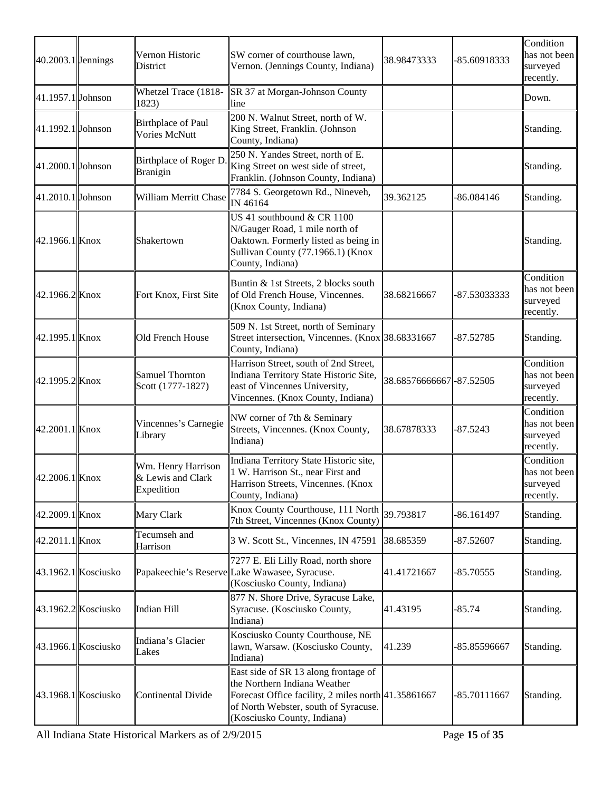| $40.2003.1$ Jennings |                     | Vernon Historic<br>District                           | SW corner of courthouse lawn,<br>Vernon. (Jennings County, Indiana)                                                                                                                                | 38.98473333               | -85.60918333 | Condition<br>has not been<br>surveyed<br>recently. |
|----------------------|---------------------|-------------------------------------------------------|----------------------------------------------------------------------------------------------------------------------------------------------------------------------------------------------------|---------------------------|--------------|----------------------------------------------------|
| 41.1957.1 Johnson    |                     | Whetzel Trace (1818-<br>1823)                         | SR 37 at Morgan-Johnson County<br>line                                                                                                                                                             |                           |              | Down.                                              |
| 41.1992.1 Johnson    |                     | <b>Birthplace of Paul</b><br>Vories McNutt            | 200 N. Walnut Street, north of W.<br>King Street, Franklin. (Johnson<br>County, Indiana)                                                                                                           |                           |              | Standing.                                          |
| $41.2000.1$ Johnson  |                     | Birthplace of Roger D.<br>Branigin                    | 250 N. Yandes Street, north of E.<br>King Street on west side of street,<br>Franklin. (Johnson County, Indiana)                                                                                    |                           |              | Standing.                                          |
| 41.2010.1 Johnson    |                     | William Merritt Chase                                 | 7784 S. Georgetown Rd., Nineveh,<br>IN 46164                                                                                                                                                       | 39.362125                 | -86.084146   | Standing.                                          |
| 42.1966.1 Knox       |                     | Shakertown                                            | US 41 southbound & CR 1100<br>N/Gauger Road, 1 mile north of<br>Oaktown. Formerly listed as being in<br>Sullivan County (77.1966.1) (Knox<br>County, Indiana)                                      |                           |              | Standing.                                          |
| 42.1966.2Knox        |                     | Fort Knox, First Site                                 | Buntin & 1st Streets, 2 blocks south<br>of Old French House, Vincennes.<br>(Knox County, Indiana)                                                                                                  | 38.68216667               | -87.53033333 | Condition<br>has not been<br>surveyed<br>recently. |
| 42.1995.1 Knox       |                     | Old French House                                      | 509 N. 1st Street, north of Seminary<br>Street intersection, Vincennes. (Knox 38.68331667<br>County, Indiana)                                                                                      |                           | -87.52785    | Standing.                                          |
| 42.1995.2Knox        |                     | <b>Samuel Thornton</b><br>Scott (1777-1827)           | Harrison Street, south of 2nd Street,<br>Indiana Territory State Historic Site,<br>east of Vincennes University,<br>Vincennes. (Knox County, Indiana)                                              | 38.68576666667  -87.52505 |              | Condition<br>has not been<br>surveyed<br>recently. |
| 42.2001.1 Knox       |                     | Vincennes's Carnegie<br>Library                       | NW corner of 7th & Seminary<br>Streets, Vincennes. (Knox County,<br>Indiana)                                                                                                                       | 38.67878333               | $-87.5243$   | Condition<br>has not been<br>surveyed<br>recently. |
| 42.2006.1 Knox       |                     | Wm. Henry Harrison<br>& Lewis and Clark<br>Expedition | Indiana Territory State Historic site,<br>1 W. Harrison St., near First and<br>Harrison Streets, Vincennes. (Knox<br>County, Indiana)                                                              |                           |              | Condition<br>has not been<br>surveyed<br>recently. |
| 42.2009.1 Knox       |                     | Mary Clark                                            | Knox County Courthouse, 111 North<br>7th Street, Vincennes (Knox County)                                                                                                                           | 39.793817                 | $-86.161497$ | Standing.                                          |
| 42.2011.1 Knox       |                     | Tecumseh and<br>Harrison                              | 3 W. Scott St., Vincennes, IN 47591                                                                                                                                                                | 38.685359                 | -87.52607    | Standing.                                          |
|                      | 43.1962.1 Kosciusko |                                                       | 7277 E. Eli Lilly Road, north shore<br>Papakeechie's Reserve Lake Wawasee, Syracuse.<br>(Kosciusko County, Indiana)                                                                                | 41.41721667               | -85.70555    | Standing.                                          |
|                      | 43.1962.2 Kosciusko | Indian Hill                                           | 877 N. Shore Drive, Syracuse Lake,<br>Syracuse. (Kosciusko County,<br>Indiana)                                                                                                                     | 41.43195                  | $-85.74$     | Standing.                                          |
|                      | 43.1966.1 Kosciusko | Indiana's Glacier<br>Lakes                            | Kosciusko County Courthouse, NE<br>lawn, Warsaw. (Kosciusko County,<br>Indiana)                                                                                                                    | 41.239                    | -85.85596667 | Standing.                                          |
|                      | 43.1968.1 Kosciusko | <b>Continental Divide</b>                             | East side of SR 13 along frontage of<br>the Northern Indiana Weather<br>Forecast Office facility, 2 miles north 41.35861667<br>of North Webster, south of Syracuse.<br>(Kosciusko County, Indiana) |                           | -85.70111667 | Standing.                                          |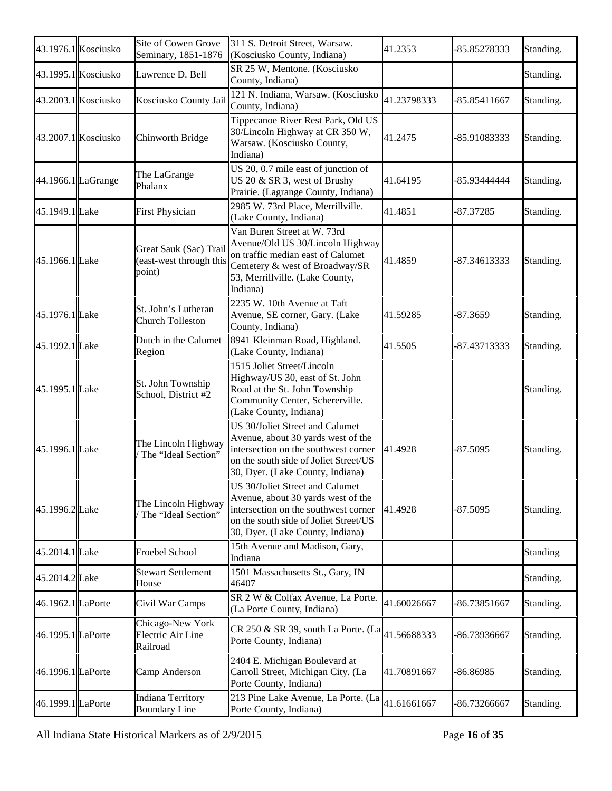|                       | 43.1976.1 Kosciusko   | Site of Cowen Grove<br>Seminary, 1851-1876                  | 311 S. Detroit Street, Warsaw.<br>(Kosciusko County, Indiana)                                                                                                                              | 41.2353     | -85.85278333 | Standing. |
|-----------------------|-----------------------|-------------------------------------------------------------|--------------------------------------------------------------------------------------------------------------------------------------------------------------------------------------------|-------------|--------------|-----------|
|                       | 43.1995.1 Kosciusko   | Lawrence D. Bell                                            | SR 25 W, Mentone. (Kosciusko<br>County, Indiana)                                                                                                                                           |             |              | Standing. |
|                       | $43.2003.1$ Kosciusko | Kosciusko County Jail                                       | 121 N. Indiana, Warsaw. (Kosciusko<br>County, Indiana)                                                                                                                                     | 41.23798333 | -85.85411667 | Standing. |
| $43.2007.1$ Kosciusko |                       | Chinworth Bridge                                            | Tippecanoe River Rest Park, Old US<br>30/Lincoln Highway at CR 350 W,<br>Warsaw. (Kosciusko County,<br>Indiana)                                                                            | 41.2475     | -85.91083333 | Standing. |
| 44.1966.1 LaGrange    |                       | The LaGrange<br>Phalanx                                     | US 20, 0.7 mile east of junction of<br>US 20 & SR 3, west of Brushy<br>Prairie. (Lagrange County, Indiana)                                                                                 | 41.64195    | -85.93444444 | Standing. |
| 45.1949.1 Lake        |                       | <b>First Physician</b>                                      | 2985 W. 73rd Place, Merrillville.<br>(Lake County, Indiana)                                                                                                                                | 41.4851     | $-87.37285$  | Standing. |
| 45.1966.1 Lake        |                       | Great Sauk (Sac) Trail<br>(east-west through this<br>point) | Van Buren Street at W. 73rd<br>Avenue/Old US 30/Lincoln Highway<br>on traffic median east of Calumet<br>Cemetery & west of Broadway/SR<br>53, Merrillville. (Lake County,<br>Indiana)      | 41.4859     | -87.34613333 | Standing. |
| 45.1976.1 Lake        |                       | St. John's Lutheran<br><b>Church Tolleston</b>              | 2235 W. 10th Avenue at Taft<br>Avenue, SE corner, Gary. (Lake<br>County, Indiana)                                                                                                          | 41.59285    | -87.3659     | Standing. |
| 45.1992.1 Lake        |                       | Dutch in the Calumet<br>Region                              | 8941 Kleinman Road, Highland.<br>(Lake County, Indiana)                                                                                                                                    | 41.5505     | -87.43713333 | Standing. |
| 45.1995.1 Lake        |                       | St. John Township<br>School, District #2                    | 1515 Joliet Street/Lincoln<br>Highway/US 30, east of St. John<br>Road at the St. John Township<br>Community Center, Schererville.<br>(Lake County, Indiana)                                |             |              | Standing. |
| 45.1996.1 Lake        |                       | The Lincoln Highway<br>The "Ideal Section"                  | US 30/Joliet Street and Calumet<br>Avenue, about 30 yards west of the<br>intersection on the southwest corner<br>on the south side of Joliet Street/US<br>30, Dyer. (Lake County, Indiana) | 41.4928     | $-87.5095$   | Standing. |
| 45.1996.2Lake         |                       | The Lincoln Highway<br>The "Ideal Section"                  | US 30/Joliet Street and Calumet<br>Avenue, about 30 yards west of the<br>intersection on the southwest corner<br>on the south side of Joliet Street/US<br>30, Dyer. (Lake County, Indiana) | 41.4928     | -87.5095     | Standing. |
| 45.2014.1 Lake        |                       | <b>Froebel School</b>                                       | 15th Avenue and Madison, Gary,<br>Indiana                                                                                                                                                  |             |              | Standing  |
| 45.2014.2Lake         |                       | <b>Stewart Settlement</b><br>House                          | 1501 Massachusetts St., Gary, IN<br>46407                                                                                                                                                  |             |              | Standing. |
| 46.1962.1 LaPorte     |                       | Civil War Camps                                             | SR 2 W & Colfax Avenue, La Porte.<br>(La Porte County, Indiana)                                                                                                                            | 41.60026667 | -86.73851667 | Standing. |
| 46.1995.1 LaPorte     |                       | Chicago-New York<br>Electric Air Line<br>Railroad           | CR 250 & SR 39, south La Porte. (La<br>Porte County, Indiana)                                                                                                                              | 41.56688333 | 86.73936667  | Standing. |
| 46.1996.1 LaPorte     |                       | Camp Anderson                                               | 2404 E. Michigan Boulevard at<br>Carroll Street, Michigan City. (La<br>Porte County, Indiana)                                                                                              | 41.70891667 | 86.86985     | Standing. |
| 46.1999.1 LaPorte     |                       | <b>Indiana Territory</b><br><b>Boundary Line</b>            | 213 Pine Lake Avenue, La Porte. (La<br>Porte County, Indiana)                                                                                                                              | 41.61661667 | -86.73266667 | Standing. |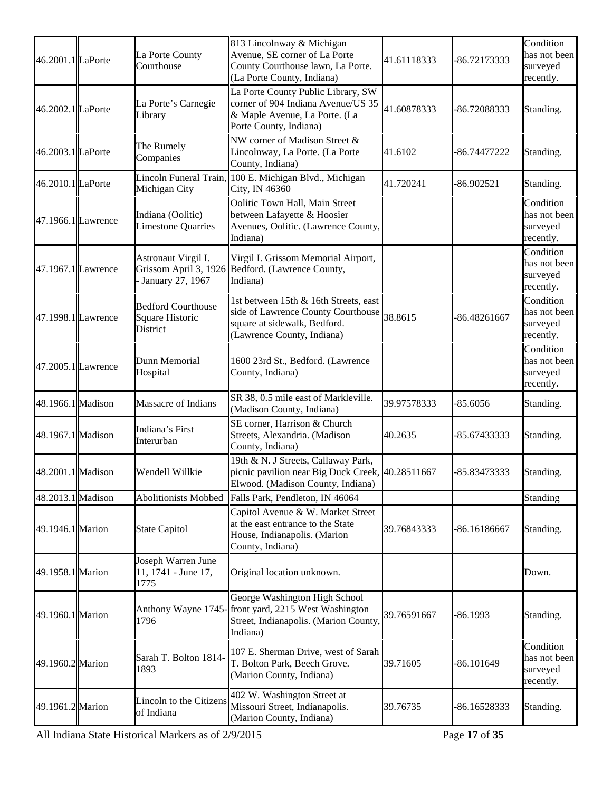| 46.2001.1 LaPorte    | La Porte County<br>Courthouse                            | 813 Lincolnway & Michigan<br>Avenue, SE corner of La Porte<br>County Courthouse lawn, La Porte.<br>(La Porte County, Indiana)                       | 41.61118333 | -86.72173333 | Condition<br>has not been<br>surveyed<br>recently. |
|----------------------|----------------------------------------------------------|-----------------------------------------------------------------------------------------------------------------------------------------------------|-------------|--------------|----------------------------------------------------|
| 46.2002.1 LaPorte    | La Porte's Carnegie<br>Library                           | La Porte County Public Library, SW<br>corner of 904 Indiana Avenue/US 35<br>& Maple Avenue, La Porte. (La<br>Porte County, Indiana)                 | 41.60878333 | -86.72088333 | Standing.                                          |
| 46.2003.1 LaPorte    | The Rumely<br>Companies                                  | NW corner of Madison Street &<br>Lincolnway, La Porte. (La Porte<br>County, Indiana)                                                                | 41.6102     | -86.74477222 | Standing.                                          |
| 46.2010.1 LaPorte    | Michigan City                                            | Lincoln Funeral Train, 100 E. Michigan Blvd., Michigan<br>City, IN 46360                                                                            | 41.720241   | $-86.902521$ | Standing.                                          |
| $47.1966.1$ Lawrence | Indiana (Oolitic)<br>Limestone Quarries                  | Oolitic Town Hall, Main Street<br>between Lafayette & Hoosier<br>Avenues, Oolitic. (Lawrence County,<br>Indiana)                                    |             |              | Condition<br>has not been<br>surveyed<br>recently. |
| 47.1967.1 Lawrence   | Astronaut Virgil I.<br>January 27, 1967                  | Virgil I. Grissom Memorial Airport,<br>Grissom April 3, 1926 Bedford. (Lawrence County,<br>Indiana)                                                 |             |              | Condition<br>has not been<br>surveyed<br>recently. |
| 47.1998.1 Lawrence   | <b>Bedford Courthouse</b><br>Square Historic<br>District | 1st between 15th & 16th Streets, east<br>side of Lawrence County Courthouse $38.8615$<br>square at sidewalk, Bedford.<br>(Lawrence County, Indiana) |             | -86.48261667 | Condition<br>has not been<br>surveyed<br>recently. |
| $47.2005.1$ Lawrence | Dunn Memorial<br>Hospital                                | 1600 23rd St., Bedford. (Lawrence<br>County, Indiana)                                                                                               |             |              | Condition<br>has not been<br>surveyed<br>recently. |
| 48.1966.1 Madison    | Massacre of Indians                                      | SR 38, 0.5 mile east of Markleville.<br>(Madison County, Indiana)                                                                                   | 39.97578333 | $-85.6056$   | Standing.                                          |
| 48.1967.1 Madison    | Indiana's First<br>Interurban                            | SE corner, Harrison & Church<br>Streets, Alexandria. (Madison<br>County, Indiana)                                                                   | 40.2635     | -85.67433333 | Standing.                                          |
| 48.2001.1 Madison    | Wendell Willkie                                          | 19th & N. J Streets, Callaway Park,<br>picnic pavilion near Big Duck Creek, 40.28511667<br>Elwood. (Madison County, Indiana)                        |             | -85.83473333 | Standing.                                          |
| 48.2013.1 Madison    | <b>Abolitionists Mobbed</b>                              | Falls Park, Pendleton, IN 46064                                                                                                                     |             |              | Standing                                           |
| 49.1946.1 Marion     | State Capitol                                            | Capitol Avenue & W. Market Street<br>at the east entrance to the State<br>House, Indianapolis. (Marion<br>County, Indiana)                          | 39.76843333 | -86.16186667 | Standing.                                          |
| 49.1958.1 Marion     | Joseph Warren June<br>$11, 1741$ - June 17,<br>1775      | Original location unknown.                                                                                                                          |             |              | Down.                                              |
| 49.1960.1 Marion     | 1796                                                     | George Washington High School<br>Anthony Wayne 1745-front yard, 2215 West Washington<br>Street, Indianapolis. (Marion County,<br>Indiana)           | 39.76591667 | -86.1993     | Standing.                                          |
| 49.1960.2 Marion     | Sarah T. Bolton 1814-<br>1893                            | 107 E. Sherman Drive, west of Sarah<br>T. Bolton Park, Beech Grove.<br>(Marion County, Indiana)                                                     | 39.71605    | $-86.101649$ | Condition<br>has not been<br>surveyed<br>recently. |
| 49.1961.2 Marion     | Lincoln to the Citizens<br>of Indiana                    | 402 W. Washington Street at<br>Missouri Street, Indianapolis.<br>(Marion County, Indiana)                                                           | 39.76735    | -86.16528333 | Standing.                                          |

All Indiana State Historical Markers as of 2/9/2015 Page **17** of **35**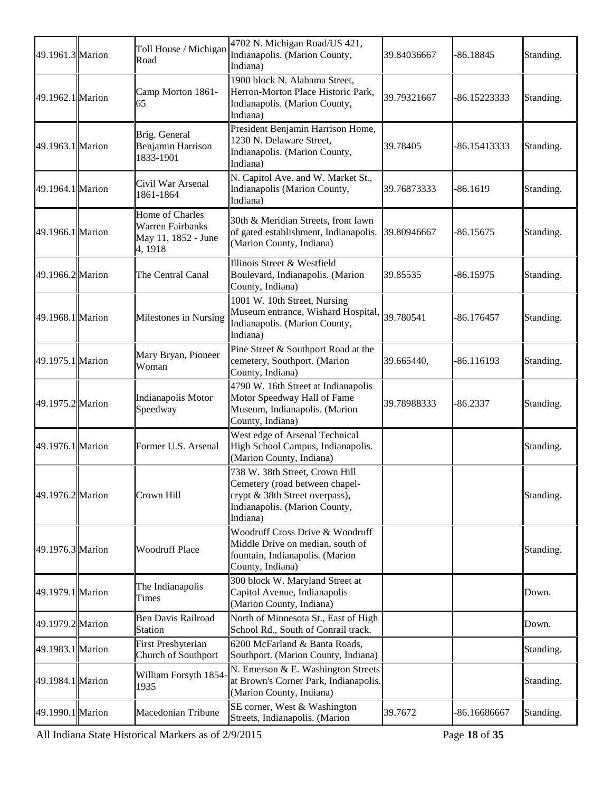| 49.1961.3 Marion | Toll House / Michigan<br>Road                                         | 4702 N. Michigan Road/US 421,<br>Indianapolis. (Marion County,<br>Indiana)                                                                      | 39.84036667 | -86.18845    | Standing. |
|------------------|-----------------------------------------------------------------------|-------------------------------------------------------------------------------------------------------------------------------------------------|-------------|--------------|-----------|
| 49.1962.1 Marion | Camp Morton 1861-<br>65                                               | 1900 block N. Alabama Street,<br>Herron-Morton Place Historic Park,<br>Indianapolis. (Marion County,<br>Indiana)                                | 39.79321667 | -86.15223333 | Standing. |
| 49.1963.1 Marion | Brig. General<br>Benjamin Harrison<br>1833-1901                       | President Benjamin Harrison Home,<br>1230 N. Delaware Street,<br>Indianapolis. (Marion County,<br>Indiana)                                      | 39.78405    | -86.15413333 | Standing. |
| 49.1964.1 Marion | Civil War Arsenal<br>1861-1864                                        | N. Capitol Ave. and W. Market St.,<br>Indianapolis (Marion County,<br>Indiana)                                                                  | 39.76873333 | $-86.1619$   | Standing. |
| 49.1966.1 Marion | Home of Charles<br>Warren Fairbanks<br>May 11, 1852 - June<br>4, 1918 | 30th & Meridian Streets, front lawn<br>of gated establishment, Indianapolis.<br>(Marion County, Indiana)                                        | 39.80946667 | $-86.15675$  | Standing. |
| 49.1966.2 Marion | The Central Canal                                                     | Illinois Street & Westfield<br>Boulevard, Indianapolis. (Marion<br>County, Indiana)                                                             | 39.85535    | -86.15975    | Standing. |
| 49.1968.1 Marion | Milestones in Nursing                                                 | 1001 W. 10th Street, Nursing<br>Museum entrance, Wishard Hospital, 39.780541<br>Indianapolis. (Marion County,<br>Indiana)                       |             | -86.176457   | Standing. |
| 49.1975.1 Marion | Mary Bryan, Pioneer<br>Woman                                          | Pine Street & Southport Road at the<br>cemetery, Southport. (Marion<br>County, Indiana)                                                         | 39.665440,  | $-86.116193$ | Standing. |
| 49.1975.2 Marion | Indianapolis Motor<br>Speedway                                        | 4790 W. 16th Street at Indianapolis<br>Motor Speedway Hall of Fame<br>Museum, Indianapolis. (Marion<br>County, Indiana)                         | 39.78988333 | -86.2337     | Standing. |
| 49.1976.1 Marion | Former U.S. Arsenal                                                   | West edge of Arsenal Technical<br>High School Campus, Indianapolis.<br>(Marion County, Indiana)                                                 |             |              | Standing. |
| 49.1976.2 Marion | Crown Hill                                                            | 738 W. 38th Street, Crown Hill<br>Cemetery (road between chapel-<br>crypt & 38th Street overpass),<br>Indianapolis. (Marion County,<br>Indiana) |             |              | Standing. |
| 49.1976.3 Marion | <b>Woodruff Place</b>                                                 | Woodruff Cross Drive & Woodruff<br>Middle Drive on median, south of<br>fountain, Indianapolis. (Marion<br>County, Indiana)                      |             |              | Standing. |
| 49.1979.1 Marion | The Indianapolis<br>Times                                             | 300 block W. Maryland Street at<br>Capitol Avenue, Indianapolis<br>(Marion County, Indiana)                                                     |             |              | Down.     |
| 49.1979.2 Marion | <b>Ben Davis Railroad</b><br>Station                                  | North of Minnesota St., East of High<br>School Rd., South of Conrail track.                                                                     |             |              | Down.     |
| 49.1983.1 Marion | First Presbyterian<br>Church of Southport                             | 6200 McFarland & Banta Roads,<br>Southport. (Marion County, Indiana)                                                                            |             |              | Standing. |
| 49.1984.1 Marion | William Forsyth 1854<br>1935                                          | N. Emerson & E. Washington Streets<br>at Brown's Corner Park, Indianapolis.<br>(Marion County, Indiana)                                         |             |              | Standing. |
| 49.1990.1 Marion | Macedonian Tribune                                                    | SE corner, West & Washington<br>Streets, Indianapolis. (Marion                                                                                  | 39.7672     | -86.16686667 | Standing. |

All Indiana State Historical Markers as of 2/9/2015 Page **18** of **35**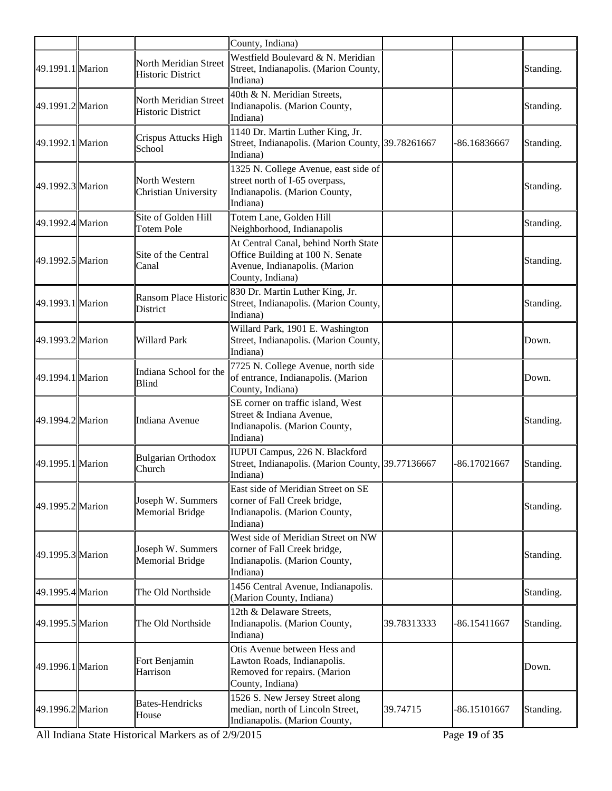|                  |                                                   | County, Indiana)                                                                                                              |             |              |           |
|------------------|---------------------------------------------------|-------------------------------------------------------------------------------------------------------------------------------|-------------|--------------|-----------|
| 49.1991.1 Marion | North Meridian Street<br><b>Historic District</b> | Westfield Boulevard & N. Meridian<br>Street, Indianapolis. (Marion County,<br>Indiana)                                        |             |              | Standing. |
| 49.1991.2 Marion | North Meridian Street<br><b>Historic District</b> | 40th & N. Meridian Streets,<br>Indianapolis. (Marion County,<br>Indiana)                                                      |             |              | Standing. |
| 49.1992.1 Marion | Crispus Attucks High<br>School                    | 1140 Dr. Martin Luther King, Jr.<br>Street, Indianapolis. (Marion County, 39.78261667<br>Indiana)                             |             | -86.16836667 | Standing. |
| 49.1992.3 Marion | North Western<br>Christian University             | 1325 N. College Avenue, east side of<br>street north of I-65 overpass,<br>Indianapolis. (Marion County,<br>Indiana)           |             |              | Standing. |
| 49.1992.4 Marion | Site of Golden Hill<br><b>Totem Pole</b>          | Totem Lane, Golden Hill<br>Neighborhood, Indianapolis                                                                         |             |              | Standing. |
| 49.1992.5 Marion | Site of the Central<br>Canal                      | At Central Canal, behind North State<br>Office Building at 100 N. Senate<br>Avenue, Indianapolis. (Marion<br>County, Indiana) |             |              | Standing. |
| 49.1993.1 Marion | Ransom Place Historic<br>District                 | 830 Dr. Martin Luther King, Jr.<br>Street, Indianapolis. (Marion County,<br>Indiana)                                          |             |              | Standing. |
| 49.1993.2 Marion | Willard Park                                      | Willard Park, 1901 E. Washington<br>Street, Indianapolis. (Marion County,<br>Indiana)                                         |             |              | Down.     |
| 49.1994.1 Marion | Indiana School for the<br>Blind                   | 7725 N. College Avenue, north side<br>of entrance, Indianapolis. (Marion<br>County, Indiana)                                  |             |              | Down.     |
| 49.1994.2 Marion | Indiana Avenue                                    | SE corner on traffic island, West<br>Street & Indiana Avenue,<br>Indianapolis. (Marion County,<br>Indiana)                    |             |              | Standing. |
| 49.1995.1 Marion | <b>Bulgarian Orthodox</b><br>Church               | IUPUI Campus, 226 N. Blackford<br>Street, Indianapolis. (Marion County, 39.77136667<br>Indiana)                               |             | -86.17021667 | Standing. |
| 49.1995.2 Marion | Joseph W. Summers<br><b>Memorial Bridge</b>       | East side of Meridian Street on SE<br>corner of Fall Creek bridge,<br>Indianapolis. (Marion County,<br>Indiana)               |             |              | Standing. |
| 49.1995.3 Marion | Joseph W. Summers<br>Memorial Bridge              | West side of Meridian Street on NW<br>corner of Fall Creek bridge,<br>Indianapolis. (Marion County,<br>Indiana)               |             |              | Standing. |
| 49.1995.4 Marion | The Old Northside                                 | 1456 Central Avenue, Indianapolis.<br>(Marion County, Indiana)                                                                |             |              | Standing. |
| 49.1995.5 Marion | The Old Northside                                 | 12th & Delaware Streets,<br>Indianapolis. (Marion County,<br>Indiana)                                                         | 39.78313333 | -86.15411667 | Standing. |
| 49.1996.1 Marion | Fort Benjamin<br>Harrison                         | Otis Avenue between Hess and<br>Lawton Roads, Indianapolis.<br>Removed for repairs. (Marion<br>County, Indiana)               |             |              | Down.     |
| 49.1996.2 Marion | <b>Bates-Hendricks</b><br>House                   | 1526 S. New Jersey Street along<br>median, north of Lincoln Street,<br>Indianapolis. (Marion County,                          | 39.74715    | -86.15101667 | Standing. |

All Indiana State Historical Markers as of 2/9/2015 Page **19** of **35**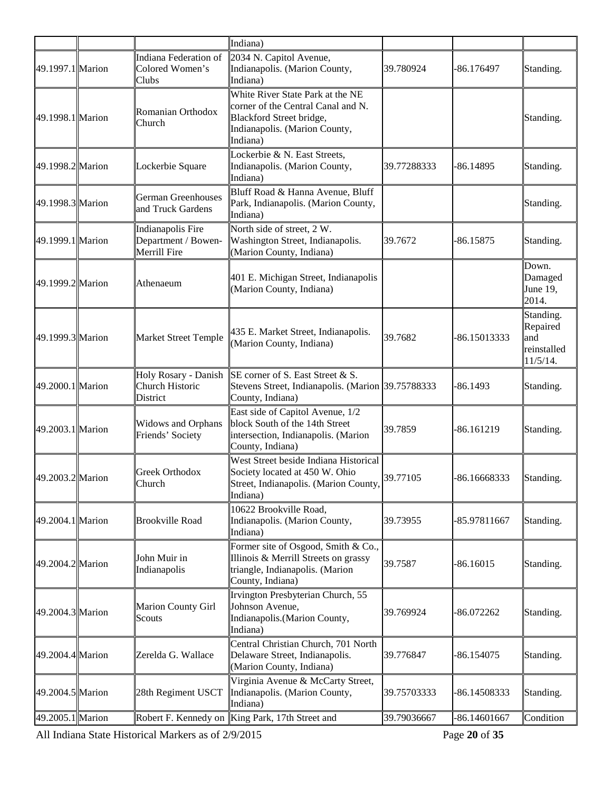|                  |                                                            | Indiana)                                                                                                                                        |             |              |                                                         |
|------------------|------------------------------------------------------------|-------------------------------------------------------------------------------------------------------------------------------------------------|-------------|--------------|---------------------------------------------------------|
| 49.1997.1 Marion | Indiana Federation of<br>Colored Women's<br>Clubs          | 2034 N. Capitol Avenue,<br>Indianapolis. (Marion County,<br>Indiana)                                                                            | 39.780924   | -86.176497   | Standing.                                               |
| 49.1998.1 Marion | Romanian Orthodox<br>Church                                | White River State Park at the NE<br>corner of the Central Canal and N.<br>Blackford Street bridge,<br>Indianapolis. (Marion County,<br>Indiana) |             |              | Standing.                                               |
| 49.1998.2 Marion | Lockerbie Square                                           | Lockerbie & N. East Streets,<br>Indianapolis. (Marion County,<br>Indiana)                                                                       | 39.77288333 | -86.14895    | Standing.                                               |
| 49.1998.3 Marion | <b>German Greenhouses</b><br>and Truck Gardens             | Bluff Road & Hanna Avenue, Bluff<br>Park, Indianapolis. (Marion County,<br>Indiana)                                                             |             |              | Standing.                                               |
| 49.1999.1 Marion | Indianapolis Fire<br>Department / Bowen-<br>Merrill Fire   | North side of street, 2 W.<br>Washington Street, Indianapolis.<br>(Marion County, Indiana)                                                      | 39.7672     | 86.15875     | Standing.                                               |
| 49.1999.2 Marion | Athenaeum                                                  | 401 E. Michigan Street, Indianapolis<br>(Marion County, Indiana)                                                                                |             |              | Down.<br>Damaged<br>June 19,<br>2014.                   |
| 49.1999.3 Marion | <b>Market Street Temple</b>                                | 435 E. Market Street, Indianapolis.<br>(Marion County, Indiana)                                                                                 | 39.7682     | -86.15013333 | Standing.<br>Repaired<br>and<br>reinstalled<br>11/5/14. |
| 49.2000.1 Marion | Holy Rosary - Danish<br>Church Historic<br><b>District</b> | SE corner of S. East Street & S.<br>Stevens Street, Indianapolis. (Marion 39.75788333<br>County, Indiana)                                       |             | $-86.1493$   | Standing.                                               |
| 49.2003.1 Marion | <b>Widows and Orphans</b><br>Friends' Society              | East side of Capitol Avenue, 1/2<br>block South of the 14th Street<br>intersection, Indianapolis. (Marion<br>County, Indiana)                   | 39.7859     | $-86.161219$ | Standing.                                               |
| 49.2003.2 Marion | Greek Orthodox<br>Church                                   | West Street beside Indiana Historical<br>Society located at 450 W. Ohio<br>Street, Indianapolis. (Marion County, 39.77105<br>Indiana)           |             | -86.16668333 | Standing.                                               |
| 49.2004.1 Marion | <b>Brookville Road</b>                                     | 10622 Brookville Road,<br>Indianapolis. (Marion County,<br>Indiana)                                                                             | 39.73955    | -85.97811667 | Standing.                                               |
| 49.2004.2 Marion | John Muir in<br>Indianapolis                               | Former site of Osgood, Smith & Co.,<br>Illinois & Merrill Streets on grassy<br>triangle, Indianapolis. (Marion<br>County, Indiana)              | 39.7587     | $-86.16015$  | Standing.                                               |
| 49.2004.3 Marion | Marion County Girl<br>Scouts                               | Irvington Presbyterian Church, 55<br>Johnson Avenue,<br>Indianapolis.(Marion County,<br>Indiana)                                                | 39.769924   | -86.072262   | Standing.                                               |
| 49.2004.4 Marion | Zerelda G. Wallace                                         | Central Christian Church, 701 North<br>Delaware Street, Indianapolis.<br>(Marion County, Indiana)                                               | 39.776847   | $-86.154075$ | Standing.                                               |
| 49.2004.5 Marion | 28th Regiment USCT                                         | Virginia Avenue & McCarty Street,<br>Indianapolis. (Marion County,<br>Indiana)                                                                  | 39.75703333 | -86.14508333 | Standing.                                               |
| 49.2005.1 Marion | Robert F. Kennedy on                                       | King Park, 17th Street and                                                                                                                      | 39.79036667 | -86.14601667 | Condition                                               |

All Indiana State Historical Markers as of 2/9/2015 Page **20** of **35**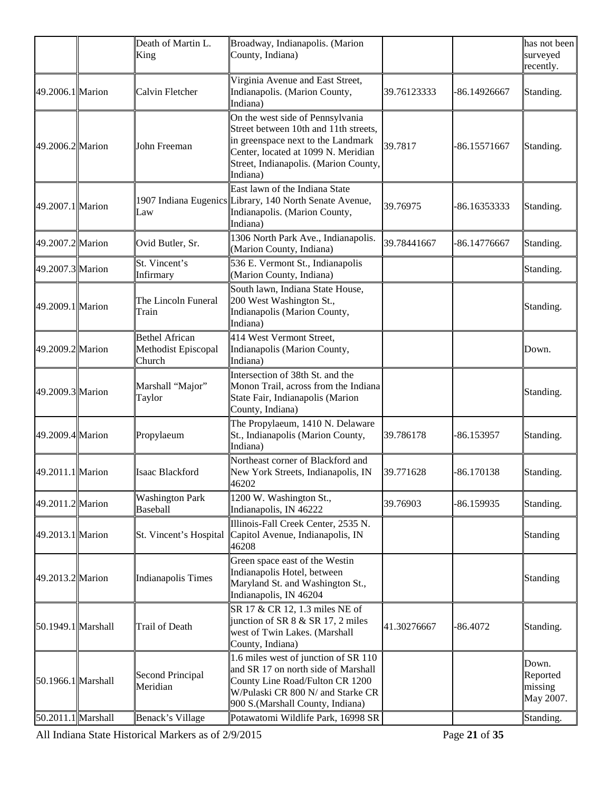|                    | Death of Martin L.<br>King                             | Broadway, Indianapolis. (Marion<br>County, Indiana)                                                                                                                                                         |             |              | has not been<br>surveyed<br>recently.     |
|--------------------|--------------------------------------------------------|-------------------------------------------------------------------------------------------------------------------------------------------------------------------------------------------------------------|-------------|--------------|-------------------------------------------|
| 49.2006.1 Marion   | Calvin Fletcher                                        | Virginia Avenue and East Street,<br>Indianapolis. (Marion County,<br>Indiana)                                                                                                                               | 39.76123333 | -86.14926667 | Standing.                                 |
| 49.2006.2 Marion   | John Freeman                                           | On the west side of Pennsylvania<br>Street between 10th and 11th streets,<br>in greenspace next to the Landmark<br>Center, located at 1099 N. Meridian<br>Street, Indianapolis. (Marion County,<br>Indiana) | 39.7817     | -86.15571667 | Standing.                                 |
| 49.2007.1 Marion   | Law                                                    | East lawn of the Indiana State<br>1907 Indiana Eugenics Library, 140 North Senate Avenue,<br>Indianapolis. (Marion County,<br>Indiana)                                                                      | 39.76975    | -86.16353333 | Standing.                                 |
| 49.2007.2 Marion   | Ovid Butler, Sr.                                       | 1306 North Park Ave., Indianapolis.<br>(Marion County, Indiana)                                                                                                                                             | 39.78441667 | -86.14776667 | Standing.                                 |
| 49.2007.3 Marion   | St. Vincent's<br>Infirmary                             | 536 E. Vermont St., Indianapolis<br>(Marion County, Indiana)                                                                                                                                                |             |              | Standing.                                 |
| 49.2009.1 Marion   | The Lincoln Funeral<br>Train                           | South lawn, Indiana State House,<br>200 West Washington St.,<br>Indianapolis (Marion County,<br>Indiana)                                                                                                    |             |              | Standing.                                 |
| 49.2009.2 Marion   | <b>Bethel African</b><br>Methodist Episcopal<br>Church | 414 West Vermont Street,<br>Indianapolis (Marion County,<br>Indiana)                                                                                                                                        |             |              | Down.                                     |
| 49.2009.3 Marion   | Marshall "Major"<br>Taylor                             | Intersection of 38th St. and the<br>Monon Trail, across from the Indiana<br>State Fair, Indianapolis (Marion<br>County, Indiana)                                                                            |             |              | Standing.                                 |
| 49.2009.4 Marion   | Propylaeum                                             | The Propylaeum, 1410 N. Delaware<br>St., Indianapolis (Marion County,<br>Indiana)                                                                                                                           | 39.786178   | $-86.153957$ | Standing.                                 |
| 49.2011.1 Marion   | <b>Isaac Blackford</b>                                 | Northeast corner of Blackford and<br>New York Streets, Indianapolis, IN<br>46202                                                                                                                            | 39.771628   | -86.170138   | Standing.                                 |
| 49.2011.2 Marion   | <b>Washington Park</b><br>Baseball                     | 1200 W. Washington St.,<br>Indianapolis, IN 46222                                                                                                                                                           | 39.76903    | -86.159935   | Standing.                                 |
| 49.2013.1 Marion   | St. Vincent's Hospital                                 | Illinois-Fall Creek Center, 2535 N.<br>Capitol Avenue, Indianapolis, IN<br>46208                                                                                                                            |             |              | Standing                                  |
| 49.2013.2 Marion   | Indianapolis Times                                     | Green space east of the Westin<br>Indianapolis Hotel, between<br>Maryland St. and Washington St.,<br>Indianapolis, IN 46204                                                                                 |             |              | Standing                                  |
| 50.1949.1 Marshall | Trail of Death                                         | SR 17 & CR 12, 1.3 miles NE of<br>junction of SR 8 & SR 17, 2 miles<br>west of Twin Lakes. (Marshall<br>County, Indiana)                                                                                    | 41.30276667 | $-86.4072$   | Standing.                                 |
| 50.1966.1 Marshall | Second Principal<br>Meridian                           | 1.6 miles west of junction of SR 110<br>and SR 17 on north side of Marshall<br>County Line Road/Fulton CR 1200<br>W/Pulaski CR 800 N/ and Starke CR<br>900 S.(Marshall County, Indiana)                     |             |              | Down.<br>Reported<br>missing<br>May 2007. |
| 50.2011.1 Marshall | Benack's Village                                       | Potawatomi Wildlife Park, 16998 SR                                                                                                                                                                          |             |              | Standing.                                 |

All Indiana State Historical Markers as of 2/9/2015 Page **21** of **35**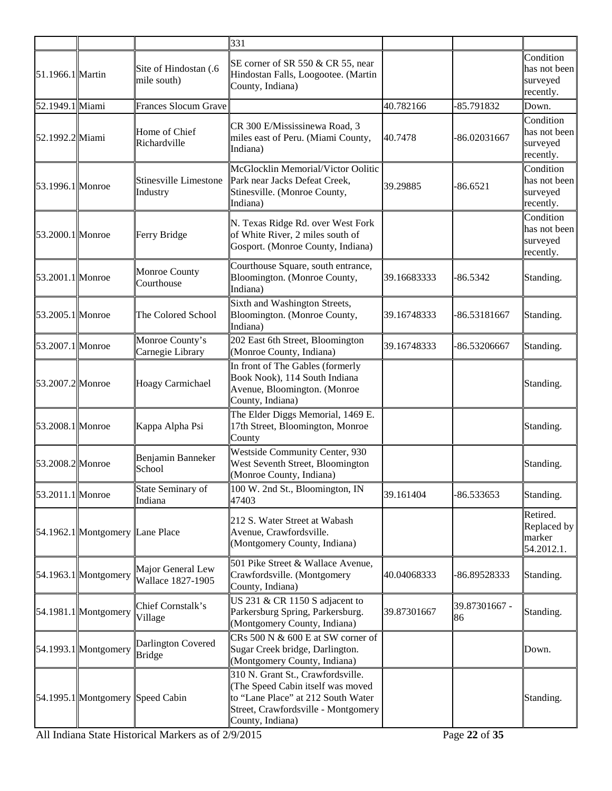|                  |                                  |                                            | 331                                                                                                                                                                    |             |                     |                                                    |
|------------------|----------------------------------|--------------------------------------------|------------------------------------------------------------------------------------------------------------------------------------------------------------------------|-------------|---------------------|----------------------------------------------------|
| 51.1966.1 Martin |                                  | Site of Hindostan (.6<br>mile south)       | SE corner of SR 550 & CR 55, near<br>Hindostan Falls, Loogootee. (Martin<br>County, Indiana)                                                                           |             |                     | Condition<br>has not been<br>surveyed<br>recently. |
| 52.1949.1 Miami  |                                  | <b>Frances Slocum Grave</b>                |                                                                                                                                                                        | 40.782166   | -85.791832          | Down.                                              |
| 52.1992.2 Miami  |                                  | Home of Chief<br>Richardville              | CR 300 E/Mississinewa Road, 3<br>miles east of Peru. (Miami County,<br>Indiana)                                                                                        | 40.7478     | -86.02031667        | Condition<br>has not been<br>surveyed<br>recently. |
| 53.1996.1 Monroe |                                  | Stinesville Limestone<br>Industry          | McGlocklin Memorial/Victor Oolitic<br>Park near Jacks Defeat Creek,<br>Stinesville. (Monroe County,<br>Indiana)                                                        | 39.29885    | -86.6521            | Condition<br>has not been<br>surveyed<br>recently. |
| 53.2000.1 Monroe |                                  | Ferry Bridge                               | N. Texas Ridge Rd. over West Fork<br>of White River, 2 miles south of<br>Gosport. (Monroe County, Indiana)                                                             |             |                     | Condition<br>has not been<br>surveyed<br>recently. |
| 53.2001.1 Monroe |                                  | <b>Monroe County</b><br>Courthouse         | Courthouse Square, south entrance,<br>Bloomington. (Monroe County,<br>Indiana)                                                                                         | 39.16683333 | -86.5342            | Standing.                                          |
| 53.2005.1 Monroe |                                  | The Colored School                         | Sixth and Washington Streets,<br>Bloomington. (Monroe County,<br>Indiana)                                                                                              | 39.16748333 | -86.53181667        | Standing.                                          |
| 53.2007.1 Monroe |                                  | Monroe County's<br>Carnegie Library        | 202 East 6th Street, Bloomington<br>Monroe County, Indiana)                                                                                                            | 39.16748333 | -86.53206667        | Standing.                                          |
| 53.2007.2 Monroe |                                  | Hoagy Carmichael                           | In front of The Gables (formerly<br>Book Nook), 114 South Indiana<br>Avenue, Bloomington. (Monroe<br>County, Indiana)                                                  |             |                     | Standing.                                          |
| 53.2008.1 Monroe |                                  | Kappa Alpha Psi                            | The Elder Diggs Memorial, 1469 E.<br>17th Street, Bloomington, Monroe<br>County                                                                                        |             |                     | Standing.                                          |
| 53.2008.2 Monroe |                                  | Benjamin Banneker<br>School                | Westside Community Center, 930<br>West Seventh Street, Bloomington<br>Monroe County, Indiana)                                                                          |             |                     | Standing.                                          |
| 53.2011.1 Monroe |                                  | State Seminary of<br>Indiana               | 100 W. 2nd St., Bloomington, IN<br>47403                                                                                                                               | 39.161404   | -86.533653          | Standing.                                          |
|                  | 54.1962.1 Montgomery Lane Place  |                                            | 212 S. Water Street at Wabash<br>Avenue, Crawfordsville.<br>Montgomery County, Indiana)                                                                                |             |                     | Retired.<br>Replaced by<br>marker<br>54.2012.1.    |
|                  | $54.1963.1$ Montgomery           | Major General Lew<br>Wallace 1827-1905     | 501 Pike Street & Wallace Avenue,<br>Crawfordsville. (Montgomery<br>County, Indiana)                                                                                   | 40.04068333 | -86.89528333        | Standing.                                          |
|                  | 54.1981.1 Montgomery             | Chief Cornstalk's<br>Village               | US 231 & CR 1150 S adjacent to<br>Parkersburg Spring, Parkersburg.<br>(Montgomery County, Indiana)                                                                     | 39.87301667 | 39.87301667 -<br>86 | Standing.                                          |
|                  | 54.1993.1 Montgomery             | <b>Darlington Covered</b><br><b>Bridge</b> | $CRs$ 500 N $\&$ 600 E at SW corner of<br>Sugar Creek bridge, Darlington.<br>Montgomery County, Indiana)                                                               |             |                     | Down.                                              |
|                  | 54.1995.1 Montgomery Speed Cabin |                                            | 310 N. Grant St., Crawfordsville.<br>The Speed Cabin itself was moved<br>to "Lane Place" at 212 South Water<br>Street, Crawfordsville - Montgomery<br>County, Indiana) |             |                     | Standing.                                          |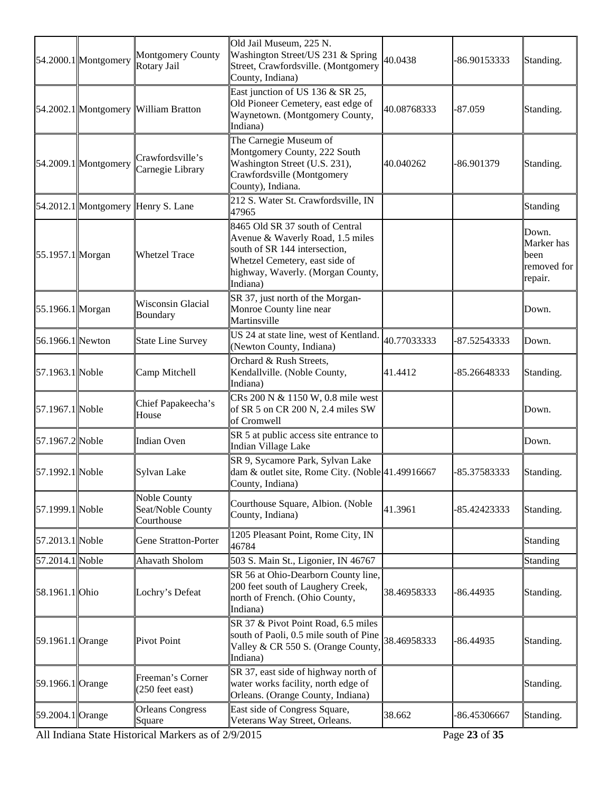| East junction of US 136 & SR 25,<br>Old Pioneer Cemetery, east edge of<br>40.08768333<br>54.2002.1 Montgomery William Bratton<br>$-87.059$<br>Waynetown. (Montgomery County,<br>Indiana)<br>The Carnegie Museum of<br>Montgomery County, 222 South<br>Crawfordsville's<br>Washington Street (U.S. 231),<br>$54.2009.1$ Montgomery<br>-86.901379<br>40.040262<br>Carnegie Library<br>Crawfordsville (Montgomery<br>County), Indiana.<br>212 S. Water St. Crawfordsville, IN<br>54.2012.1 Montgomery Henry S. Lane<br>47965<br>8465 Old SR 37 south of Central<br>Avenue & Waverly Road, 1.5 miles<br>south of SR 144 intersection,<br>55.1957.1 Morgan<br><b>Whetzel Trace</b><br>Whetzel Cemetery, east side of<br>highway, Waverly. (Morgan County,<br>Indiana)<br>SR 37, just north of the Morgan-<br><b>Wisconsin Glacial</b><br>Monroe County line near<br>55.1966.1 Morgan<br>Boundary<br>Martinsville | Standing.                                             |
|-------------------------------------------------------------------------------------------------------------------------------------------------------------------------------------------------------------------------------------------------------------------------------------------------------------------------------------------------------------------------------------------------------------------------------------------------------------------------------------------------------------------------------------------------------------------------------------------------------------------------------------------------------------------------------------------------------------------------------------------------------------------------------------------------------------------------------------------------------------------------------------------------------------|-------------------------------------------------------|
|                                                                                                                                                                                                                                                                                                                                                                                                                                                                                                                                                                                                                                                                                                                                                                                                                                                                                                             | Standing.                                             |
|                                                                                                                                                                                                                                                                                                                                                                                                                                                                                                                                                                                                                                                                                                                                                                                                                                                                                                             | Standing.                                             |
|                                                                                                                                                                                                                                                                                                                                                                                                                                                                                                                                                                                                                                                                                                                                                                                                                                                                                                             | Standing                                              |
|                                                                                                                                                                                                                                                                                                                                                                                                                                                                                                                                                                                                                                                                                                                                                                                                                                                                                                             | Down.<br>Marker has<br>been<br>removed for<br>repair. |
|                                                                                                                                                                                                                                                                                                                                                                                                                                                                                                                                                                                                                                                                                                                                                                                                                                                                                                             | Down.                                                 |
| US 24 at state line, west of Kentland.<br>56.1966.1 Newton<br>40.77033333<br>-87.52543333<br><b>State Line Survey</b><br>(Newton County, Indiana)                                                                                                                                                                                                                                                                                                                                                                                                                                                                                                                                                                                                                                                                                                                                                           | Down.                                                 |
| Orchard & Rush Streets,<br>57.1963.1 Noble<br>Kendallville. (Noble County,<br>Camp Mitchell<br>41.4412<br>-85.26648333<br>Indiana)                                                                                                                                                                                                                                                                                                                                                                                                                                                                                                                                                                                                                                                                                                                                                                          | Standing.                                             |
| CRs 200 N & 1150 W, 0.8 mile west<br>Chief Papakeecha's<br>57.1967.1 Noble<br>of SR 5 on CR 200 N, 2.4 miles SW<br>House<br>of Cromwell                                                                                                                                                                                                                                                                                                                                                                                                                                                                                                                                                                                                                                                                                                                                                                     | Down.                                                 |
| SR 5 at public access site entrance to<br>57.1967.2 Noble<br><b>Indian Oven</b><br>Indian Village Lake                                                                                                                                                                                                                                                                                                                                                                                                                                                                                                                                                                                                                                                                                                                                                                                                      | Down.                                                 |
| SR 9, Sycamore Park, Sylvan Lake<br>57.1992.1 Noble<br>dam & outlet site, Rome City. (Noble 41.49916667<br>Sylvan Lake<br>-85.37583333<br>County, Indiana)                                                                                                                                                                                                                                                                                                                                                                                                                                                                                                                                                                                                                                                                                                                                                  | Standing.                                             |
| Noble County<br>Courthouse Square, Albion. (Noble<br>57.1999.1 Noble<br>Seat/Noble County<br>41.3961<br>-85.42423333<br>County, Indiana)<br>Courthouse                                                                                                                                                                                                                                                                                                                                                                                                                                                                                                                                                                                                                                                                                                                                                      | Standing.                                             |
| 1205 Pleasant Point, Rome City, IN<br>57.2013.1 Noble<br>Gene Stratton-Porter<br>46784                                                                                                                                                                                                                                                                                                                                                                                                                                                                                                                                                                                                                                                                                                                                                                                                                      | Standing                                              |
| 57.2014.1 Noble<br>503 S. Main St., Ligonier, IN 46767<br>Ahavath Sholom                                                                                                                                                                                                                                                                                                                                                                                                                                                                                                                                                                                                                                                                                                                                                                                                                                    | Standing                                              |
| SR 56 at Ohio-Dearborn County line,<br>200 feet south of Laughery Creek,<br>58.1961.1 Ohio<br>38.46958333<br>Lochry's Defeat<br>-86.44935<br>north of French. (Ohio County,<br>Indiana)                                                                                                                                                                                                                                                                                                                                                                                                                                                                                                                                                                                                                                                                                                                     | Standing.                                             |
| SR 37 & Pivot Point Road, 6.5 miles<br>south of Paoli, 0.5 mile south of Pine<br>38.46958333<br>59.1961.1 Orange<br><b>Pivot Point</b><br>$-86.44935$<br>Valley & CR 550 S. (Orange County,<br>Indiana)                                                                                                                                                                                                                                                                                                                                                                                                                                                                                                                                                                                                                                                                                                     | Standing.                                             |
| SR 37, east side of highway north of<br>Freeman's Corner<br>water works facility, north edge of<br>59.1966.1 Orange<br>(250 feet east)<br>Orleans. (Orange County, Indiana)                                                                                                                                                                                                                                                                                                                                                                                                                                                                                                                                                                                                                                                                                                                                 | Standing.                                             |
| <b>Orleans Congress</b><br>East side of Congress Square,<br>38.662<br>59.2004.1 Orange<br>-86.45306667<br>Veterans Way Street, Orleans.<br>Square                                                                                                                                                                                                                                                                                                                                                                                                                                                                                                                                                                                                                                                                                                                                                           | Standing.                                             |

All Indiana State Historical Markers as of 2/9/2015 Page **23** of **35**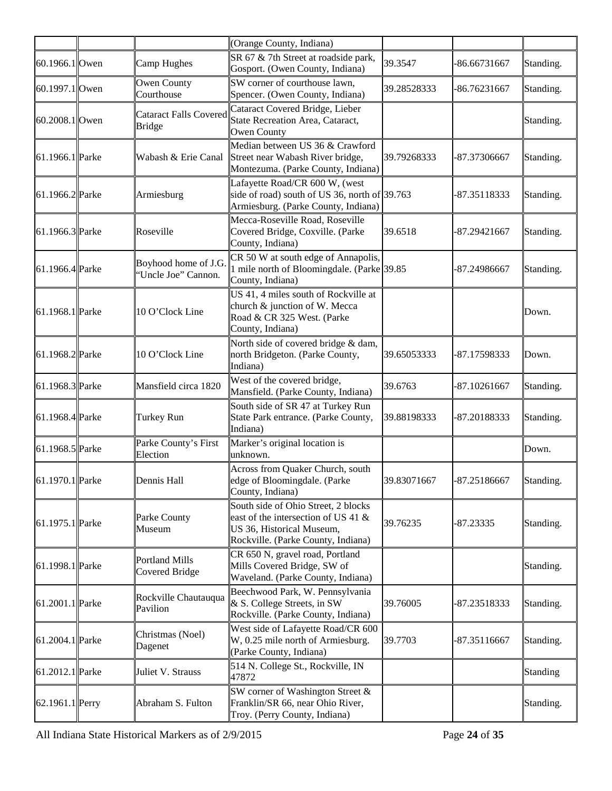|                 |                                                | (Orange County, Indiana)                                                                                                                      |             |                |           |
|-----------------|------------------------------------------------|-----------------------------------------------------------------------------------------------------------------------------------------------|-------------|----------------|-----------|
| 60.1966.1 Owen  | Camp Hughes                                    | SR 67 & 7th Street at roadside park,<br>Gosport. (Owen County, Indiana)                                                                       | 39.3547     | -86.66731667   | Standing. |
| 60.1997.1 Owen  | Owen County<br>Courthouse                      | SW corner of courthouse lawn,<br>Spencer. (Owen County, Indiana)                                                                              | 39.28528333 | $-86.76231667$ | Standing. |
| 60.2008.1 Owen  | <b>Cataract Falls Covered</b><br><b>Bridge</b> | Cataract Covered Bridge, Lieber<br>State Recreation Area, Cataract,<br>Owen County                                                            |             |                | Standing. |
| 61.1966.1 Parke | Wabash & Erie Canal                            | Median between US 36 & Crawford<br>Street near Wabash River bridge,<br>Montezuma. (Parke County, Indiana)                                     | 39.79268333 | -87.37306667   | Standing. |
| 61.1966.2 Parke | Armiesburg                                     | Lafayette Road/CR 600 W, (west<br>side of road) south of US 36, north of 39.763<br>Armiesburg. (Parke County, Indiana)                        |             | -87.35118333   | Standing. |
| 61.1966.3 Parke | Roseville                                      | Mecca-Roseville Road, Roseville<br>Covered Bridge, Coxville. (Parke<br>County, Indiana)                                                       | 39.6518     | -87.29421667   | Standing. |
| 61.1966.4 Parke | Boyhood home of J.G.<br>'Uncle Joe'' Cannon.   | CR 50 W at south edge of Annapolis,<br>1 mile north of Bloomingdale. (Parke 39.85)<br>County, Indiana)                                        |             | -87.24986667   | Standing. |
| 61.1968.1 Parke | 10 O'Clock Line                                | US 41, 4 miles south of Rockville at<br>church & junction of W. Mecca<br>Road & CR 325 West. (Parke<br>County, Indiana)                       |             |                | Down.     |
| 61.1968.2 Parke | 10 O'Clock Line                                | North side of covered bridge & dam,<br>north Bridgeton. (Parke County,<br>Indiana)                                                            | 39.65053333 | -87.17598333   | Down.     |
| 61.1968.3 Parke | Mansfield circa 1820                           | West of the covered bridge,<br>Mansfield. (Parke County, Indiana)                                                                             | 39.6763     | $-87.10261667$ | Standing. |
| 61.1968.4 Parke | Turkey Run                                     | South side of SR 47 at Turkey Run<br>State Park entrance. (Parke County,<br>Indiana)                                                          | 39.88198333 | -87.20188333   | Standing. |
| 61.1968.5 Parke | Parke County's First<br>Election               | Marker's original location is<br>unknown.                                                                                                     |             |                | Down.     |
| 61.1970.1 Parke | Dennis Hall                                    | Across from Quaker Church, south<br>edge of Bloomingdale. (Parke<br>County, Indiana)                                                          | 39.83071667 | -87.25186667   | Standing. |
| 61.1975.1 Parke | Parke County<br>Museum                         | South side of Ohio Street, 2 blocks<br>east of the intersection of US 41 &<br>US 36, Historical Museum,<br>Rockville. (Parke County, Indiana) | 39.76235    | $-87.23335$    | Standing. |
| 61.1998.1 Parke | <b>Portland Mills</b><br>Covered Bridge        | CR 650 N, gravel road, Portland<br>Mills Covered Bridge, SW of<br>Waveland. (Parke County, Indiana)                                           |             |                | Standing. |
| 61.2001.1 Parke | Rockville Chautauqua<br>Pavilion               | Beechwood Park, W. Pennsylvania<br>& S. College Streets, in SW<br>Rockville. (Parke County, Indiana)                                          | 39.76005    | -87.23518333   | Standing. |
| 61.2004.1 Parke | Christmas (Noel)<br>Dagenet                    | West side of Lafayette Road/CR 600<br>W, 0.25 mile north of Armiesburg.<br>(Parke County, Indiana)                                            | 39.7703     | $-87.35116667$ | Standing. |
| 61.2012.1 Parke | Juliet V. Strauss                              | 514 N. College St., Rockville, IN<br>47872                                                                                                    |             |                | Standing  |
| 62.1961.1 Perry | Abraham S. Fulton                              | SW corner of Washington Street &<br>Franklin/SR 66, near Ohio River,<br>Troy. (Perry County, Indiana)                                         |             |                | Standing. |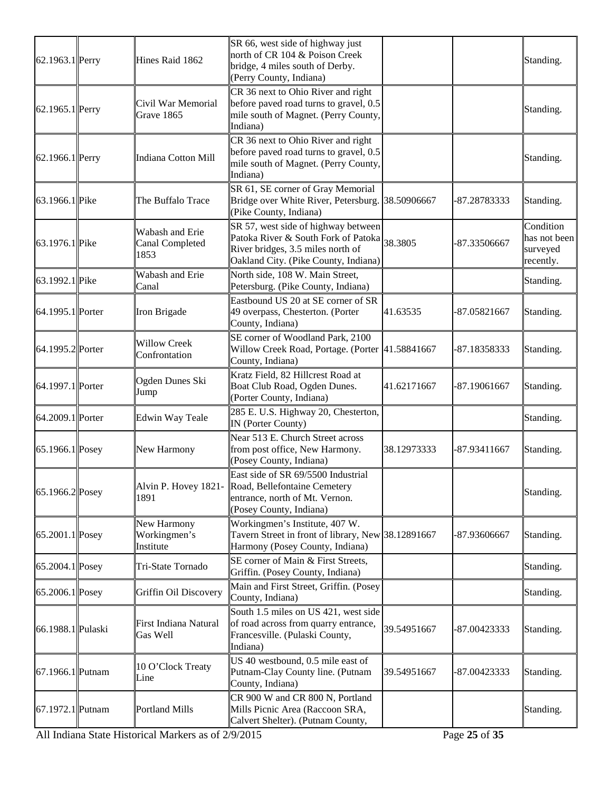| 62.1963.1 Perry     | Hines Raid 1862                                   | SR 66, west side of highway just<br>north of CR 104 & Poison Creek<br>bridge, 4 miles south of Derby.<br>(Perry County, Indiana)                                |             |              | Standing.                                          |
|---------------------|---------------------------------------------------|-----------------------------------------------------------------------------------------------------------------------------------------------------------------|-------------|--------------|----------------------------------------------------|
| 62.1965.1 Perry     | Civil War Memorial<br>Grave 1865                  | CR 36 next to Ohio River and right<br>before paved road turns to gravel, 0.5<br>mile south of Magnet. (Perry County,<br>Indiana)                                |             |              | Standing.                                          |
| 62.1966.1 Perry     | Indiana Cotton Mill                               | CR 36 next to Ohio River and right<br>before paved road turns to gravel, 0.5<br>mile south of Magnet. (Perry County,<br>Indiana)                                |             |              | Standing.                                          |
| 63.1966.1 Pike      | The Buffalo Trace                                 | SR 61, SE corner of Gray Memorial<br>Bridge over White River, Petersburg. 38.50906667<br>(Pike County, Indiana)                                                 |             | -87.28783333 | Standing.                                          |
| 63.1976.1 Pike      | Wabash and Erie<br><b>Canal Completed</b><br>1853 | SR 57, west side of highway between<br>Patoka River & South Fork of Patoka 38.3805<br>River bridges, 3.5 miles north of<br>Oakland City. (Pike County, Indiana) |             | -87.33506667 | Condition<br>has not been<br>surveyed<br>recently. |
| 63.1992.1 Pike      | Wabash and Erie<br>Canal                          | North side, 108 W. Main Street,<br>Petersburg. (Pike County, Indiana)                                                                                           |             |              | Standing.                                          |
| 64.1995.1 Porter    | Iron Brigade                                      | Eastbound US 20 at SE corner of SR<br>49 overpass, Chesterton. (Porter<br>County, Indiana)                                                                      | 41.63535    | -87.05821667 | Standing.                                          |
| 64.1995.2 Porter    | <b>Willow Creek</b><br>Confrontation              | SE corner of Woodland Park, 2100<br>Willow Creek Road, Portage. (Porter 41.58841667<br>County, Indiana)                                                         |             | -87.18358333 | Standing.                                          |
| 64.1997.1 Porter    | Ogden Dunes Ski<br>Jump                           | Kratz Field, 82 Hillcrest Road at<br>Boat Club Road, Ogden Dunes.<br>(Porter County, Indiana)                                                                   | 41.62171667 | -87.19061667 | Standing.                                          |
| 64.2009.1 Porter    | Edwin Way Teale                                   | 285 E. U.S. Highway 20, Chesterton,<br>IN (Porter County)                                                                                                       |             |              | Standing.                                          |
| $ 65.1966.1 $ Posey | New Harmony                                       | Near 513 E. Church Street across<br>from post office, New Harmony.<br>(Posey County, Indiana)                                                                   | 38.12973333 | -87.93411667 | Standing.                                          |
| 65.1966.2 Posey     | Alvin P. Hovey 1821-<br>1891                      | East side of SR 69/5500 Industrial<br>Road, Bellefontaine Cemetery<br>entrance, north of Mt. Vernon.<br>(Posey County, Indiana)                                 |             |              | Standing.                                          |
| $ 65.2001.1 $ Posey | New Harmony<br>Workingmen's<br>Institute          | Workingmen's Institute, 407 W.<br>Tavern Street in front of library, New 38.12891667<br>Harmony (Posey County, Indiana)                                         |             | -87.93606667 | Standing.                                          |
| $ 65.2004.1 $ Posey | Tri-State Tornado                                 | SE corner of Main & First Streets,<br>Griffin. (Posey County, Indiana)                                                                                          |             |              | Standing.                                          |
| $ 65.2006.1 $ Posey | Griffin Oil Discovery                             | Main and First Street, Griffin. (Posey<br>County, Indiana)                                                                                                      |             |              | Standing.                                          |
| 66.1988.1 Pulaski   | First Indiana Natural<br>Gas Well                 | South 1.5 miles on US 421, west side<br>of road across from quarry entrance,<br>Francesville. (Pulaski County,<br>Indiana)                                      | 39.54951667 | -87.00423333 | Standing.                                          |
| 67.1966.1 Putnam    | 10 O'Clock Treaty<br>Line                         | US 40 westbound, 0.5 mile east of<br>Putnam-Clay County line. (Putnam<br>County, Indiana)                                                                       | 39.54951667 | -87.00423333 | Standing.                                          |
| 67.1972.1 Putnam    | <b>Portland Mills</b>                             | CR 900 W and CR 800 N, Portland<br>Mills Picnic Area (Raccoon SRA,<br>Calvert Shelter). (Putnam County,                                                         |             |              | Standing.                                          |

All Indiana State Historical Markers as of 2/9/2015 Page **25** of **35**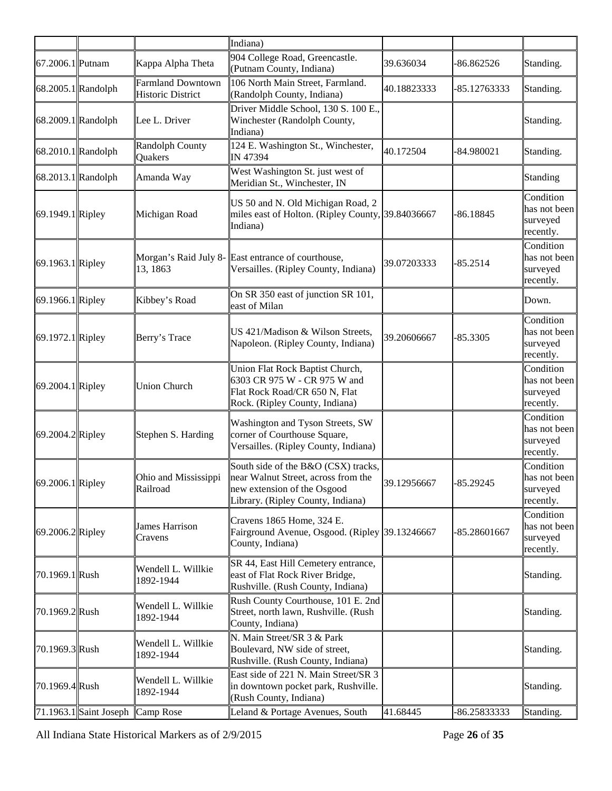|                      |                                                          |                                                      | Indiana)                                                                                                                                       |             |              |                                                    |
|----------------------|----------------------------------------------------------|------------------------------------------------------|------------------------------------------------------------------------------------------------------------------------------------------------|-------------|--------------|----------------------------------------------------|
| 67.2006.1 Putnam     |                                                          | Kappa Alpha Theta                                    | 904 College Road, Greencastle.<br>(Putnam County, Indiana)                                                                                     | 39.636034   | $-86.862526$ | Standing.                                          |
| 68.2005.1 Randolph   |                                                          | <b>Farmland Downtown</b><br><b>Historic District</b> | 106 North Main Street, Farmland.<br>(Randolph County, Indiana)                                                                                 | 40.18823333 | -85.12763333 | Standing.                                          |
| 68.2009.1 Randolph   |                                                          | Lee L. Driver                                        | Driver Middle School, 130 S. 100 E.,<br>Winchester (Randolph County,<br>Indiana)                                                               |             |              | Standing.                                          |
| 68.2010.1 Randolph   |                                                          | Randolph County<br>Quakers                           | 124 E. Washington St., Winchester,<br>IN 47394                                                                                                 | 40.172504   | $-84.980021$ | Standing.                                          |
| $68.2013.1$ Randolph |                                                          | Amanda Way                                           | West Washington St. just west of<br>Meridian St., Winchester, IN                                                                               |             |              | Standing                                           |
| 69.1949.1 Ripley     |                                                          | Michigan Road                                        | US 50 and N. Old Michigan Road, 2<br>miles east of Holton. (Ripley County, 39.84036667<br>Indiana)                                             |             | -86.18845    | Condition<br>has not been<br>surveyed<br>recently. |
| 69.1963.1 Ripley     |                                                          | 13, 1863                                             | Morgan's Raid July 8- East entrance of courthouse,<br>Versailles. (Ripley County, Indiana)                                                     | 39.07203333 | $-85.2514$   | Condition<br>has not been<br>surveyed<br>recently. |
| 69.1966.1 Ripley     |                                                          | Kibbey's Road                                        | On SR 350 east of junction SR 101,<br>east of Milan                                                                                            |             |              | Down.                                              |
| 69.1972.1 Ripley     |                                                          | Berry's Trace                                        | US 421/Madison & Wilson Streets,<br>Napoleon. (Ripley County, Indiana)                                                                         | 39.20606667 | $-85.3305$   | Condition<br>has not been<br>surveyed<br>recently. |
| 69.2004.1 Ripley     |                                                          | <b>Union Church</b>                                  | Union Flat Rock Baptist Church,<br>6303 CR 975 W - CR 975 W and<br>Flat Rock Road/CR 650 N, Flat<br>Rock. (Ripley County, Indiana)             |             |              | Condition<br>has not been<br>surveyed<br>recently. |
| 69.2004.2 Ripley     |                                                          | Stephen S. Harding                                   | Washington and Tyson Streets, SW<br>corner of Courthouse Square,<br>Versailles. (Ripley County, Indiana)                                       |             |              | Condition<br>has not been<br>surveyed<br>recently. |
| 69.2006.1 Ripley     |                                                          | Ohio and Mississippi<br>Railroad                     | South side of the B&O (CSX) tracks,<br>near Walnut Street, across from the<br>new extension of the Osgood<br>Library. (Ripley County, Indiana) | 39.12956667 | -85.29245    | Condition<br>has not been<br>surveyed<br>recently. |
| $ 69.2006.2 $ Ripley |                                                          | James Harrison<br>Cravens                            | Cravens 1865 Home, 324 E.<br>Fairground Avenue, Osgood. (Ripley 39.13246667<br>County, Indiana)                                                |             | -85.28601667 | Condition<br>has not been<br>surveyed<br>recently. |
| 70.1969.1 Rush       |                                                          | Wendell L. Willkie<br>1892-1944                      | SR 44, East Hill Cemetery entrance,<br>east of Flat Rock River Bridge,<br>Rushville. (Rush County, Indiana)                                    |             |              | Standing.                                          |
| 70.1969.2Rush        |                                                          | Wendell L. Willkie<br>1892-1944                      | Rush County Courthouse, 101 E. 2nd<br>Street, north lawn, Rushville. (Rush<br>County, Indiana)                                                 |             |              | Standing.                                          |
| 70.1969.3 Rush       |                                                          | Wendell L. Willkie<br>1892-1944                      | N. Main Street/SR 3 & Park<br>Boulevard, NW side of street,<br>Rushville. (Rush County, Indiana)                                               |             |              | Standing.                                          |
| 70.1969.4 Rush       |                                                          | Wendell L. Willkie<br>1892-1944                      | East side of 221 N. Main Street/SR 3<br>in downtown pocket park, Rushville.<br>(Rush County, Indiana)                                          |             |              | Standing.                                          |
|                      | $\vert$ 71.1963.1 $\vert$ Saint Joseph $\vert$ Camp Rose |                                                      | Leland & Portage Avenues, South                                                                                                                | 41.68445    | -86.25833333 | Standing.                                          |

All Indiana State Historical Markers as of 2/9/2015 Page **26** of **35**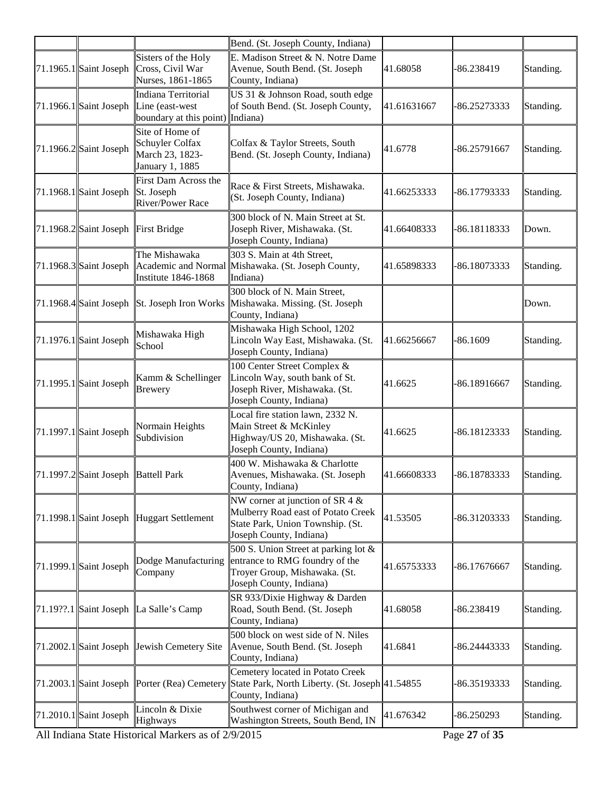|                                         |                                                                             | Bend. (St. Joseph County, Indiana)                                                                                                      |             |              |           |
|-----------------------------------------|-----------------------------------------------------------------------------|-----------------------------------------------------------------------------------------------------------------------------------------|-------------|--------------|-----------|
| $\left  71.1965.1 \right $ Saint Joseph | Sisters of the Holy<br>Cross, Civil War<br>Nurses, 1861-1865                | E. Madison Street & N. Notre Dame<br>Avenue, South Bend. (St. Joseph<br>County, Indiana)                                                | 41.68058    | -86.238419   | Standing. |
| $71.1966.1$ Saint Joseph                | Indiana Territorial<br>Line (east-west)<br>boundary at this point) Indiana) | US 31 & Johnson Road, south edge<br>of South Bend. (St. Joseph County,                                                                  | 41.61631667 | -86.25273333 | Standing. |
| $71.1966.2$ Saint Joseph                | Site of Home of<br>Schuyler Colfax<br>March 23, 1823-<br>January 1, 1885    | Colfax & Taylor Streets, South<br>Bend. (St. Joseph County, Indiana)                                                                    | 41.6778     | -86.25791667 | Standing. |
| $71.1968.1$ Saint Joseph                | First Dam Across the<br>St. Joseph<br><b>River/Power Race</b>               | Race & First Streets, Mishawaka.<br>(St. Joseph County, Indiana)                                                                        | 41.66253333 | -86.17793333 | Standing. |
| $71.1968.2$ Saint Joseph                | <b>First Bridge</b>                                                         | 300 block of N. Main Street at St.<br>Joseph River, Mishawaka. (St.<br>Joseph County, Indiana)                                          | 41.66408333 | -86.18118333 | Down.     |
|                                         | The Mishawaka<br>Institute 1846-1868                                        | 303 S. Main at 4th Street,<br>71.1968.3 Saint Joseph Academic and Normal Mishawaka. (St. Joseph County,<br>Indiana)                     | 41.65898333 | -86.18073333 | Standing. |
|                                         |                                                                             | 300 block of N. Main Street,<br>71.1968.4 Saint Joseph St. Joseph Iron Works Mishawaka. Missing. (St. Joseph<br>County, Indiana)        |             |              | Down.     |
| $71.1976.1$ Saint Joseph                | Mishawaka High<br>School                                                    | Mishawaka High School, 1202<br>Lincoln Way East, Mishawaka. (St.<br>Joseph County, Indiana)                                             | 41.66256667 | -86.1609     | Standing. |
| $71.1995.1$ Saint Joseph                | Kamm & Schellinger<br><b>Brewery</b>                                        | 100 Center Street Complex &<br>Lincoln Way, south bank of St.<br>Joseph River, Mishawaka. (St.<br>Joseph County, Indiana)               | 41.6625     | -86.18916667 | Standing. |
| $71.1997.1$ Saint Joseph                | Normain Heights<br>Subdivision                                              | Local fire station lawn, 2332 N.<br>Main Street & McKinley<br>Highway/US 20, Mishawaka. (St.<br>Joseph County, Indiana)                 | 41.6625     | -86.18123333 | Standing. |
| 71.1997.2 Saint Joseph Battell Park     |                                                                             | 400 W. Mishawaka & Charlotte<br>Avenues, Mishawaka. (St. Joseph<br>County, Indiana)                                                     | 41.66608333 | -86.18783333 | Standing. |
|                                         | 71.1998.1 Saint Joseph Huggart Settlement                                   | NW corner at junction of SR 4 $\&$<br>Mulberry Road east of Potato Creek<br>State Park, Union Township. (St.<br>Joseph County, Indiana) | 41.53505    | -86.31203333 | Standing. |
| 71.1999.1 Saint Joseph                  | Dodge Manufacturing<br>Company                                              | 500 S. Union Street at parking lot &<br>entrance to RMG foundry of the<br>Troyer Group, Mishawaka. (St.<br>Joseph County, Indiana)      | 41.65753333 | -86.17676667 | Standing. |
|                                         | 71.19??.1 Saint Joseph La Salle's Camp                                      | SR 933/Dixie Highway & Darden<br>Road, South Bend. (St. Joseph<br>County, Indiana)                                                      | 41.68058    | -86.238419   | Standing. |
| 71.2002.1 Saint Joseph                  | Jewish Cemetery Site                                                        | 500 block on west side of N. Niles<br>Avenue, South Bend. (St. Joseph<br>County, Indiana)                                               | 41.6841     | -86.24443333 | Standing. |
|                                         | 71.2003.1 Saint Joseph Porter (Rea) Cemetery                                | Cemetery located in Potato Creek<br>State Park, North Liberty. (St. Joseph 41.54855<br>County, Indiana)                                 |             | 86.35193333  | Standing. |
| $71.2010.1$ Saint Joseph                | Lincoln & Dixie<br>Highways                                                 | Southwest corner of Michigan and<br>Washington Streets, South Bend, IN                                                                  | 41.676342   | -86.250293   | Standing. |
|                                         |                                                                             |                                                                                                                                         |             |              |           |

All Indiana State Historical Markers as of 2/9/2015 Page **27** of **35**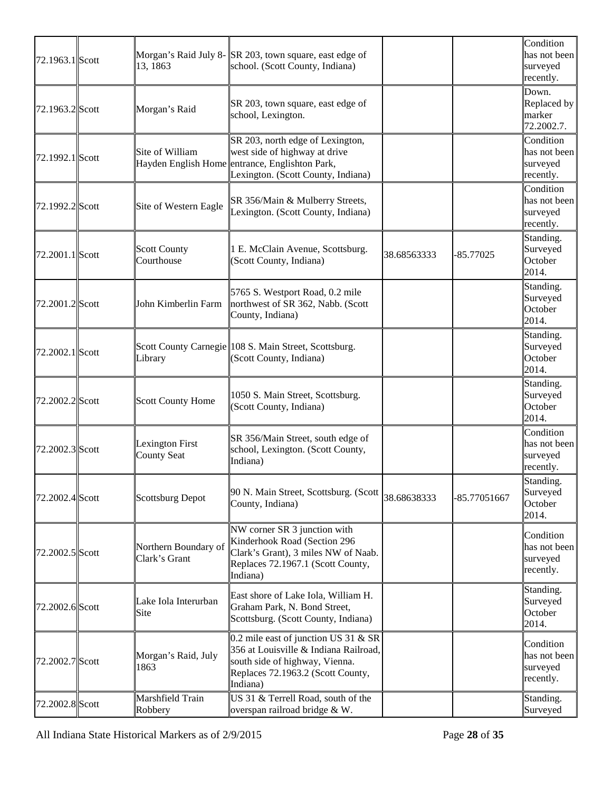| 72.1963.1 Scott | 13, 1863                               | Morgan's Raid July 8-SR 203, town square, east edge of<br>school. (Scott County, Indiana)                                                                        |             |              | Condition<br>has not been<br>surveyed<br>recently. |
|-----------------|----------------------------------------|------------------------------------------------------------------------------------------------------------------------------------------------------------------|-------------|--------------|----------------------------------------------------|
| 72.1963.2 Scott | Morgan's Raid                          | SR 203, town square, east edge of<br>school, Lexington.                                                                                                          |             |              | Down.<br>Replaced by<br>marker<br>72.2002.7.       |
| 72.1992.1 Scott | Site of William<br>Hayden English Home | SR 203, north edge of Lexington,<br>west side of highway at drive<br>entrance, Englishton Park,<br>Lexington. (Scott County, Indiana)                            |             |              | Condition<br>has not been<br>surveyed<br>recently. |
| 72.1992.2 Scott | Site of Western Eagle                  | SR 356/Main & Mulberry Streets,<br>Lexington. (Scott County, Indiana)                                                                                            |             |              | Condition<br>has not been<br>surveyed<br>recently. |
| 72.2001.1 Scott | <b>Scott County</b><br>Courthouse      | 1 E. McClain Avenue, Scottsburg.<br>(Scott County, Indiana)                                                                                                      | 38.68563333 | $-85.77025$  | Standing.<br>Surveyed<br>October<br>2014.          |
| 72.2001.2 Scott | John Kimberlin Farm                    | 5765 S. Westport Road, 0.2 mile<br>northwest of SR 362, Nabb. (Scott<br>County, Indiana)                                                                         |             |              | Standing.<br>Surveyed<br>October<br>2014.          |
| 72.2002.1 Scott | Library                                | Scott County Carnegie 108 S. Main Street, Scottsburg.<br>(Scott County, Indiana)                                                                                 |             |              | Standing.<br>Surveyed<br>October<br>2014.          |
| 72.2002.2 Scott | <b>Scott County Home</b>               | 1050 S. Main Street, Scottsburg.<br>(Scott County, Indiana)                                                                                                      |             |              | Standing.<br>Surveyed<br>October<br>2014.          |
| 72.2002.3 Scott | Lexington First<br><b>County Seat</b>  | SR 356/Main Street, south edge of<br>school, Lexington. (Scott County,<br>Indiana)                                                                               |             |              | Condition<br>has not been<br>surveyed<br>recently. |
| 72.2002.4 Scott | Scottsburg Depot                       | 90 N. Main Street, Scottsburg. (Scott $ _{38.68638333}$<br>County, Indiana)                                                                                      |             | -85.77051667 | Standing.<br>Surveyed<br>October<br>2014.          |
| 72.2002.5 Scott | Northern Boundary of<br>Clark's Grant  | NW corner SR 3 junction with<br>Kinderhook Road (Section 296<br>Clark's Grant), 3 miles NW of Naab.<br>Replaces 72.1967.1 (Scott County,<br>Indiana)             |             |              | Condition<br>has not been<br>surveyed<br>recently. |
| 72.2002.6 Scott | Lake Iola Interurban<br>Site           | East shore of Lake Iola, William H.<br>Graham Park, N. Bond Street,<br>Scottsburg. (Scott County, Indiana)                                                       |             |              | Standing.<br>Surveyed<br>October<br>2014.          |
| 72.2002.7 Scott | Morgan's Raid, July<br>1863            | 0.2 mile east of junction US 31 & SR<br>356 at Louisville & Indiana Railroad,<br>south side of highway, Vienna.<br>Replaces 72.1963.2 (Scott County,<br>Indiana) |             |              | Condition<br>has not been<br>surveyed<br>recently. |
| 72.2002.8 Scott | Marshfield Train<br>Robbery            | US 31 & Terrell Road, south of the<br>overspan railroad bridge & W.                                                                                              |             |              | Standing.<br>Surveyed                              |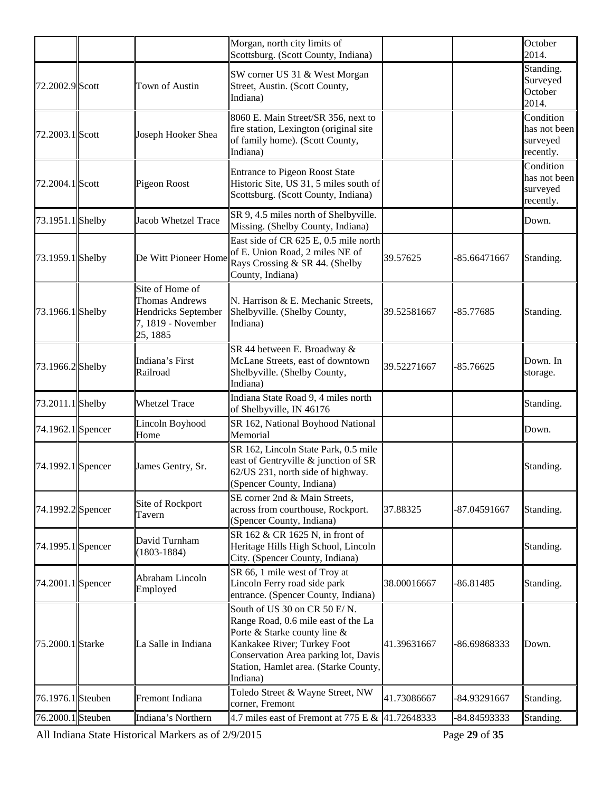|                    |                                                                                                   | Morgan, north city limits of<br>Scottsburg. (Scott County, Indiana)                                                                                                                                                                |             |              | October<br>2014.                                   |
|--------------------|---------------------------------------------------------------------------------------------------|------------------------------------------------------------------------------------------------------------------------------------------------------------------------------------------------------------------------------------|-------------|--------------|----------------------------------------------------|
| 72.2002.9 Scott    | <b>Town of Austin</b>                                                                             | SW corner US 31 & West Morgan<br>Street, Austin. (Scott County,<br>Indiana)                                                                                                                                                        |             |              | Standing.<br>Surveyed<br>October<br>2014.          |
| 72.2003.1 Scott    | Joseph Hooker Shea                                                                                | 8060 E. Main Street/SR 356, next to<br>fire station, Lexington (original site<br>of family home). (Scott County,<br>Indiana)                                                                                                       |             |              | Condition<br>has not been<br>surveyed<br>recently. |
| 72.2004.1 Scott    | Pigeon Roost                                                                                      | Entrance to Pigeon Roost State<br>Historic Site, US 31, 5 miles south of<br>Scottsburg. (Scott County, Indiana)                                                                                                                    |             |              | Condition<br>has not been<br>surveyed<br>recently. |
| 73.1951.1 Shelby   | Jacob Whetzel Trace                                                                               | SR 9, 4.5 miles north of Shelbyville.<br>Missing. (Shelby County, Indiana)                                                                                                                                                         |             |              | Down.                                              |
| $73.1959.1$ Shelby | De Witt Pioneer Home                                                                              | East side of CR 625 E, 0.5 mile north<br>of E. Union Road, 2 miles NE of<br>Rays Crossing & SR 44. (Shelby<br>County, Indiana)                                                                                                     | 39.57625    | -85.66471667 | Standing.                                          |
| $73.1966.1$ Shelby | Site of Home of<br><b>Thomas Andrews</b><br>Hendricks September<br>7, 1819 - November<br>25, 1885 | N. Harrison & E. Mechanic Streets,<br>Shelbyville. (Shelby County,<br>Indiana)                                                                                                                                                     | 39.52581667 | $-85.77685$  | Standing.                                          |
| 73.1966.2 Shelby   | Indiana's First<br>Railroad                                                                       | SR 44 between E. Broadway &<br>McLane Streets, east of downtown<br>Shelbyville. (Shelby County,<br>Indiana)                                                                                                                        | 39.52271667 | -85.76625    | Down. In<br>storage.                               |
| 73.2011.1 Shelby   | <b>Whetzel Trace</b>                                                                              | Indiana State Road 9, 4 miles north<br>of Shelbyville, IN 46176                                                                                                                                                                    |             |              | Standing.                                          |
| 74.1962.1 Spencer  | Lincoln Boyhood<br>Home                                                                           | SR 162, National Boyhood National<br>Memorial                                                                                                                                                                                      |             |              | Down.                                              |
| 74.1992.1 Spencer  | James Gentry, Sr.                                                                                 | SR 162, Lincoln State Park, 0.5 mile<br>east of Gentryville & junction of SR<br>62/US 231, north side of highway.<br>Spencer County, Indiana)                                                                                      |             |              | Standing.                                          |
| 74.1992.2 Spencer  | Site of Rockport<br>Tavern                                                                        | SE corner 2nd & Main Streets,<br>across from courthouse, Rockport.<br>(Spencer County, Indiana)                                                                                                                                    | 37.88325    | -87.04591667 | Standing.                                          |
| 74.1995.1 Spencer  | David Turnham<br>$(1803 - 1884)$                                                                  | SR 162 & CR 1625 N, in front of<br>Heritage Hills High School, Lincoln<br>City. (Spencer County, Indiana)                                                                                                                          |             |              | Standing.                                          |
| 74.2001.1 Spencer  | Abraham Lincoln<br>Employed                                                                       | SR 66, 1 mile west of Troy at<br>Lincoln Ferry road side park<br>entrance. (Spencer County, Indiana)                                                                                                                               | 38.00016667 | $-86.81485$  | Standing.                                          |
| 75.2000.1 Starke   | La Salle in Indiana                                                                               | South of US 30 on CR 50 E/N.<br>Range Road, 0.6 mile east of the La<br>Porte & Starke county line $\&$<br>Kankakee River; Turkey Foot<br>Conservation Area parking lot, Davis<br>Station, Hamlet area. (Starke County,<br>Indiana) | 41.39631667 | -86.69868333 | Down.                                              |
| 76.1976.1 Steuben  | Fremont Indiana                                                                                   | Toledo Street & Wayne Street, NW<br>corner, Fremont                                                                                                                                                                                | 41.73086667 | -84.93291667 | Standing.                                          |
| 76.2000.1 Steuben  | Indiana's Northern                                                                                | 4.7 miles east of Fremont at 775 E & $ 41.72648333$                                                                                                                                                                                |             | -84.84593333 | Standing.                                          |

All Indiana State Historical Markers as of 2/9/2015 Page **29** of **35**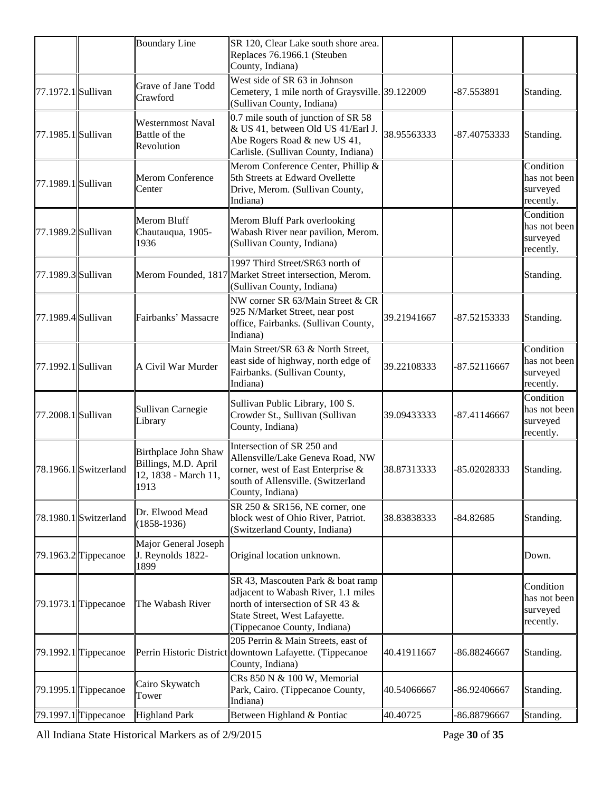|                    |                                       | <b>Boundary Line</b>                                                                | SR 120, Clear Lake south shore area.<br>Replaces 76.1966.1 (Steuben<br>County, Indiana)                                                                                       |             |              |                                                    |
|--------------------|---------------------------------------|-------------------------------------------------------------------------------------|-------------------------------------------------------------------------------------------------------------------------------------------------------------------------------|-------------|--------------|----------------------------------------------------|
| 77.1972.1 Sullivan |                                       | Grave of Jane Todd<br>Crawford                                                      | West side of SR 63 in Johnson<br>Cemetery, 1 mile north of Graysville. 39.122009<br>(Sullivan County, Indiana)                                                                |             | -87.553891   | Standing.                                          |
| 77.1985.1 Sullivan |                                       | Westernmost Naval<br>Battle of the<br>Revolution                                    | $0.7$ mile south of junction of SR 58<br>& US 41, between Old US 41/Earl J.<br>Abe Rogers Road & new US 41,<br>Carlisle. (Sullivan County, Indiana)                           | 38.95563333 | -87.40753333 | Standing.                                          |
| 77.1989.1 Sullivan |                                       | Merom Conference<br>Center                                                          | Merom Conference Center, Phillip &<br>5th Streets at Edward Ovellette<br>Drive, Merom. (Sullivan County,<br>Indiana)                                                          |             |              | Condition<br>has not been<br>surveyed<br>recently. |
| 77.1989.2 Sullivan |                                       | Merom Bluff<br>Chautauqua, 1905-<br>1936                                            | Merom Bluff Park overlooking<br>Wabash River near pavilion, Merom.<br>(Sullivan County, Indiana)                                                                              |             |              | Condition<br>has not been<br>surveyed<br>recently. |
| 77.1989.3 Sullivan |                                       |                                                                                     | 1997 Third Street/SR63 north of<br>Merom Founded, 1817 Market Street intersection, Merom.<br>(Sullivan County, Indiana)                                                       |             |              | Standing.                                          |
| 77.1989.4 Sullivan |                                       | Fairbanks' Massacre                                                                 | NW corner SR 63/Main Street & CR<br>925 N/Market Street, near post<br>office, Fairbanks. (Sullivan County,<br>Indiana)                                                        | 39.21941667 | -87.52153333 | Standing.                                          |
| 77.1992.1 Sullivan |                                       | A Civil War Murder                                                                  | Main Street/SR 63 & North Street,<br>east side of highway, north edge of<br>Fairbanks. (Sullivan County,<br>Indiana)                                                          | 39.22108333 | -87.52116667 | Condition<br>has not been<br>surveyed<br>recently. |
| 77.2008.1 Sullivan |                                       | Sullivan Carnegie<br>Library                                                        | Sullivan Public Library, 100 S.<br>Crowder St., Sullivan (Sullivan<br>County, Indiana)                                                                                        | 39.09433333 | -87.41146667 | Condition<br>has not been<br>surveyed<br>recently. |
|                    | $78.1966.1$ Switzerland               | <b>Birthplace John Shaw</b><br>Billings, M.D. April<br>12, 1838 - March 11,<br>1913 | Intersection of SR 250 and<br>Allensville/Lake Geneva Road, NW<br>corner, west of East Enterprise &<br>south of Allensville. (Switzerland<br>County, Indiana)                 | 38.87313333 | -85.02028333 | Standing.                                          |
|                    | 78.1980.1 Switzerland                 | Dr. Elwood Mead<br>$(1858-1936)$                                                    | SR 250 & SR156, NE corner, one<br>block west of Ohio River, Patriot.<br>(Switzerland County, Indiana)                                                                         | 38.83838333 | $-84.82685$  | Standing.                                          |
|                    | $\left  79.1963.2 \right $ Tippecanoe | Major General Joseph<br>J. Reynolds 1822-<br>1899                                   | Original location unknown.                                                                                                                                                    |             |              | Down.                                              |
|                    | $\left  79.1973.1 \right $ Tippecanoe | The Wabash River                                                                    | SR 43, Mascouten Park & boat ramp<br>adjacent to Wabash River, 1.1 miles<br>north of intersection of SR 43 &<br>State Street, West Lafayette.<br>(Tippecanoe County, Indiana) |             |              | Condition<br>has not been<br>surveyed<br>recently. |
|                    | 79.1992.1 Tippecanoe                  |                                                                                     | 205 Perrin & Main Streets, east of<br>Perrin Historic District downtown Lafayette. (Tippecanoe<br>County, Indiana)                                                            | 40.41911667 | -86.88246667 | Standing.                                          |
|                    | $\left  79.1995.1 \right $ Tippecanoe | Cairo Skywatch<br>Tower                                                             | CRs 850 N & 100 W, Memorial<br>Park, Cairo. (Tippecanoe County,<br>Indiana)                                                                                                   | 40.54066667 | -86.92406667 | Standing.                                          |
|                    | $\left  79.1997.1 \right $ Tippecanoe | <b>Highland Park</b>                                                                | Between Highland & Pontiac                                                                                                                                                    | 40.40725    | -86.88796667 | Standing.                                          |

All Indiana State Historical Markers as of 2/9/2015 Page **30** of **35**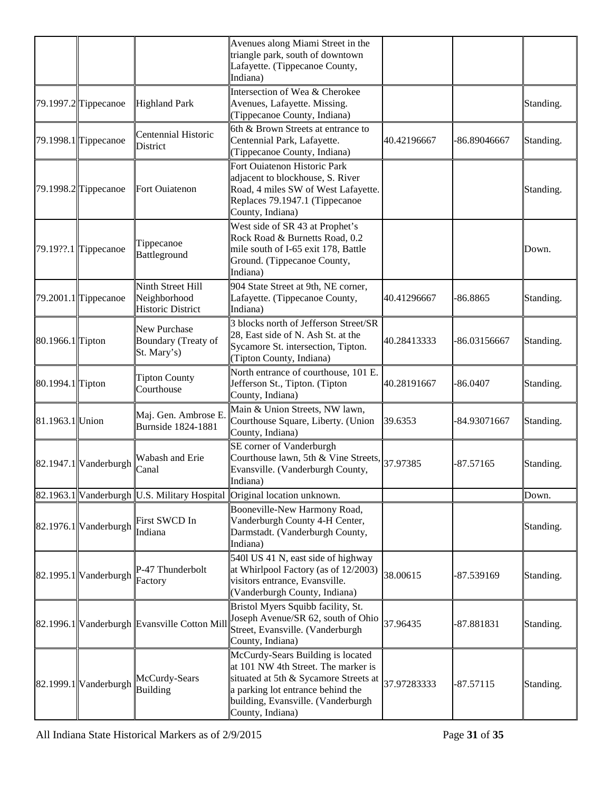|                  |                                        |                                                               | Avenues along Miami Street in the<br>triangle park, south of downtown<br>Lafayette. (Tippecanoe County,<br>Indiana)                                                                                              |             |              |           |
|------------------|----------------------------------------|---------------------------------------------------------------|------------------------------------------------------------------------------------------------------------------------------------------------------------------------------------------------------------------|-------------|--------------|-----------|
|                  | $79.1997.2$ Tippecanoe                 | <b>Highland Park</b>                                          | Intersection of Wea & Cherokee<br>Avenues, Lafayette. Missing.<br>(Tippecanoe County, Indiana)                                                                                                                   |             |              | Standing. |
|                  | 79.1998.1 Tippecanoe                   | Centennial Historic<br>District                               | 6th & Brown Streets at entrance to<br>Centennial Park, Lafayette.<br>(Tippecanoe County, Indiana)                                                                                                                | 40.42196667 | -86.89046667 | Standing. |
|                  | $[79.1998.2]$ Tippecanoe               | Fort Ouiatenon                                                | Fort Ouiatenon Historic Park<br>adjacent to blockhouse, S. River<br>Road, 4 miles SW of West Lafayette.<br>Replaces 79.1947.1 (Tippecanoe<br>County, Indiana)                                                    |             |              | Standing. |
|                  | $\left  79.19\right $ ??.1 Tippecanoe  | Tippecanoe<br>Battleground                                    | West side of SR 43 at Prophet's<br>Rock Road & Burnetts Road, 0.2<br>mile south of I-65 exit 178, Battle<br>Ground. (Tippecanoe County,<br>Indiana)                                                              |             |              | Down.     |
|                  | $79.2001.1$ Tippecanoe                 | Ninth Street Hill<br>Neighborhood<br><b>Historic District</b> | 904 State Street at 9th, NE corner,<br>Lafayette. (Tippecanoe County,<br>Indiana)                                                                                                                                | 40.41296667 | $-86.8865$   | Standing. |
| 80.1966.1 Tipton |                                        | New Purchase<br>Boundary (Treaty of<br>St. Mary's)            | 3 blocks north of Jefferson Street/SR<br>28, East side of N. Ash St. at the<br>Sycamore St. intersection, Tipton.<br>(Tipton County, Indiana)                                                                    | 40.28413333 | -86.03156667 | Standing. |
| 80.1994.1 Tipton |                                        | <b>Tipton County</b><br>Courthouse                            | North entrance of courthouse, 101 E.<br>Jefferson St., Tipton. (Tipton<br>County, Indiana)                                                                                                                       | 40.28191667 | $-86.0407$   | Standing. |
| 81.1963.1 Union  |                                        | Maj. Gen. Ambrose E<br>Burnside 1824-1881                     | Main & Union Streets, NW lawn,<br>Courthouse Square, Liberty. (Union<br>County, Indiana)                                                                                                                         | 39.6353     | -84.93071667 | Standing. |
|                  | $\left  82.1947.1 \right $ Vanderburgh | Wabash and Erie<br>Canal                                      | SE corner of Vanderburgh<br>Courthouse lawn, 5th & Vine Streets,<br>Evansville. (Vanderburgh County,<br>Indiana)                                                                                                 | 37.97385    | $-87.57165$  | Standing. |
|                  |                                        | 82.1963.1 Vanderburgh U.S. Military Hospital                  | Original location unknown.                                                                                                                                                                                       |             |              | Down.     |
|                  | $\left  82.1976.1 \right $ Vanderburgh | First SWCD In<br>Indiana                                      | Booneville-New Harmony Road,<br>Vanderburgh County 4-H Center,<br>Darmstadt. (Vanderburgh County,<br>Indiana)                                                                                                    |             |              | Standing. |
|                  | 82.1995.1 Vanderburgh                  | P-47 Thunderbolt<br>Factory                                   | 5401 US 41 N, east side of highway<br>at Whirlpool Factory (as of 12/2003)<br>visitors entrance, Evansville.<br>(Vanderburgh County, Indiana)                                                                    | 38.00615    | -87.539169   | Standing. |
|                  |                                        | 82.1996.1 Vanderburgh Evansville Cotton Mil                   | Bristol Myers Squibb facility, St.<br>Joseph Avenue/SR 62, south of Ohio<br>Street, Evansville. (Vanderburgh<br>County, Indiana)                                                                                 | 37.96435    | -87.881831   | Standing. |
|                  | 82.1999.1 Vanderburgh                  | McCurdy-Sears<br><b>Building</b>                              | McCurdy-Sears Building is located<br>at 101 NW 4th Street. The marker is<br>situated at 5th & Sycamore Streets at<br>a parking lot entrance behind the<br>building, Evansville. (Vanderburgh<br>County, Indiana) | 37.97283333 | $-87.57115$  | Standing. |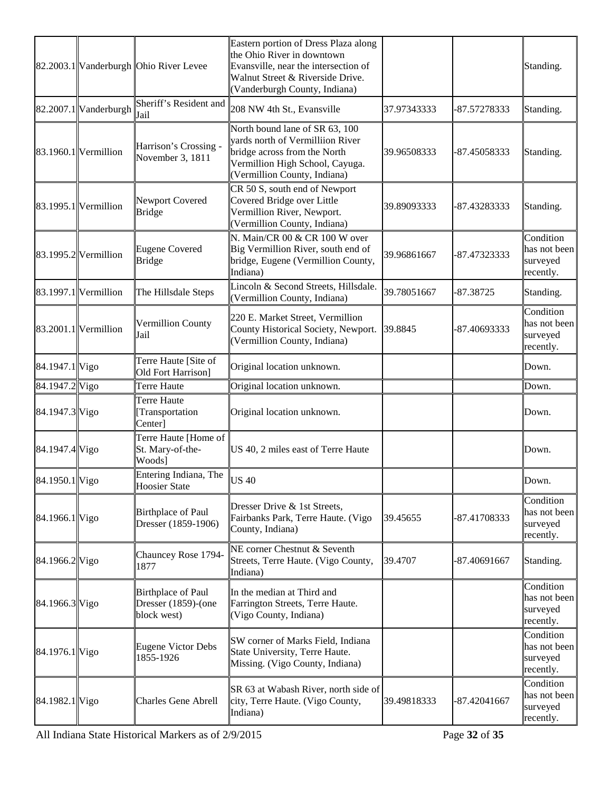|                |                            | 82.2003.1 Vanderburgh Ohio River Levee                   | Eastern portion of Dress Plaza along<br>the Ohio River in downtown<br>Evansville, near the intersection of<br>Walnut Street & Riverside Drive.<br>(Vanderburgh County, Indiana) |             |              | Standing.                                          |
|----------------|----------------------------|----------------------------------------------------------|---------------------------------------------------------------------------------------------------------------------------------------------------------------------------------|-------------|--------------|----------------------------------------------------|
|                | 82.2007.1 Vanderburgh      | Sheriff's Resident and<br>Jail                           | 208 NW 4th St., Evansville                                                                                                                                                      | 37.97343333 | -87.57278333 | Standing.                                          |
|                | $\ 83.1960.1\ $ Vermillion | Harrison's Crossing -<br>November 3, 1811                | North bound lane of SR 63, 100<br>vards north of Vermilliion River<br>bridge across from the North<br>Vermillion High School, Cayuga.<br>(Vermillion County, Indiana)           | 39.96508333 | -87.45058333 | Standing.                                          |
|                | $\ 83.1995.1\ $ Vermillion | Newport Covered<br>Bridge                                | CR 50 S, south end of Newport<br>Covered Bridge over Little<br>Vermillion River, Newport.<br>(Vermillion County, Indiana)                                                       | 39.89093333 | -87.43283333 | Standing.                                          |
|                | $\ 83.1995.2\ $ Vermillion | Eugene Covered<br><b>Bridge</b>                          | N. Main/CR 00 & CR 100 W over<br>Big Vermillion River, south end of<br>bridge, Eugene (Vermillion County,<br>Indiana)                                                           | 39.96861667 | -87.47323333 | Condition<br>has not been<br>surveyed<br>recently. |
|                | $\ 83.1997.1\ $ Vermillion | The Hillsdale Steps                                      | Lincoln & Second Streets, Hillsdale.<br>(Vermillion County, Indiana)                                                                                                            | 39.78051667 | $-87.38725$  | Standing.                                          |
|                | $\ 83.2001.1\ $ Vermillion | Vermillion County<br>Jail                                | 220 E. Market Street, Vermillion<br>County Historical Society, Newport.<br>(Vermillion County, Indiana)                                                                         | 39.8845     | -87.40693333 | Condition<br>has not been<br>surveyed<br>recently. |
| 84.1947.1 Vigo |                            | Terre Haute [Site of<br>Old Fort Harrison]               | Original location unknown.                                                                                                                                                      |             |              | Down.                                              |
| 84.1947.2 Vigo |                            | Terre Haute                                              | Original location unknown.                                                                                                                                                      |             |              | Down.                                              |
| 84.1947.3 Vigo |                            | Terre Haute<br>[Transportation<br>Center]                | Original location unknown.                                                                                                                                                      |             |              | Down.                                              |
| 84.1947.4 Vigo |                            | Terre Haute [Home of<br>St. Mary-of-the-<br>Woods]       | US 40, 2 miles east of Terre Haute                                                                                                                                              |             |              | Down.                                              |
| 84.1950.1 Vigo |                            | Entering Indiana, The<br><b>Hoosier State</b>            | US 40                                                                                                                                                                           |             |              | Down.                                              |
| 84.1966.1 Vigo |                            | Birthplace of Paul<br>Dresser (1859-1906)                | Dresser Drive & 1st Streets,<br>Fairbanks Park, Terre Haute. (Vigo<br>County, Indiana)                                                                                          | 39.45655    | -87.41708333 | Condition<br>has not been<br>surveyed<br>recently. |
| 84.1966.2 Vigo |                            | Chauncey Rose 1794-<br>1877                              | NE corner Chestnut & Seventh<br>Streets, Terre Haute. (Vigo County,<br>Indiana)                                                                                                 | 39.4707     | -87.40691667 | Standing.                                          |
| 84.1966.3 Vigo |                            | Birthplace of Paul<br>Dresser (1859)-(one<br>block west) | In the median at Third and<br>Farrington Streets, Terre Haute.<br>Vigo County, Indiana)                                                                                         |             |              | Condition<br>has not been<br>surveyed<br>recently. |
| 84.1976.1 Vigo |                            | <b>Eugene Victor Debs</b><br>1855-1926                   | SW corner of Marks Field, Indiana<br>State University, Terre Haute.<br>Missing. (Vigo County, Indiana)                                                                          |             |              | Condition<br>has not been<br>surveyed<br>recently. |
| 84.1982.1 Vigo |                            | <b>Charles Gene Abrell</b>                               | SR 63 at Wabash River, north side of<br>city, Terre Haute. (Vigo County,<br>Indiana)                                                                                            | 39.49818333 | -87.42041667 | Condition<br>has not been<br>surveyed<br>recently. |

All Indiana State Historical Markers as of 2/9/2015 Page **32** of **35**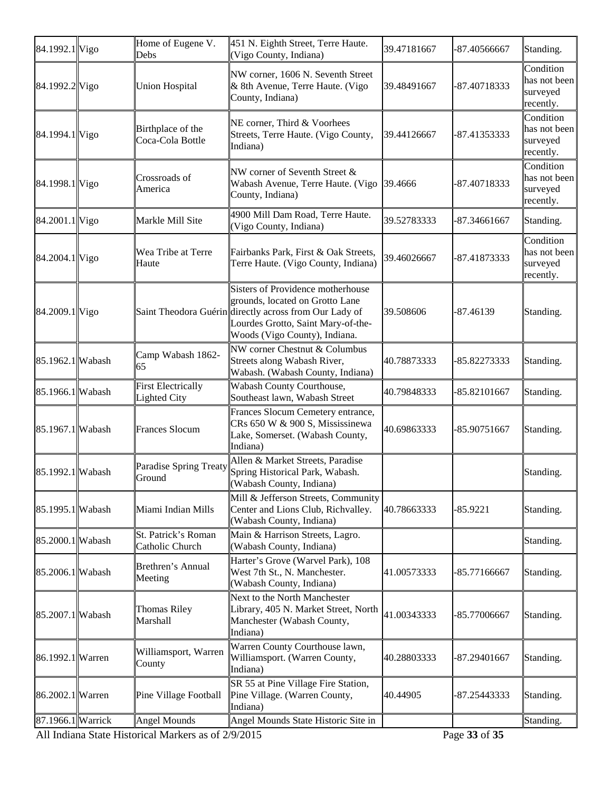| 84.1992.1 Vigo    | Home of Eugene V.<br>Debs                        | 451 N. Eighth Street, Terre Haute.<br>(Vigo County, Indiana)                                                                                                                                          | 39.47181667 | $-87.40566667$                    | Standing.                                          |
|-------------------|--------------------------------------------------|-------------------------------------------------------------------------------------------------------------------------------------------------------------------------------------------------------|-------------|-----------------------------------|----------------------------------------------------|
| 84.1992.2 Vigo    | <b>Union Hospital</b>                            | NW corner, 1606 N. Seventh Street<br>& 8th Avenue, Terre Haute. (Vigo<br>County, Indiana)                                                                                                             | 39.48491667 | -87.40718333                      | Condition<br>has not been<br>surveyed<br>recently. |
| 84.1994.1 Vigo    | Birthplace of the<br>Coca-Cola Bottle            | NE corner, Third & Voorhees<br>Streets, Terre Haute. (Vigo County,<br>Indiana)                                                                                                                        | 39.44126667 | -87.41353333                      | Condition<br>has not been<br>surveyed<br>recently. |
| 84.1998.1 Vigo    | Crossroads of<br>America                         | NW corner of Seventh Street $\&$<br>Wabash Avenue, Terre Haute. (Vigo 39.4666<br>County, Indiana)                                                                                                     |             | -87.40718333                      | Condition<br>has not been<br>surveyed<br>recently. |
| 84.2001.1 Vigo    | Markle Mill Site                                 | 4900 Mill Dam Road, Terre Haute.<br>(Vigo County, Indiana)                                                                                                                                            | 39.52783333 | -87.34661667                      | Standing.                                          |
| 84.2004.1 Vigo    | Wea Tribe at Terre<br>Haute                      | Fairbanks Park, First & Oak Streets,<br>Terre Haute. (Vigo County, Indiana)                                                                                                                           | 39.46026667 | -87.41873333                      | Condition<br>has not been<br>surveyed<br>recently. |
| 84.2009.1 Vigo    |                                                  | Sisters of Providence motherhouse<br>grounds, located on Grotto Lane<br>Saint Theodora Guérin directly across from Our Lady of<br>Lourdes Grotto, Saint Mary-of-the-<br>Woods (Vigo County), Indiana. | 39.508606   | -87.46139                         | Standing.                                          |
| 85.1962.1 Wabash  | Camp Wabash 1862-<br>65                          | NW corner Chestnut & Columbus<br>Streets along Wabash River,<br>Wabash. (Wabash County, Indiana)                                                                                                      | 40.78873333 | -85.82273333                      | Standing.                                          |
| 85.1966.1 Wabash  | <b>First Electrically</b><br><b>Lighted City</b> | Wabash County Courthouse,<br>Southeast lawn, Wabash Street                                                                                                                                            | 40.79848333 | -85.82101667                      | Standing.                                          |
| 85.1967.1 Wabash  | <b>Frances Slocum</b>                            | Frances Slocum Cemetery entrance,<br>CRs 650 W & 900 S, Mississinewa<br>Lake, Somerset. (Wabash County,<br>Indiana)                                                                                   | 40.69863333 | -85.90751667                      | Standing.                                          |
| 85.1992.1 Wabash  | <b>Paradise Spring Treaty</b><br>Ground          | Allen & Market Streets, Paradise<br>Spring Historical Park, Wabash.<br>(Wabash County, Indiana)                                                                                                       |             |                                   | Standing.                                          |
| 85.1995.1 Wabash  | Miami Indian Mills                               | Mill & Jefferson Streets, Community<br>Center and Lions Club, Richvalley.<br>(Wabash County, Indiana)                                                                                                 | 40.78663333 | $-85.9221$                        | Standing.                                          |
| 85.2000.1 Wabash  | St. Patrick's Roman<br>Catholic Church           | Main & Harrison Streets, Lagro.<br>(Wabash County, Indiana)                                                                                                                                           |             |                                   | Standing.                                          |
| 85.2006.1 Wabash  | Brethren's Annual<br>Meeting                     | Harter's Grove (Warvel Park), 108<br>West 7th St., N. Manchester.<br>(Wabash County, Indiana)                                                                                                         | 41.00573333 | -85.77166667                      | Standing.                                          |
| 85.2007.1 Wabash  | <b>Thomas Riley</b><br>Marshall                  | Next to the North Manchester<br>Library, 405 N. Market Street, North<br>Manchester (Wabash County,<br>Indiana)                                                                                        | 41.00343333 | -85.77006667                      | Standing.                                          |
| 86.1992.1 Warren  | Williamsport, Warren<br>County                   | Warren County Courthouse lawn,<br>Williamsport. (Warren County,<br>Indiana)                                                                                                                           | 40.28803333 | -87.29401667                      | Standing.                                          |
| 86.2002.1 Warren  | Pine Village Football                            | SR 55 at Pine Village Fire Station,<br>Pine Village. (Warren County,<br>Indiana)                                                                                                                      | 40.44905    | -87.25443333                      | Standing.                                          |
| 87.1966.1 Warrick | <b>Angel Mounds</b>                              | Angel Mounds State Historic Site in                                                                                                                                                                   |             | $c \rightarrow r$<br>$\mathbf{a}$ | Standing.                                          |

All Indiana State Historical Markers as of  $2/9/2015$  Page 33 of 35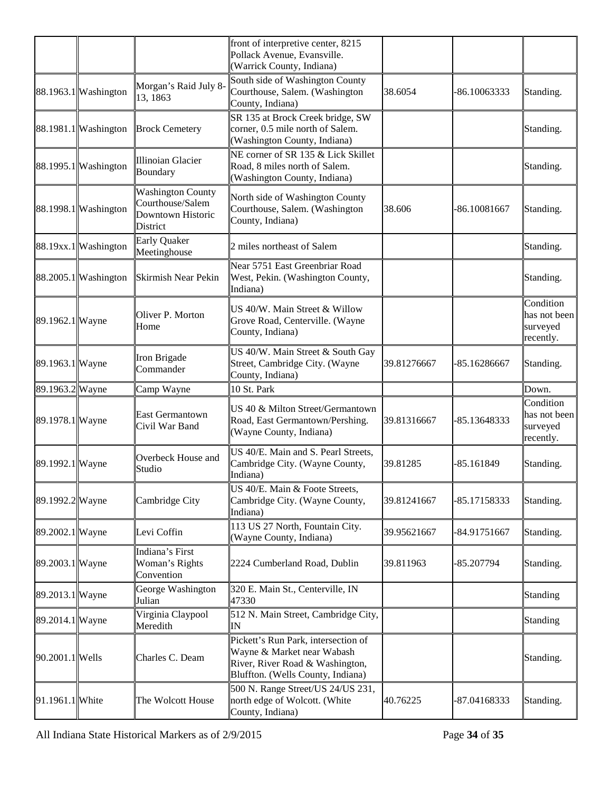|                  |                      |                                                                               | front of interpretive center, 8215<br>Pollack Avenue, Evansville.<br>(Warrick County, Indiana)                                            |             |              |                                                    |
|------------------|----------------------|-------------------------------------------------------------------------------|-------------------------------------------------------------------------------------------------------------------------------------------|-------------|--------------|----------------------------------------------------|
|                  | 88.1963.1 Washington | Morgan's Raid July 8-<br>13, 1863                                             | South side of Washington County<br>Courthouse, Salem. (Washington<br>County, Indiana)                                                     | 38.6054     | -86.10063333 | Standing.                                          |
|                  | 88.1981.1 Washington | <b>Brock Cemetery</b>                                                         | SR 135 at Brock Creek bridge, SW<br>corner, 0.5 mile north of Salem.<br>(Washington County, Indiana)                                      |             |              | Standing.                                          |
|                  | 88.1995.1 Washington | Illinoian Glacier<br>Boundary                                                 | NE corner of SR 135 & Lick Skillet<br>Road, 8 miles north of Salem.<br>(Washington County, Indiana)                                       |             |              | Standing.                                          |
|                  | 88.1998.1 Washington | <b>Washington County</b><br>Courthouse/Salem<br>Downtown Historic<br>District | North side of Washington County<br>Courthouse, Salem. (Washington<br>County, Indiana)                                                     | 38.606      | -86.10081667 | Standing.                                          |
|                  | 88.19xx.1 Washington | <b>Early Quaker</b><br>Meetinghouse                                           | 2 miles northeast of Salem                                                                                                                |             |              | Standing.                                          |
|                  | 88.2005.1 Washington | Skirmish Near Pekin                                                           | Near 5751 East Greenbriar Road<br>West, Pekin. (Washington County,<br>Indiana)                                                            |             |              | Standing.                                          |
| 89.1962.1 Wayne  |                      | Oliver P. Morton<br>Home                                                      | US 40/W. Main Street & Willow<br>Grove Road, Centerville. (Wayne<br>County, Indiana)                                                      |             |              | Condition<br>has not been<br>surveyed<br>recently. |
| 89.1963.1 Wayne  |                      | Iron Brigade<br>Commander                                                     | US 40/W. Main Street & South Gay<br>Street, Cambridge City. (Wayne<br>County, Indiana)                                                    | 39.81276667 | -85.16286667 | Standing.                                          |
| 89.1963.2 Wayne  |                      | Camp Wayne                                                                    | 10 St. Park                                                                                                                               |             |              | Down.                                              |
| 89.1978.1 Wayne  |                      | <b>East Germantown</b><br>Civil War Band                                      | US 40 & Milton Street/Germantown<br>Road, East Germantown/Pershing.<br>(Wayne County, Indiana)                                            | 39.81316667 | -85.13648333 | Condition<br>has not been<br>surveyed<br>recently. |
| 89.1992.1 Wayne  |                      | Overbeck House and<br>Studio                                                  | US 40/E. Main and S. Pearl Streets,<br>Cambridge City. (Wayne County,<br>Indiana)                                                         | 39.81285    | -85.161849   | Standing.                                          |
| 89.1992.2 Wayne  |                      | Cambridge City                                                                | US 40/E. Main & Foote Streets,<br>Cambridge City. (Wayne County,<br>Indiana)                                                              | 39.81241667 | -85.17158333 | Standing.                                          |
| 89.2002.1 Wayne  |                      | Levi Coffin                                                                   | 113 US 27 North, Fountain City.<br>(Wayne County, Indiana)                                                                                | 39.95621667 | -84.91751667 | Standing.                                          |
| 89.2003.1 Wayne  |                      | Indiana's First<br>Woman's Rights<br>Convention                               | 2224 Cumberland Road, Dublin                                                                                                              | 39.811963   | -85.207794   | Standing.                                          |
| 89.2013.1 Wayne  |                      | George Washington<br>Julian                                                   | 320 E. Main St., Centerville, IN<br>47330                                                                                                 |             |              | Standing                                           |
| 89.2014.1 Wayne  |                      | Virginia Claypool<br>Meredith                                                 | 512 N. Main Street, Cambridge City,<br>IN                                                                                                 |             |              | Standing                                           |
| 90.2001.1  Wells |                      | Charles C. Deam                                                               | Pickett's Run Park, intersection of<br>Wayne & Market near Wabash<br>River, River Road & Washington,<br>Bluffton. (Wells County, Indiana) |             |              | Standing.                                          |
| 91.1961.1 White  |                      | The Wolcott House                                                             | 500 N. Range Street/US 24/US 231,<br>north edge of Wolcott. (White<br>County, Indiana)                                                    | 40.76225    | -87.04168333 | Standing.                                          |